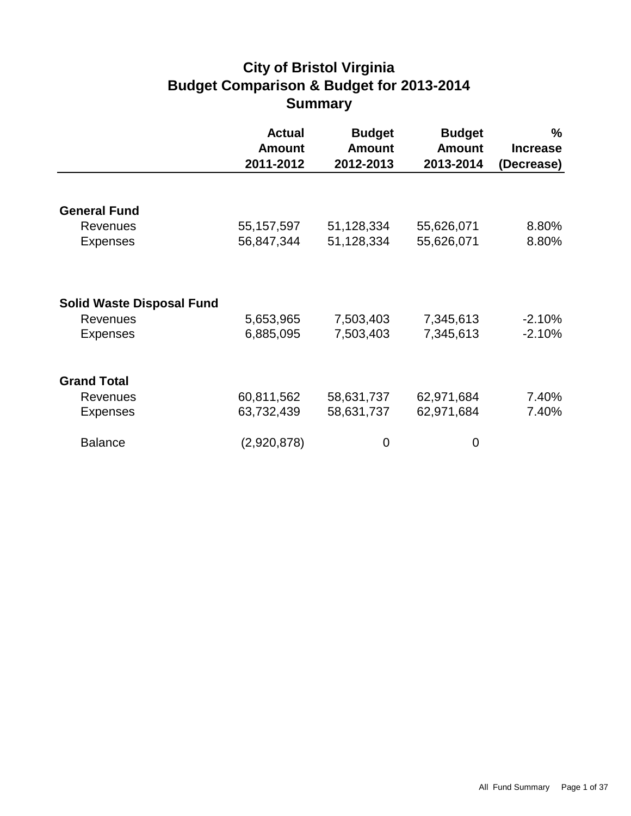# **City of Bristol Virginia Budget Comparison & Budget for 2013-2014 Summary**

|                                  | <b>Actual</b><br><b>Amount</b><br>2011-2012 | <b>Budget</b><br><b>Amount</b><br>2012-2013 | <b>Budget</b><br><b>Amount</b><br>2013-2014 | %<br><b>Increase</b><br>(Decrease) |
|----------------------------------|---------------------------------------------|---------------------------------------------|---------------------------------------------|------------------------------------|
|                                  |                                             |                                             |                                             |                                    |
| <b>General Fund</b>              |                                             |                                             |                                             |                                    |
| <b>Revenues</b>                  | 55, 157, 597                                | 51,128,334                                  | 55,626,071                                  | 8.80%                              |
| <b>Expenses</b>                  | 56,847,344                                  | 51,128,334                                  | 55,626,071                                  | 8.80%                              |
|                                  |                                             |                                             |                                             |                                    |
| <b>Solid Waste Disposal Fund</b> |                                             |                                             |                                             |                                    |
| <b>Revenues</b>                  | 5,653,965                                   | 7,503,403                                   | 7,345,613                                   | $-2.10%$                           |
| <b>Expenses</b>                  | 6,885,095                                   | 7,503,403                                   | 7,345,613                                   | $-2.10%$                           |
| <b>Grand Total</b>               |                                             |                                             |                                             |                                    |
| <b>Revenues</b>                  | 60,811,562                                  | 58,631,737                                  | 62,971,684                                  | 7.40%                              |
| <b>Expenses</b>                  | 63,732,439                                  | 58,631,737                                  | 62,971,684                                  | 7.40%                              |
| <b>Balance</b>                   | (2,920,878)                                 | 0                                           | 0                                           |                                    |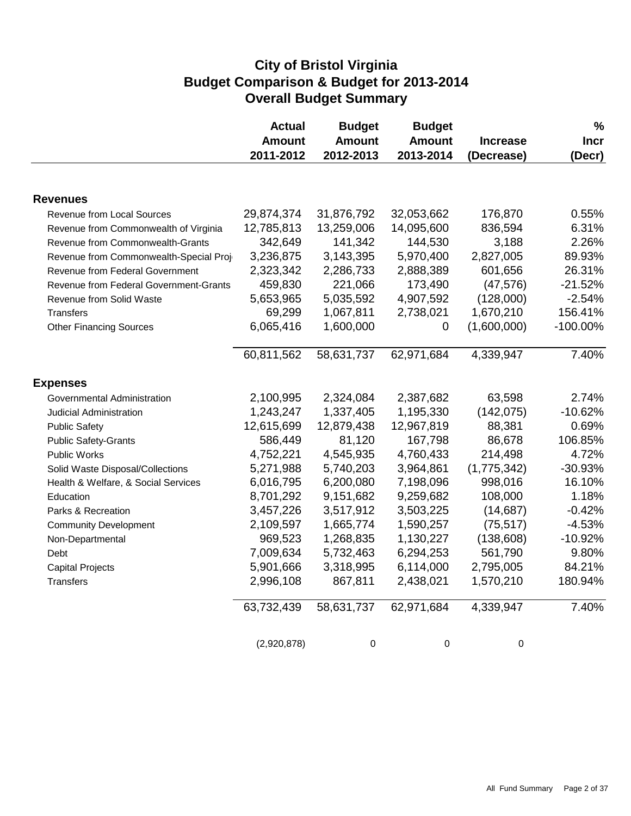## **City of Bristol Virginia Budget Comparison & Budget for 2013-2014 Overall Budget Summary**

|                                        | <b>Actual</b><br><b>Amount</b><br>2011-2012 | <b>Budget</b><br><b>Amount</b><br>2012-2013 | <b>Budget</b><br><b>Amount</b><br>2013-2014 | <b>Increase</b><br>(Decrease) | $\%$<br><b>Incr</b><br>(Decr) |
|----------------------------------------|---------------------------------------------|---------------------------------------------|---------------------------------------------|-------------------------------|-------------------------------|
|                                        |                                             |                                             |                                             |                               |                               |
| <b>Revenues</b>                        |                                             |                                             |                                             |                               |                               |
| <b>Revenue from Local Sources</b>      | 29,874,374                                  | 31,876,792                                  | 32,053,662                                  | 176,870                       | 0.55%                         |
| Revenue from Commonwealth of Virginia  | 12,785,813                                  | 13,259,006                                  | 14,095,600                                  | 836,594                       | 6.31%                         |
| Revenue from Commonwealth-Grants       | 342,649                                     | 141,342                                     | 144,530                                     | 3,188                         | 2.26%                         |
| Revenue from Commonwealth-Special Proj | 3,236,875                                   | 3,143,395                                   | 5,970,400                                   | 2,827,005                     | 89.93%                        |
| Revenue from Federal Government        | 2,323,342                                   | 2,286,733                                   | 2,888,389                                   | 601,656                       | 26.31%                        |
| Revenue from Federal Government-Grants | 459,830                                     | 221,066                                     | 173,490                                     | (47, 576)                     | $-21.52%$                     |
| Revenue from Solid Waste               | 5,653,965                                   | 5,035,592                                   | 4,907,592                                   | (128,000)                     | $-2.54%$                      |
| <b>Transfers</b>                       | 69,299                                      | 1,067,811                                   | 2,738,021                                   | 1,670,210                     | 156.41%                       |
| <b>Other Financing Sources</b>         | 6,065,416                                   | 1,600,000                                   | 0                                           | (1,600,000)                   | $-100.00\%$                   |
|                                        | 60,811,562                                  | 58,631,737                                  | 62,971,684                                  | 4,339,947                     | 7.40%                         |
| <b>Expenses</b>                        |                                             |                                             |                                             |                               |                               |
| Governmental Administration            | 2,100,995                                   | 2,324,084                                   | 2,387,682                                   | 63,598                        | 2.74%                         |
| <b>Judicial Administration</b>         | 1,243,247                                   | 1,337,405                                   | 1,195,330                                   | (142, 075)                    | $-10.62%$                     |
| <b>Public Safety</b>                   | 12,615,699                                  | 12,879,438                                  | 12,967,819                                  | 88,381                        | 0.69%                         |
| <b>Public Safety-Grants</b>            | 586,449                                     | 81,120                                      | 167,798                                     | 86,678                        | 106.85%                       |
| Public Works                           | 4,752,221                                   | 4,545,935                                   | 4,760,433                                   | 214,498                       | 4.72%                         |
| Solid Waste Disposal/Collections       | 5,271,988                                   | 5,740,203                                   | 3,964,861                                   | (1,775,342)                   | $-30.93%$                     |
| Health & Welfare, & Social Services    | 6,016,795                                   | 6,200,080                                   | 7,198,096                                   | 998,016                       | 16.10%                        |
| Education                              | 8,701,292                                   | 9,151,682                                   | 9,259,682                                   | 108,000                       | 1.18%                         |
| Parks & Recreation                     | 3,457,226                                   | 3,517,912                                   | 3,503,225                                   | (14, 687)                     | $-0.42%$                      |
| <b>Community Development</b>           | 2,109,597                                   | 1,665,774                                   | 1,590,257                                   | (75, 517)                     | $-4.53%$                      |
| Non-Departmental                       | 969,523                                     | 1,268,835                                   | 1,130,227                                   | (138, 608)                    | $-10.92%$                     |
| Debt                                   | 7,009,634                                   | 5,732,463                                   | 6,294,253                                   | 561,790                       | 9.80%                         |
| <b>Capital Projects</b>                | 5,901,666                                   | 3,318,995                                   | 6,114,000                                   | 2,795,005                     | 84.21%                        |
| <b>Transfers</b>                       | 2,996,108                                   | 867,811                                     | 2,438,021                                   | 1,570,210                     | 180.94%                       |
|                                        | 63,732,439                                  | 58,631,737                                  | 62,971,684                                  | 4,339,947                     | 7.40%                         |
|                                        | (2,920,878)                                 | 0                                           | 0                                           | $\mathbf 0$                   |                               |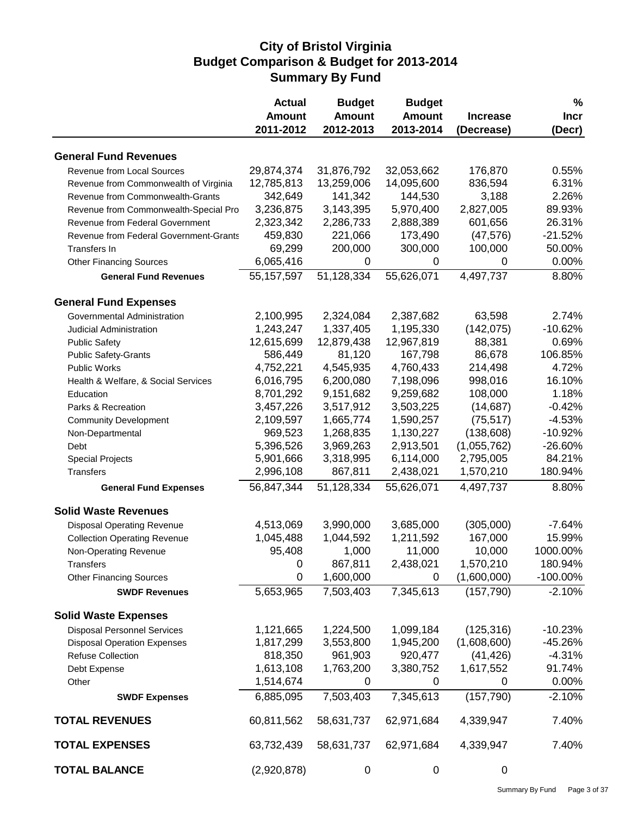#### **City of Bristol Virginia Budget Comparison & Budget for 2013-2014 Summary By Fund**

|                                        | <b>Actual</b> | <b>Budget</b> | <b>Budget</b> |                 | %           |
|----------------------------------------|---------------|---------------|---------------|-----------------|-------------|
|                                        | <b>Amount</b> | <b>Amount</b> | <b>Amount</b> | <b>Increase</b> | <b>Incr</b> |
|                                        | 2011-2012     | 2012-2013     | 2013-2014     | (Decrease)      | (Decr)      |
| <b>General Fund Revenues</b>           |               |               |               |                 |             |
| Revenue from Local Sources             | 29,874,374    | 31,876,792    | 32,053,662    | 176,870         | 0.55%       |
| Revenue from Commonwealth of Virginia  | 12,785,813    | 13,259,006    | 14,095,600    | 836,594         | 6.31%       |
| Revenue from Commonwealth-Grants       | 342,649       | 141,342       | 144,530       | 3,188           | 2.26%       |
| Revenue from Commonwealth-Special Pro  | 3,236,875     | 3,143,395     | 5,970,400     | 2,827,005       | 89.93%      |
| Revenue from Federal Government        | 2,323,342     | 2,286,733     | 2,888,389     | 601,656         | 26.31%      |
| Revenue from Federal Government-Grants | 459,830       | 221,066       | 173,490       | (47, 576)       | $-21.52%$   |
| Transfers In                           | 69,299        | 200,000       | 300,000       | 100,000         | 50.00%      |
| <b>Other Financing Sources</b>         | 6,065,416     | 0             | 0             | 0               | 0.00%       |
| <b>General Fund Revenues</b>           | 55, 157, 597  | 51,128,334    | 55,626,071    | 4,497,737       | 8.80%       |
| <b>General Fund Expenses</b>           |               |               |               |                 |             |
| Governmental Administration            | 2,100,995     | 2,324,084     | 2,387,682     | 63,598          | 2.74%       |
| Judicial Administration                | 1,243,247     | 1,337,405     | 1,195,330     | (142, 075)      | $-10.62%$   |
| <b>Public Safety</b>                   | 12,615,699    | 12,879,438    | 12,967,819    | 88,381          | 0.69%       |
| <b>Public Safety-Grants</b>            | 586,449       | 81,120        | 167,798       | 86,678          | 106.85%     |
| <b>Public Works</b>                    | 4,752,221     | 4,545,935     | 4,760,433     | 214,498         | 4.72%       |
| Health & Welfare, & Social Services    | 6,016,795     | 6,200,080     | 7,198,096     | 998,016         | 16.10%      |
| Education                              | 8,701,292     | 9,151,682     | 9,259,682     | 108,000         | 1.18%       |
| Parks & Recreation                     | 3,457,226     | 3,517,912     | 3,503,225     | (14, 687)       | $-0.42%$    |
| <b>Community Development</b>           | 2,109,597     | 1,665,774     | 1,590,257     | (75, 517)       | $-4.53%$    |
| Non-Departmental                       | 969,523       | 1,268,835     | 1,130,227     | (138, 608)      | $-10.92%$   |
| Debt                                   | 5,396,526     | 3,969,263     | 2,913,501     | (1,055,762)     | $-26.60%$   |
| <b>Special Projects</b>                | 5,901,666     | 3,318,995     | 6,114,000     | 2,795,005       | 84.21%      |
| <b>Transfers</b>                       | 2,996,108     | 867,811       | 2,438,021     | 1,570,210       | 180.94%     |
| <b>General Fund Expenses</b>           | 56,847,344    | 51,128,334    | 55,626,071    | 4,497,737       | 8.80%       |
|                                        |               |               |               |                 |             |
| <b>Solid Waste Revenues</b>            |               |               |               |                 |             |
| <b>Disposal Operating Revenue</b>      | 4,513,069     | 3,990,000     | 3,685,000     | (305,000)       | $-7.64%$    |
| <b>Collection Operating Revenue</b>    | 1,045,488     | 1,044,592     | 1,211,592     | 167,000         | 15.99%      |
| Non-Operating Revenue                  | 95,408        | 1,000         | 11,000        | 10,000          | 1000.00%    |
| <b>Transfers</b>                       | 0             | 867,811       | 2,438,021     | 1,570,210       | 180.94%     |
| <b>Other Financing Sources</b>         | 0             | 1,600,000     | 0             | (1,600,000)     | $-100.00\%$ |
| <b>SWDF Revenues</b>                   | 5,653,965     | 7,503,403     | 7,345,613     | (157, 790)      | $-2.10%$    |
| <b>Solid Waste Expenses</b>            |               |               |               |                 |             |
| <b>Disposal Personnel Services</b>     | 1,121,665     | 1,224,500     | 1,099,184     | (125, 316)      | $-10.23%$   |
| <b>Disposal Operation Expenses</b>     | 1,817,299     | 3,553,800     | 1,945,200     | (1,608,600)     | $-45.26%$   |
| <b>Refuse Collection</b>               | 818,350       | 961,903       | 920,477       | (41, 426)       | $-4.31%$    |
| Debt Expense                           | 1,613,108     | 1,763,200     | 3,380,752     | 1,617,552       | 91.74%      |
| Other                                  | 1,514,674     | 0             | 0             | 0               | 0.00%       |
| <b>SWDF Expenses</b>                   | 6,885,095     | 7,503,403     | 7,345,613     | (157, 790)      | $-2.10%$    |
| <b>TOTAL REVENUES</b>                  | 60,811,562    | 58,631,737    | 62,971,684    | 4,339,947       | 7.40%       |
| <b>TOTAL EXPENSES</b>                  | 63,732,439    | 58,631,737    | 62,971,684    | 4,339,947       | 7.40%       |
| <b>TOTAL BALANCE</b>                   | (2,920,878)   | 0             | 0             | 0               |             |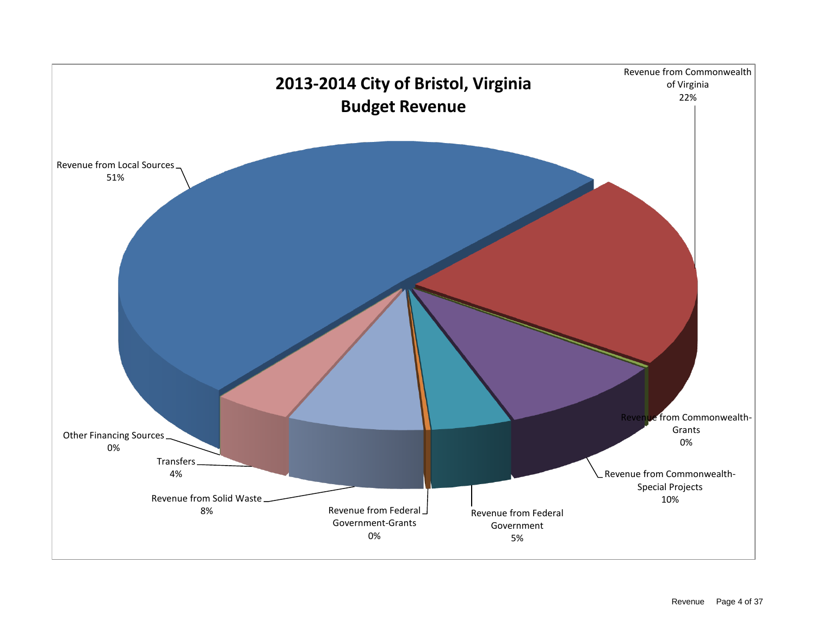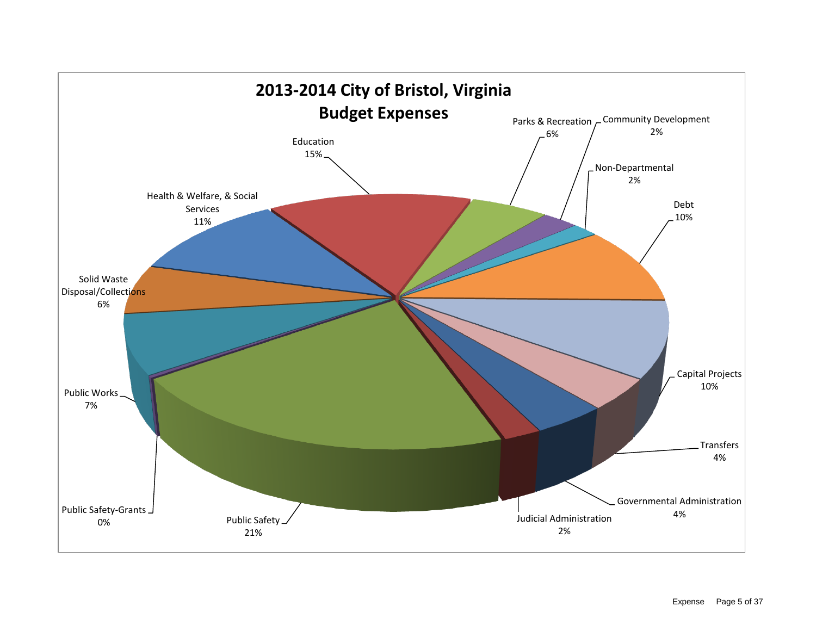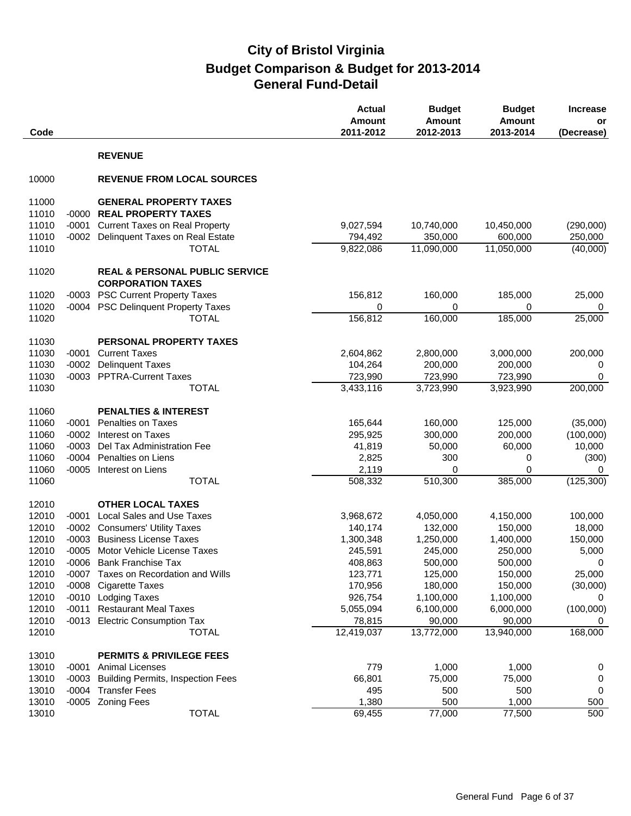| Code           |         |                                                                         | <b>Actual</b><br>Amount<br>2011-2012 | <b>Budget</b><br><b>Amount</b><br>2012-2013 | <b>Budget</b><br><b>Amount</b><br>2013-2014 | <b>Increase</b><br>or<br>(Decrease) |
|----------------|---------|-------------------------------------------------------------------------|--------------------------------------|---------------------------------------------|---------------------------------------------|-------------------------------------|
|                |         | <b>REVENUE</b>                                                          |                                      |                                             |                                             |                                     |
| 10000          |         | <b>REVENUE FROM LOCAL SOURCES</b>                                       |                                      |                                             |                                             |                                     |
| 11000          |         | <b>GENERAL PROPERTY TAXES</b>                                           |                                      |                                             |                                             |                                     |
| 11010          | $-0000$ | <b>REAL PROPERTY TAXES</b>                                              |                                      |                                             |                                             |                                     |
| 11010          | $-0001$ | <b>Current Taxes on Real Property</b>                                   | 9,027,594                            | 10,740,000                                  | 10,450,000                                  | (290,000)                           |
| 11010          | $-0002$ | Delinquent Taxes on Real Estate                                         | 794,492                              | 350,000                                     | 600,000                                     | 250,000                             |
| 11010          |         | <b>TOTAL</b>                                                            | 9,822,086                            | 11,090,000                                  | 11,050,000                                  | (40,000)                            |
| 11020          |         | <b>REAL &amp; PERSONAL PUBLIC SERVICE</b><br><b>CORPORATION TAXES</b>   |                                      |                                             |                                             |                                     |
|                |         |                                                                         |                                      |                                             |                                             |                                     |
| 11020<br>11020 |         | -0003 PSC Current Property Taxes<br>-0004 PSC Delinquent Property Taxes | 156,812                              | 160,000                                     | 185,000                                     | 25,000                              |
| 11020          |         | <b>TOTAL</b>                                                            | 0<br>156,812                         | 0<br>160,000                                | 0<br>185,000                                | 0<br>25,000                         |
|                |         |                                                                         |                                      |                                             |                                             |                                     |
| 11030          |         | PERSONAL PROPERTY TAXES                                                 |                                      |                                             |                                             |                                     |
| 11030          | $-0001$ | <b>Current Taxes</b>                                                    | 2,604,862                            | 2,800,000                                   | 3,000,000                                   | 200,000                             |
| 11030          | $-0002$ | <b>Delinquent Taxes</b>                                                 | 104,264                              | 200,000                                     | 200,000                                     | 0                                   |
| 11030          |         | -0003 PPTRA-Current Taxes                                               | 723,990                              | 723,990                                     | 723,990                                     | 0                                   |
| 11030          |         | <b>TOTAL</b>                                                            | 3,433,116                            | 3,723,990                                   | 3,923,990                                   | 200,000                             |
| 11060          |         | <b>PENALTIES &amp; INTEREST</b>                                         |                                      |                                             |                                             |                                     |
| 11060          | $-0001$ | <b>Penalties on Taxes</b>                                               | 165,644                              | 160,000                                     | 125,000                                     | (35,000)                            |
| 11060          | $-0002$ | Interest on Taxes                                                       | 295,925                              | 300,000                                     | 200,000                                     | (100,000)                           |
| 11060          | $-0003$ | Del Tax Administration Fee                                              | 41,819                               | 50,000                                      | 60,000                                      | 10,000                              |
| 11060          | $-0004$ | Penalties on Liens                                                      | 2,825                                | 300                                         | 0                                           | (300)                               |
| 11060          | $-0005$ | Interest on Liens                                                       | 2,119                                | 0                                           | 0                                           | 0                                   |
| 11060          |         | <b>TOTAL</b>                                                            | 508,332                              | 510,300                                     | 385,000                                     | (125, 300)                          |
| 12010          |         | <b>OTHER LOCAL TAXES</b>                                                |                                      |                                             |                                             |                                     |
| 12010          | $-0001$ | <b>Local Sales and Use Taxes</b>                                        | 3,968,672                            | 4,050,000                                   | 4,150,000                                   | 100,000                             |
| 12010          |         | -0002 Consumers' Utility Taxes                                          | 140,174                              | 132,000                                     | 150,000                                     | 18,000                              |
| 12010          | $-0003$ | <b>Business License Taxes</b>                                           | 1,300,348                            | 1,250,000                                   | 1,400,000                                   | 150,000                             |
| 12010          | $-0005$ | Motor Vehicle License Taxes                                             | 245,591                              | 245,000                                     | 250,000                                     | 5,000                               |
| 12010          |         | -0006 Bank Franchise Tax                                                | 408,863                              | 500,000                                     | 500,000                                     | $\Omega$                            |
| 12010          |         | -0007 Taxes on Recordation and Wills                                    | 123,771                              | 125,000                                     | 150,000                                     | 25,000                              |
| 12010          |         | -0008 Cigarette Taxes                                                   | 170,956                              | 180,000                                     | 150,000                                     | (30,000)                            |
| 12010          |         | -0010 Lodging Taxes                                                     | 926,754                              | 1,100,000                                   | 1,100,000                                   | 0                                   |
| 12010          | $-0011$ | <b>Restaurant Meal Taxes</b>                                            | 5,055,094                            | 6,100,000                                   | 6,000,000                                   | (100,000)                           |
| 12010          |         | -0013 Electric Consumption Tax                                          | 78,815                               | 90,000                                      | 90,000                                      | 0                                   |
| 12010          |         | <b>TOTAL</b>                                                            | 12,419,037                           | 13,772,000                                  | 13,940,000                                  | 168,000                             |
| 13010          |         | <b>PERMITS &amp; PRIVILEGE FEES</b>                                     |                                      |                                             |                                             |                                     |
| 13010          | -0001   | <b>Animal Licenses</b>                                                  | 779                                  | 1,000                                       | 1,000                                       | 0                                   |
| 13010          |         | -0003 Building Permits, Inspection Fees                                 | 66,801                               | 75,000                                      | 75,000                                      | 0                                   |
| 13010          |         | -0004 Transfer Fees                                                     | 495                                  | 500                                         | 500                                         | 0                                   |
| 13010          |         | -0005 Zoning Fees                                                       | 1,380                                | 500                                         | 1,000                                       | 500                                 |
| 13010          |         | <b>TOTAL</b>                                                            | 69,455                               | 77,000                                      | 77,500                                      | 500                                 |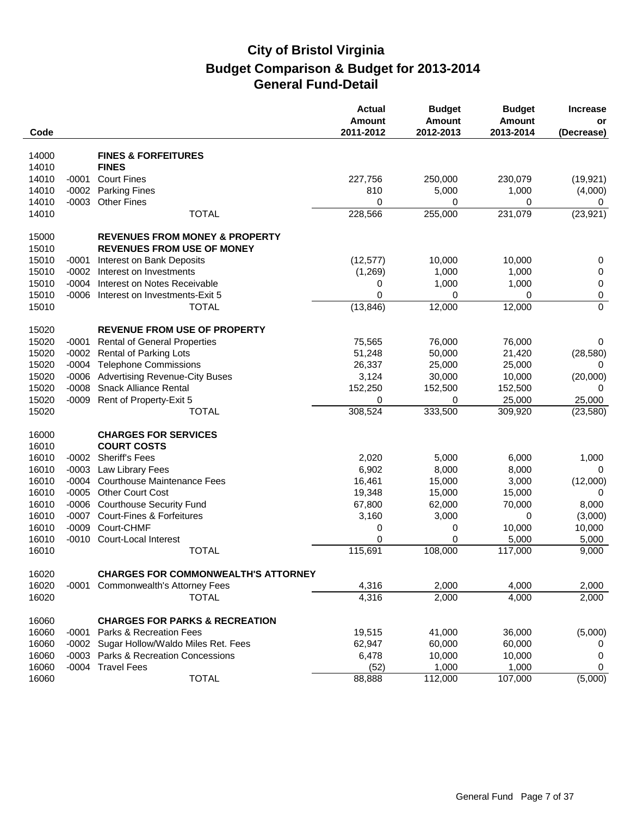|       |         |                                            | <b>Actual</b><br><b>Amount</b> | <b>Budget</b><br><b>Amount</b> | <b>Budget</b><br><b>Amount</b> | <b>Increase</b><br>or |
|-------|---------|--------------------------------------------|--------------------------------|--------------------------------|--------------------------------|-----------------------|
| Code  |         |                                            | 2011-2012                      | 2012-2013                      | 2013-2014                      | (Decrease)            |
| 14000 |         | <b>FINES &amp; FORFEITURES</b>             |                                |                                |                                |                       |
| 14010 |         | <b>FINES</b>                               |                                |                                |                                |                       |
| 14010 | -0001   | <b>Court Fines</b>                         | 227,756                        | 250,000                        | 230,079                        | (19, 921)             |
| 14010 | $-0002$ | <b>Parking Fines</b>                       | 810                            | 5,000                          | 1,000                          | (4,000)               |
| 14010 | $-0003$ | <b>Other Fines</b>                         | 0                              | 0                              | 0                              | 0                     |
| 14010 |         | <b>TOTAL</b>                               | 228,566                        | 255,000                        | 231,079                        | (23, 921)             |
| 15000 |         | <b>REVENUES FROM MONEY &amp; PROPERTY</b>  |                                |                                |                                |                       |
| 15010 |         | <b>REVENUES FROM USE OF MONEY</b>          |                                |                                |                                |                       |
| 15010 | $-0001$ | Interest on Bank Deposits                  | (12, 577)                      | 10,000                         | 10,000                         | 0                     |
| 15010 | $-0002$ | Interest on Investments                    | (1,269)                        | 1,000                          | 1,000                          | $\pmb{0}$             |
| 15010 | $-0004$ | Interest on Notes Receivable               | 0                              | 1,000                          | 1,000                          | $\pmb{0}$             |
| 15010 | $-0006$ | Interest on Investments-Exit 5             | $\Omega$                       | 0                              | 0                              | $\pmb{0}$             |
| 15010 |         | <b>TOTAL</b>                               | (13, 846)                      | 12,000                         | 12,000                         | $\mathbf 0$           |
| 15020 |         | <b>REVENUE FROM USE OF PROPERTY</b>        |                                |                                |                                |                       |
| 15020 | $-0001$ | <b>Rental of General Properties</b>        | 75,565                         | 76,000                         | 76,000                         | 0                     |
| 15020 | $-0002$ | <b>Rental of Parking Lots</b>              | 51,248                         | 50,000                         | 21,420                         | (28, 580)             |
| 15020 |         | -0004 Telephone Commissions                | 26,337                         | 25,000                         | 25,000                         | $\Omega$              |
| 15020 | $-0006$ | <b>Advertising Revenue-City Buses</b>      | 3,124                          | 30,000                         | 10,000                         | (20,000)              |
| 15020 | $-0008$ | <b>Snack Alliance Rental</b>               | 152,250                        | 152,500                        | 152,500                        | 0                     |
| 15020 |         | -0009 Rent of Property-Exit 5              | 0                              | 0                              | 25,000                         | 25,000                |
| 15020 |         | <b>TOTAL</b>                               | 308,524                        | 333,500                        | 309,920                        | (23, 580)             |
| 16000 |         | <b>CHARGES FOR SERVICES</b>                |                                |                                |                                |                       |
| 16010 |         | <b>COURT COSTS</b>                         |                                |                                |                                |                       |
| 16010 | $-0002$ | <b>Sheriff's Fees</b>                      | 2,020                          | 5,000                          | 6,000                          | 1,000                 |
| 16010 | $-0003$ | Law Library Fees                           | 6,902                          | 8,000                          | 8,000                          | 0                     |
| 16010 | $-0004$ | <b>Courthouse Maintenance Fees</b>         | 16,461                         | 15,000                         | 3,000                          | (12,000)              |
| 16010 | $-0005$ | <b>Other Court Cost</b>                    | 19,348                         | 15,000                         | 15,000                         | 0                     |
| 16010 | $-0006$ | <b>Courthouse Security Fund</b>            | 67,800                         | 62,000                         | 70,000                         | 8,000                 |
| 16010 | -0007   | <b>Court-Fines &amp; Forfeitures</b>       | 3,160                          | 3,000                          | 0                              | (3,000)               |
| 16010 | $-0009$ | Court-CHMF                                 | 0                              | 0                              | 10,000                         | 10,000                |
| 16010 | $-0010$ | Court-Local Interest                       | $\mathbf 0$                    | 0                              | 5,000                          | 5,000                 |
| 16010 |         | <b>TOTAL</b>                               | 115,691                        | 108,000                        | 117,000                        | 9,000                 |
| 16020 |         | <b>CHARGES FOR COMMONWEALTH'S ATTORNEY</b> |                                |                                |                                |                       |
| 16020 | $-0001$ | Commonwealth's Attorney Fees               | 4,316                          | 2,000                          | 4,000                          | 2,000                 |
| 16020 |         | <b>TOTAL</b>                               | 4,316                          | 2,000                          | 4,000                          | 2,000                 |
| 16060 |         | <b>CHARGES FOR PARKS &amp; RECREATION</b>  |                                |                                |                                |                       |
| 16060 | $-0001$ | Parks & Recreation Fees                    | 19,515                         | 41,000                         | 36,000                         | (5,000)               |
| 16060 |         | -0002 Sugar Hollow/Waldo Miles Ret. Fees   | 62,947                         | 60,000                         | 60,000                         | 0                     |
| 16060 |         | -0003 Parks & Recreation Concessions       | 6,478                          | 10,000                         | 10,000                         | 0                     |
| 16060 |         | -0004 Travel Fees                          | (52)                           | 1,000                          | 1,000                          | 0                     |
| 16060 |         | <b>TOTAL</b>                               | 88,888                         | 112,000                        | 107,000                        | (5,000)               |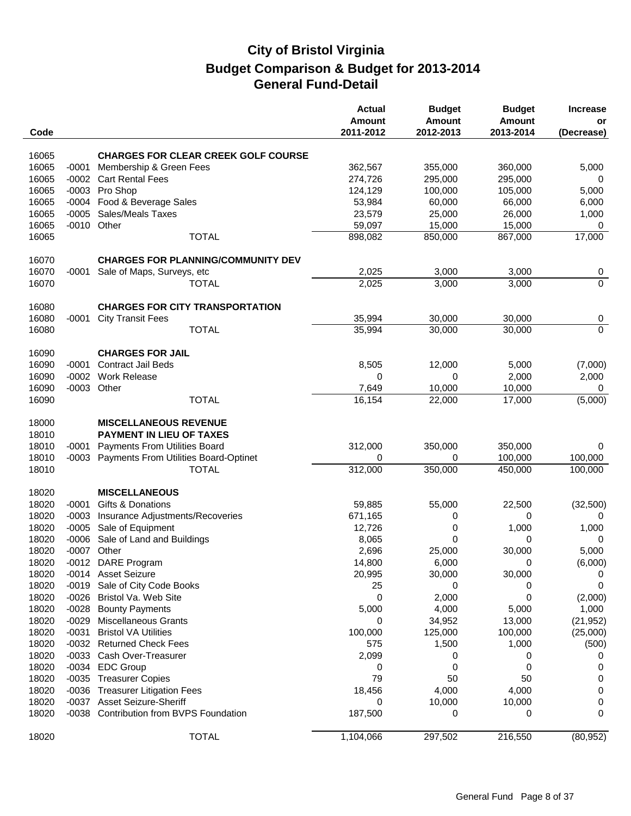| Code           |         |                                                        | <b>Actual</b><br><b>Amount</b><br>2011-2012 | <b>Budget</b><br><b>Amount</b><br>2012-2013 | <b>Budget</b><br>Amount<br>2013-2014 | <b>Increase</b><br>or<br>(Decrease) |
|----------------|---------|--------------------------------------------------------|---------------------------------------------|---------------------------------------------|--------------------------------------|-------------------------------------|
| 16065          |         | <b>CHARGES FOR CLEAR CREEK GOLF COURSE</b>             |                                             |                                             |                                      |                                     |
| 16065          | $-0001$ | Membership & Green Fees                                | 362,567                                     | 355,000                                     | 360,000                              |                                     |
| 16065          |         |                                                        |                                             |                                             |                                      | 5,000                               |
|                | $-0002$ | <b>Cart Rental Fees</b>                                | 274,726                                     | 295,000                                     | 295,000                              | 0                                   |
| 16065<br>16065 |         | -0003 Pro Shop                                         | 124,129                                     | 100,000                                     | 105,000                              | 5,000                               |
|                |         | -0004 Food & Beverage Sales<br>-0005 Sales/Meals Taxes | 53,984                                      | 60,000                                      | 66,000                               | 6,000                               |
| 16065<br>16065 |         | -0010 Other                                            | 23,579<br>59,097                            | 25,000<br>15,000                            | 26,000<br>15,000                     | 1,000                               |
| 16065          |         | <b>TOTAL</b>                                           | 898,082                                     | 850,000                                     | 867,000                              | 0<br>17,000                         |
|                |         |                                                        |                                             |                                             |                                      |                                     |
| 16070          |         | <b>CHARGES FOR PLANNING/COMMUNITY DEV</b>              |                                             |                                             |                                      |                                     |
| 16070          | $-0001$ | Sale of Maps, Surveys, etc                             | 2,025                                       | 3,000                                       | 3,000                                | 0                                   |
| 16070          |         | <b>TOTAL</b>                                           | 2,025                                       | 3,000                                       | 3,000                                | $\overline{0}$                      |
| 16080          |         | <b>CHARGES FOR CITY TRANSPORTATION</b>                 |                                             |                                             |                                      |                                     |
| 16080          | $-0001$ | <b>City Transit Fees</b>                               | 35,994                                      | 30,000                                      | 30,000                               | 0                                   |
| 16080          |         | <b>TOTAL</b>                                           | 35,994                                      | 30,000                                      | 30,000                               | $\overline{0}$                      |
|                |         |                                                        |                                             |                                             |                                      |                                     |
| 16090<br>16090 | $-0001$ | <b>CHARGES FOR JAIL</b><br><b>Contract Jail Beds</b>   | 8,505                                       | 12,000                                      |                                      | (7,000)                             |
| 16090          | $-0002$ | <b>Work Release</b>                                    | 0                                           | 0                                           | 5,000<br>2,000                       |                                     |
| 16090          |         | -0003 Other                                            | 7,649                                       | 10,000                                      | 10,000                               | 2,000<br>0                          |
| 16090          |         | <b>TOTAL</b>                                           | 16,154                                      | 22,000                                      | 17,000                               | (5,000)                             |
|                |         |                                                        |                                             |                                             |                                      |                                     |
| 18000          |         | <b>MISCELLANEOUS REVENUE</b>                           |                                             |                                             |                                      |                                     |
| 18010          |         | <b>PAYMENT IN LIEU OF TAXES</b>                        |                                             |                                             |                                      |                                     |
| 18010          | $-0001$ | <b>Payments From Utilities Board</b>                   | 312,000                                     | 350,000                                     | 350,000                              | 0                                   |
| 18010          |         | -0003 Payments From Utilities Board-Optinet            | 0                                           | 0                                           | 100,000                              | 100,000                             |
| 18010          |         | <b>TOTAL</b>                                           | 312,000                                     | 350,000                                     | 450,000                              | 100,000                             |
| 18020          |         | <b>MISCELLANEOUS</b>                                   |                                             |                                             |                                      |                                     |
| 18020          | $-0001$ | Gifts & Donations                                      | 59,885                                      | 55,000                                      | 22,500                               | (32,500)                            |
| 18020          | $-0003$ | Insurance Adjustments/Recoveries                       | 671,165                                     | 0                                           | 0                                    |                                     |
| 18020          | $-0005$ | Sale of Equipment                                      | 12,726                                      | 0                                           | 1,000                                | 1,000                               |
| 18020          | $-0006$ | Sale of Land and Buildings                             | 8,065                                       | 0                                           | 0                                    | 0                                   |
| 18020          |         | -0007 Other                                            | 2,696                                       | 25,000                                      | 30,000                               | 5,000                               |
| 18020          |         | -0012 DARE Program                                     | 14,800                                      | 6,000                                       | 0                                    | (6,000)                             |
| 18020          |         | -0014 Asset Seizure                                    | 20,995                                      | 30,000                                      | 30,000                               | 0                                   |
| 18020          |         | -0019 Sale of City Code Books                          | 25                                          | 0                                           | 0                                    | 0                                   |
| 18020          |         | -0026 Bristol Va. Web Site                             | 0                                           | 2,000                                       | 0                                    | (2,000)                             |
| 18020          | $-0028$ | <b>Bounty Payments</b>                                 | 5,000                                       | 4,000                                       | 5,000                                | 1,000                               |
| 18020          | $-0029$ | <b>Miscellaneous Grants</b>                            | 0                                           | 34,952                                      | 13,000                               | (21, 952)                           |
| 18020          | $-0031$ | <b>Bristol VA Utilities</b>                            | 100,000                                     | 125,000                                     | 100,000                              | (25,000)                            |
| 18020          |         | -0032 Returned Check Fees                              | 575                                         | 1,500                                       | 1,000                                | (500)                               |
| 18020          |         | -0033 Cash Over-Treasurer                              | 2,099                                       | 0                                           | 0                                    | 0                                   |
| 18020          |         | -0034 EDC Group                                        | 0                                           | 0                                           | 0                                    | 0                                   |
| 18020          |         | -0035 Treasurer Copies                                 | 79                                          | 50                                          | 50                                   | 0                                   |
| 18020          |         | -0036 Treasurer Litigation Fees                        | 18,456                                      | 4,000                                       | 4,000                                | 0                                   |
| 18020          |         | -0037 Asset Seizure-Sheriff                            | 0                                           | 10,000                                      | 10,000                               | 0                                   |
| 18020          |         | -0038 Contribution from BVPS Foundation                | 187,500                                     | 0                                           | 0                                    | 0                                   |
| 18020          |         | <b>TOTAL</b>                                           | 1,104,066                                   | 297,502                                     | 216,550                              | (80, 952)                           |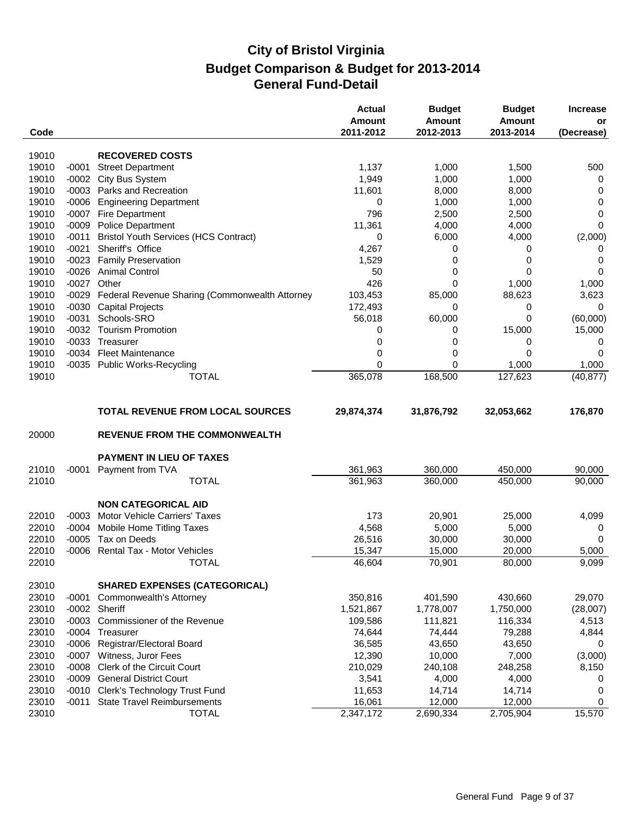| Code  |         |                                                | <b>Actual</b><br>Amount<br>2011-2012 | <b>Budget</b><br><b>Amount</b><br>2012-2013 | <b>Budget</b><br><b>Amount</b><br>2013-2014 | <b>Increase</b><br>or<br>(Decrease) |
|-------|---------|------------------------------------------------|--------------------------------------|---------------------------------------------|---------------------------------------------|-------------------------------------|
|       |         |                                                |                                      |                                             |                                             |                                     |
| 19010 |         | <b>RECOVERED COSTS</b>                         |                                      |                                             |                                             |                                     |
| 19010 | $-0001$ | <b>Street Department</b>                       | 1,137                                | 1,000                                       | 1,500                                       | 500                                 |
| 19010 | $-0002$ | City Bus System                                | 1,949                                | 1,000                                       | 1,000                                       | 0                                   |
| 19010 |         | -0003 Parks and Recreation                     | 11,601                               | 8,000                                       | 8,000                                       | 0                                   |
| 19010 | $-0006$ | <b>Engineering Department</b>                  | 0                                    | 1,000                                       | 1,000                                       | 0                                   |
| 19010 | $-0007$ | Fire Department                                | 796                                  | 2,500                                       | 2,500                                       | $\mathbf 0$                         |
| 19010 | $-0009$ | <b>Police Department</b>                       | 11,361                               | 4,000                                       | 4,000                                       | $\mathbf 0$                         |
| 19010 | $-0011$ | <b>Bristol Youth Services (HCS Contract)</b>   | 0                                    | 6,000                                       | 4,000                                       | (2,000)                             |
| 19010 | $-0021$ | Sheriff's Office                               | 4,267                                | 0                                           | 0                                           | 0                                   |
| 19010 | $-0023$ | <b>Family Preservation</b>                     | 1,529                                | 0                                           | 0                                           | 0                                   |
| 19010 |         | -0026 Animal Control                           | 50                                   | 0                                           | 0                                           | 0                                   |
| 19010 |         | -0027 Other                                    | 426                                  | 0                                           | 1,000                                       | 1,000                               |
| 19010 | $-0029$ | Federal Revenue Sharing (Commonwealth Attorney | 103,453                              | 85,000                                      | 88,623                                      | 3,623                               |
| 19010 | $-0030$ | <b>Capital Projects</b>                        | 172,493                              | 0                                           | 0                                           | 0                                   |
| 19010 | $-0031$ | Schools-SRO                                    | 56,018                               | 60,000                                      | 0                                           | (60,000)                            |
| 19010 |         | -0032 Tourism Promotion                        | 0                                    | 0                                           | 15,000                                      | 15,000                              |
| 19010 | $-0033$ | Treasurer                                      | 0                                    | 0                                           | 0                                           | 0                                   |
| 19010 |         | -0034 Fleet Maintenance                        | 0                                    | 0                                           | 0                                           | 0                                   |
| 19010 |         | -0035 Public Works-Recycling                   | 0                                    | 0                                           | 1,000                                       | 1,000                               |
| 19010 |         | <b>TOTAL</b>                                   | 365,078                              | 168,500                                     | 127,623                                     | (40, 877)                           |
|       |         |                                                |                                      |                                             |                                             |                                     |
|       |         | <b>TOTAL REVENUE FROM LOCAL SOURCES</b>        | 29,874,374                           | 31,876,792                                  | 32,053,662                                  | 176,870                             |
| 20000 |         | <b>REVENUE FROM THE COMMONWEALTH</b>           |                                      |                                             |                                             |                                     |
|       |         | <b>PAYMENT IN LIEU OF TAXES</b>                |                                      |                                             |                                             |                                     |
| 21010 | $-0001$ | Payment from TVA                               | 361,963                              | 360,000                                     | 450,000                                     | 90,000                              |
| 21010 |         | <b>TOTAL</b>                                   | 361,963                              | 360,000                                     | 450,000                                     | 90,000                              |
|       |         |                                                |                                      |                                             |                                             |                                     |
|       |         | <b>NON CATEGORICAL AID</b>                     |                                      |                                             |                                             |                                     |
| 22010 | $-0003$ | <b>Motor Vehicle Carriers' Taxes</b>           | 173                                  | 20,901                                      | 25,000                                      | 4,099                               |
| 22010 | $-0004$ | Mobile Home Titling Taxes                      | 4,568                                | 5,000                                       | 5,000                                       | 0                                   |
| 22010 | $-0005$ | Tax on Deeds                                   | 26,516                               | 30,000                                      | 30,000                                      | 0                                   |
| 22010 |         | -0006 Rental Tax - Motor Vehicles              | 15,347                               | 15,000                                      | 20,000                                      | 5,000                               |
| 22010 |         | <b>TOTAL</b>                                   | 46,604                               | 70,901                                      | 80,000                                      | 9,099                               |
| 23010 |         | <b>SHARED EXPENSES (CATEGORICAL)</b>           |                                      |                                             |                                             |                                     |
| 23010 | $-0001$ | Commonwealth's Attorney                        | 350,816                              | 401,590                                     | 430,660                                     | 29,070                              |
| 23010 |         | -0002 Sheriff                                  | 1,521,867                            | 1,778,007                                   | 1,750,000                                   | (28,007)                            |
| 23010 |         | -0003 Commissioner of the Revenue              | 109,586                              | 111,821                                     | 116,334                                     | 4,513                               |
| 23010 | $-0004$ | Treasurer                                      | 74,644                               | 74,444                                      | 79,288                                      | 4,844                               |
| 23010 | $-0006$ | Registrar/Electoral Board                      | 36,585                               | 43,650                                      | 43,650                                      | 0                                   |
| 23010 | $-0007$ | Witness, Juror Fees                            | 12,390                               | 10,000                                      | 7,000                                       | (3,000)                             |
| 23010 | $-0008$ | Clerk of the Circuit Court                     | 210,029                              | 240,108                                     | 248,258                                     | 8,150                               |
| 23010 | $-0009$ | <b>General District Court</b>                  | 3,541                                | 4,000                                       | 4,000                                       | 0                                   |
| 23010 | $-0010$ | Clerk's Technology Trust Fund                  | 11,653                               | 14,714                                      | 14,714                                      | 0                                   |
| 23010 | $-0011$ | <b>State Travel Reimbursements</b>             | 16,061                               | 12,000                                      | 12,000                                      | 0                                   |
| 23010 |         | <b>TOTAL</b>                                   | 2,347,172                            | 2,690,334                                   | 2,705,904                                   | 15,570                              |
|       |         |                                                |                                      |                                             |                                             |                                     |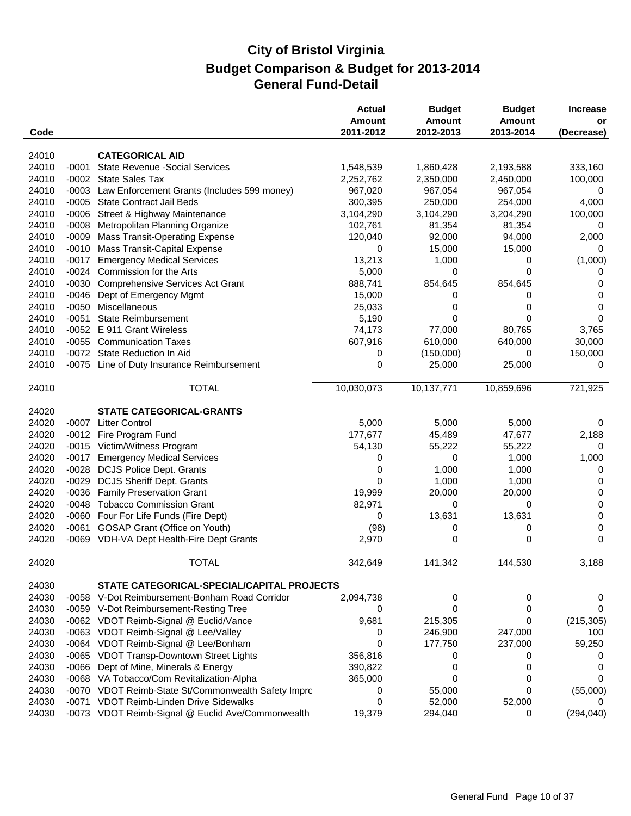| Code  |         |                                                     | <b>Actual</b><br><b>Amount</b><br>2011-2012 | <b>Budget</b><br><b>Amount</b><br>2012-2013 | <b>Budget</b><br>Amount<br>2013-2014 | <b>Increase</b><br>or<br>(Decrease) |
|-------|---------|-----------------------------------------------------|---------------------------------------------|---------------------------------------------|--------------------------------------|-------------------------------------|
| 24010 |         | <b>CATEGORICAL AID</b>                              |                                             |                                             |                                      |                                     |
| 24010 | $-0001$ | <b>State Revenue - Social Services</b>              | 1,548,539                                   | 1,860,428                                   | 2,193,588                            | 333,160                             |
| 24010 | $-0002$ | <b>State Sales Tax</b>                              | 2,252,762                                   | 2,350,000                                   | 2,450,000                            | 100,000                             |
| 24010 | $-0003$ | Law Enforcement Grants (Includes 599 money)         | 967,020                                     | 967,054                                     | 967,054                              | 0                                   |
| 24010 |         | -0005 State Contract Jail Beds                      | 300,395                                     | 250,000                                     | 254,000                              | 4,000                               |
| 24010 | $-0006$ | Street & Highway Maintenance                        | 3,104,290                                   | 3,104,290                                   | 3,204,290                            | 100,000                             |
| 24010 | $-0008$ | Metropolitan Planning Organize                      | 102,761                                     | 81,354                                      | 81,354                               | 0                                   |
| 24010 | $-0009$ | <b>Mass Transit-Operating Expense</b>               | 120,040                                     | 92,000                                      | 94,000                               | 2,000                               |
| 24010 | $-0010$ | Mass Transit-Capital Expense                        | 0                                           | 15,000                                      | 15,000                               | 0                                   |
| 24010 | $-0017$ | <b>Emergency Medical Services</b>                   | 13,213                                      | 1,000                                       | 0                                    | (1,000)                             |
| 24010 | $-0024$ | Commission for the Arts                             | 5,000                                       | 0                                           | $\Omega$                             | 0                                   |
| 24010 | $-0030$ | <b>Comprehensive Services Act Grant</b>             | 888,741                                     | 854,645                                     | 854,645                              | 0                                   |
| 24010 | $-0046$ | Dept of Emergency Mgmt                              | 15,000                                      | 0                                           | 0                                    | 0                                   |
| 24010 | $-0050$ | Miscellaneous                                       | 25,033                                      | 0                                           | 0                                    | 0                                   |
| 24010 | $-0051$ | <b>State Reimbursement</b>                          | 5,190                                       | 0                                           | 0                                    | $\Omega$                            |
| 24010 | $-0052$ | E 911 Grant Wireless                                | 74,173                                      | 77,000                                      | 80,765                               | 3,765                               |
| 24010 | $-0055$ | <b>Communication Taxes</b>                          | 607,916                                     | 610,000                                     | 640,000                              | 30,000                              |
| 24010 |         | -0072 State Reduction In Aid                        | 0                                           | (150,000)                                   | 0                                    | 150,000                             |
| 24010 |         | -0075 Line of Duty Insurance Reimbursement          | 0                                           | 25,000                                      | 25,000                               | $\Omega$                            |
| 24010 |         | <b>TOTAL</b>                                        | 10,030,073                                  | 10,137,771                                  | 10,859,696                           | 721,925                             |
| 24020 |         | <b>STATE CATEGORICAL-GRANTS</b>                     |                                             |                                             |                                      |                                     |
| 24020 | -0007   | <b>Litter Control</b>                               | 5,000                                       | 5,000                                       | 5,000                                | 0                                   |
| 24020 | $-0012$ | Fire Program Fund                                   | 177,677                                     | 45,489                                      | 47,677                               | 2,188                               |
| 24020 |         | -0015 Victim/Witness Program                        | 54,130                                      | 55,222                                      | 55,222                               | 0                                   |
| 24020 | $-0017$ | <b>Emergency Medical Services</b>                   | 0                                           | 0                                           | 1,000                                | 1,000                               |
| 24020 | $-0028$ | <b>DCJS Police Dept. Grants</b>                     | 0                                           | 1,000                                       | 1,000                                | 0                                   |
| 24020 | $-0029$ | <b>DCJS Sheriff Dept. Grants</b>                    | 0                                           | 1,000                                       | 1,000                                | 0                                   |
| 24020 | $-0036$ | <b>Family Preservation Grant</b>                    | 19,999                                      | 20,000                                      | 20,000                               | 0                                   |
| 24020 | $-0048$ | <b>Tobacco Commission Grant</b>                     | 82,971                                      | 0                                           | 0                                    | 0                                   |
| 24020 | $-0060$ | Four For Life Funds (Fire Dept)                     | 0                                           | 13,631                                      | 13,631                               | 0                                   |
| 24020 | $-0061$ | <b>GOSAP Grant (Office on Youth)</b>                | (98)                                        | 0                                           | 0                                    | 0                                   |
| 24020 |         | -0069 VDH-VA Dept Health-Fire Dept Grants           | 2,970                                       | 0                                           | 0                                    | 0                                   |
|       |         |                                                     |                                             |                                             |                                      |                                     |
| 24020 |         | <b>TOTAL</b>                                        | 342,649                                     | 141,342                                     | 144,530                              | 3,188                               |
| 24030 |         | STATE CATEGORICAL-SPECIAL/CAPITAL PROJECTS          |                                             |                                             |                                      |                                     |
| 24030 | $-0058$ | V-Dot Reimbursement-Bonham Road Corridor            | 2,094,738                                   | 0                                           | 0                                    | 0                                   |
| 24030 |         | -0059 V-Dot Reimbursement-Resting Tree              | 0                                           | 0                                           | 0                                    | 0                                   |
| 24030 |         | -0062 VDOT Reimb-Signal @ Euclid/Vance              | 9,681                                       | 215,305                                     | 0                                    | (215, 305)                          |
| 24030 |         | -0063 VDOT Reimb-Signal @ Lee/Valley                | 0                                           | 246,900                                     | 247,000                              | 100                                 |
| 24030 |         | -0064 VDOT Reimb-Signal @ Lee/Bonham                | 0                                           | 177,750                                     | 237,000                              | 59,250                              |
| 24030 | $-0065$ | <b>VDOT Transp-Downtown Street Lights</b>           | 356,816                                     | 0                                           | 0                                    |                                     |
| 24030 | $-0066$ | Dept of Mine, Minerals & Energy                     | 390,822                                     | 0                                           | 0                                    | 0                                   |
| 24030 |         | -0068 VA Tobacco/Com Revitalization-Alpha           | 365,000                                     | 0                                           | 0                                    | 0                                   |
| 24030 |         | -0070 VDOT Reimb-State St/Commonwealth Safety Imprc | 0                                           | 55,000                                      | 0                                    | (55,000)                            |
| 24030 |         | -0071 VDOT Reimb-Linden Drive Sidewalks             | 0                                           | 52,000                                      | 52,000                               |                                     |
| 24030 |         | -0073 VDOT Reimb-Signal @ Euclid Ave/Commonwealth   | 19,379                                      | 294,040                                     | 0                                    | (294, 040)                          |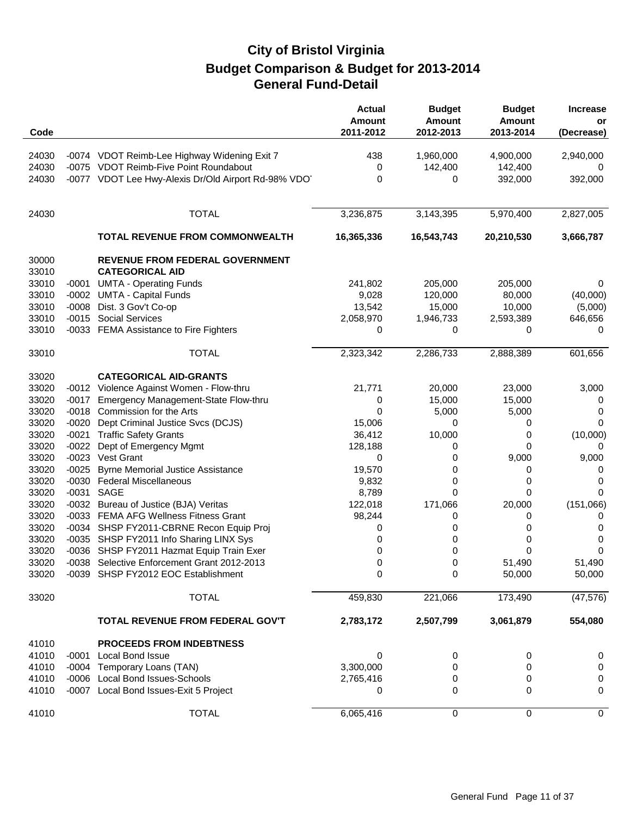| Code           |         |                                                           | <b>Actual</b><br>Amount<br>2011-2012 | <b>Budget</b><br><b>Amount</b><br>2012-2013 | <b>Budget</b><br>Amount<br>2013-2014 | <b>Increase</b><br>or<br>(Decrease) |
|----------------|---------|-----------------------------------------------------------|--------------------------------------|---------------------------------------------|--------------------------------------|-------------------------------------|
| 24030          |         | -0074 VDOT Reimb-Lee Highway Widening Exit 7              | 438                                  | 1,960,000                                   | 4,900,000                            | 2,940,000                           |
| 24030          |         | -0075 VDOT Reimb-Five Point Roundabout                    | 0                                    | 142,400                                     | 142,400                              | $\Omega$                            |
| 24030          |         | -0077 VDOT Lee Hwy-Alexis Dr/Old Airport Rd-98% VDO       | 0                                    | 0                                           | 392,000                              | 392,000                             |
|                |         |                                                           |                                      |                                             |                                      |                                     |
| 24030          |         | <b>TOTAL</b>                                              | 3,236,875                            | 3,143,395                                   | 5,970,400                            | 2,827,005                           |
|                |         | <b>TOTAL REVENUE FROM COMMONWEALTH</b>                    | 16,365,336                           | 16,543,743                                  | 20,210,530                           | 3,666,787                           |
| 30000<br>33010 |         | REVENUE FROM FEDERAL GOVERNMENT<br><b>CATEGORICAL AID</b> |                                      |                                             |                                      |                                     |
| 33010          | -0001   | <b>UMTA - Operating Funds</b>                             | 241,802                              | 205,000                                     | 205,000                              | 0                                   |
| 33010          |         | -0002 UMTA - Capital Funds                                | 9,028                                | 120,000                                     | 80,000                               | (40,000)                            |
| 33010          | $-0008$ | Dist. 3 Gov't Co-op                                       | 13,542                               | 15,000                                      | 10,000                               | (5,000)                             |
| 33010          |         | -0015 Social Services                                     | 2,058,970                            | 1,946,733                                   | 2,593,389                            | 646,656                             |
| 33010          |         | -0033 FEMA Assistance to Fire Fighters                    | 0                                    | 0                                           | 0                                    | 0                                   |
| 33010          |         | <b>TOTAL</b>                                              | 2,323,342                            | 2,286,733                                   | 2,888,389                            | 601,656                             |
| 33020          |         | <b>CATEGORICAL AID-GRANTS</b>                             |                                      |                                             |                                      |                                     |
| 33020          |         | -0012 Violence Against Women - Flow-thru                  | 21,771                               | 20,000                                      | 23,000                               | 3,000                               |
| 33020          | $-0017$ | Emergency Management-State Flow-thru                      | 0                                    | 15,000                                      | 15,000                               | 0                                   |
| 33020          |         | -0018 Commission for the Arts                             | 0                                    | 5,000                                       | 5,000                                | 0                                   |
| 33020          | $-0020$ | Dept Criminal Justice Svcs (DCJS)                         | 15,006                               | 0                                           | 0                                    | 0                                   |
| 33020          | $-0021$ | <b>Traffic Safety Grants</b>                              | 36,412                               | 10,000                                      | 0                                    | (10,000)                            |
| 33020          | $-0022$ | Dept of Emergency Mgmt                                    | 128,188                              | 0                                           | 0                                    | 0                                   |
| 33020          |         | -0023 Vest Grant                                          | 0                                    | 0                                           | 9,000                                | 9,000                               |
| 33020          | $-0025$ | <b>Byrne Memorial Justice Assistance</b>                  | 19,570                               | 0                                           | 0                                    | 0                                   |
| 33020          |         | -0030 Federal Miscellaneous                               | 9,832                                | 0                                           | 0                                    | 0                                   |
| 33020          | $-0031$ | SAGE                                                      | 8,789                                | $\Omega$                                    | 0                                    | 0                                   |
| 33020          |         | -0032 Bureau of Justice (BJA) Veritas                     | 122,018                              | 171,066                                     | 20,000                               | (151,066)                           |
| 33020          |         | -0033 FEMA AFG Wellness Fitness Grant                     | 98,244                               | 0                                           | 0                                    | 0                                   |
| 33020          |         | -0034 SHSP FY2011-CBRNE Recon Equip Proj                  | 0                                    | 0                                           | 0                                    | 0                                   |
| 33020          |         | -0035 SHSP FY2011 Info Sharing LINX Sys                   | 0                                    | 0                                           | 0                                    | 0                                   |
| 33020          |         | -0036 SHSP FY2011 Hazmat Equip Train Exer                 | 0                                    | 0                                           | 0                                    | 0                                   |
| 33020          |         | -0038 Selective Enforcement Grant 2012-2013               | 0                                    | 0                                           | 51,490                               | 51,490                              |
| 33020          |         | -0039 SHSP FY2012 EOC Establishment                       | 0                                    | 0                                           | 50,000                               | 50,000                              |
| 33020          |         | <b>TOTAL</b>                                              | 459,830                              | 221,066                                     | 173,490                              | (47, 576)                           |
|                |         | TOTAL REVENUE FROM FEDERAL GOV'T                          | 2,783,172                            | 2,507,799                                   | 3,061,879                            | 554,080                             |
| 41010          |         | <b>PROCEEDS FROM INDEBTNESS</b>                           |                                      |                                             |                                      |                                     |
| 41010          | -0001   | <b>Local Bond Issue</b>                                   | 0                                    | 0                                           | 0                                    | 0                                   |
| 41010          |         | -0004 Temporary Loans (TAN)                               | 3,300,000                            | 0                                           | 0                                    | 0                                   |
| 41010          |         | -0006 Local Bond Issues-Schools                           | 2,765,416                            | 0                                           | 0                                    | 0                                   |
| 41010          |         | -0007 Local Bond Issues-Exit 5 Project                    | 0                                    | 0                                           | 0                                    | 0                                   |
| 41010          |         | <b>TOTAL</b>                                              | 6,065,416                            | 0                                           | 0                                    | 0                                   |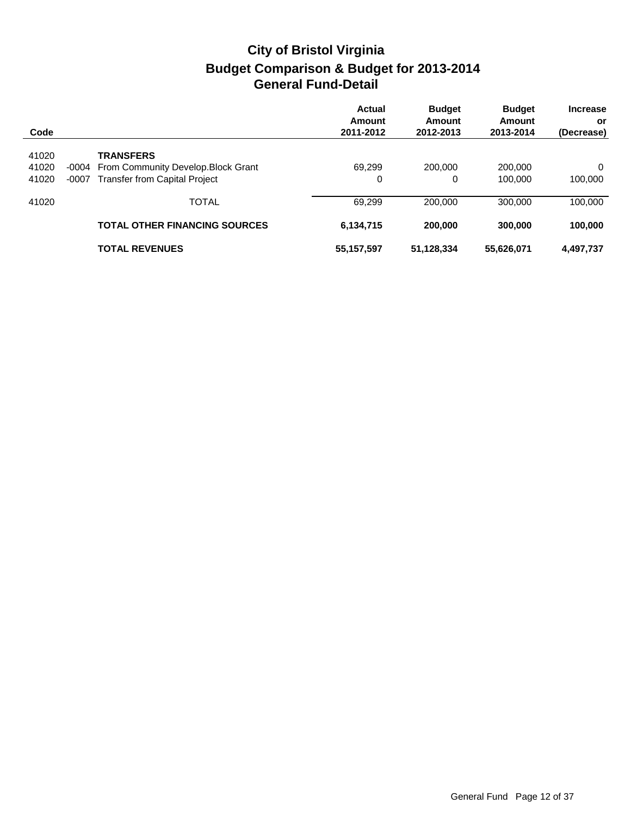| Code  |         |                                           | Actual<br>Amount<br>2011-2012 | <b>Budget</b><br>Amount<br>2012-2013 | <b>Budget</b><br>Amount<br>2013-2014 | <b>Increase</b><br>or<br>(Decrease) |
|-------|---------|-------------------------------------------|-------------------------------|--------------------------------------|--------------------------------------|-------------------------------------|
| 41020 |         | <b>TRANSFERS</b>                          |                               |                                      |                                      |                                     |
| 41020 |         | -0004 From Community Develop. Block Grant | 69.299                        | 200.000                              | 200,000                              | $\Omega$                            |
| 41020 | $-0007$ | <b>Transfer from Capital Project</b>      | 0                             | 0                                    | 100.000                              | 100,000                             |
| 41020 |         | <b>TOTAL</b>                              | 69,299                        | 200,000                              | 300,000                              | 100,000                             |
|       |         | <b>TOTAL OTHER FINANCING SOURCES</b>      | 6,134,715                     | 200,000                              | 300,000                              | 100,000                             |
|       |         | <b>TOTAL REVENUES</b>                     | 55,157,597                    | 51,128,334                           | 55,626,071                           | 4,497,737                           |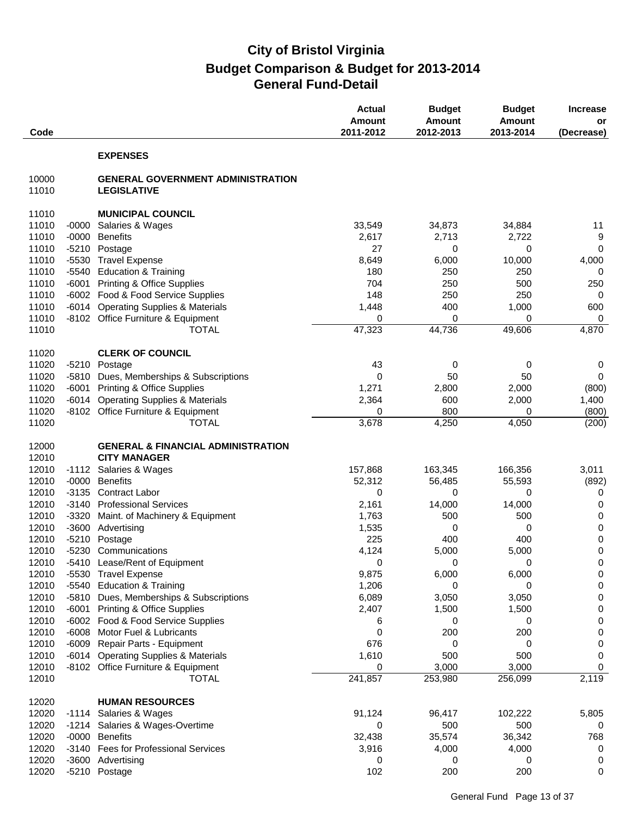| Code           |         |                                                                       | <b>Actual</b><br>Amount<br>2011-2012 | <b>Budget</b><br><b>Amount</b><br>2012-2013 | <b>Budget</b><br>Amount<br>2013-2014 | <b>Increase</b><br>or<br>(Decrease) |
|----------------|---------|-----------------------------------------------------------------------|--------------------------------------|---------------------------------------------|--------------------------------------|-------------------------------------|
|                |         | <b>EXPENSES</b>                                                       |                                      |                                             |                                      |                                     |
| 10000<br>11010 |         | <b>GENERAL GOVERNMENT ADMINISTRATION</b><br><b>LEGISLATIVE</b>        |                                      |                                             |                                      |                                     |
| 11010          |         | <b>MUNICIPAL COUNCIL</b>                                              |                                      |                                             |                                      |                                     |
| 11010          | $-0000$ | Salaries & Wages                                                      | 33,549                               | 34,873                                      | 34,884                               | 11                                  |
| 11010          | $-0000$ | <b>Benefits</b>                                                       | 2,617                                | 2,713                                       | 2,722                                | 9                                   |
| 11010          | $-5210$ | Postage                                                               | 27                                   | 0                                           | 0                                    | 0                                   |
| 11010          | $-5530$ | <b>Travel Expense</b>                                                 | 8,649                                | 6,000                                       | 10,000                               | 4,000                               |
| 11010          | $-5540$ | <b>Education &amp; Training</b>                                       | 180                                  | 250                                         | 250                                  | 0                                   |
| 11010          | $-6001$ | <b>Printing &amp; Office Supplies</b>                                 | 704                                  | 250                                         | 500                                  | 250                                 |
| 11010          |         | -6002 Food & Food Service Supplies                                    | 148                                  | 250                                         | 250                                  | 0                                   |
| 11010          | $-6014$ | <b>Operating Supplies &amp; Materials</b>                             | 1,448                                | 400                                         | 1,000                                | 600                                 |
| 11010          |         | -8102 Office Furniture & Equipment                                    | 0                                    | 0                                           | 0                                    | 0                                   |
| 11010          |         | <b>TOTAL</b>                                                          | 47,323                               | 44,736                                      | 49,606                               | 4,870                               |
| 11020          |         | <b>CLERK OF COUNCIL</b>                                               |                                      |                                             |                                      |                                     |
| 11020          | $-5210$ | Postage                                                               | 43                                   | 0                                           | 0                                    | 0                                   |
| 11020          | $-5810$ | Dues, Memberships & Subscriptions                                     | 0                                    | 50                                          | 50                                   | 0                                   |
| 11020          | -6001   | <b>Printing &amp; Office Supplies</b>                                 | 1,271                                | 2,800                                       | 2,000                                | (800)                               |
| 11020          | $-6014$ | <b>Operating Supplies &amp; Materials</b>                             | 2,364                                | 600                                         | 2,000                                | 1,400                               |
| 11020          |         | -8102 Office Furniture & Equipment                                    | 0                                    | 800                                         | 0                                    | (800)                               |
| 11020          |         | <b>TOTAL</b>                                                          | 3,678                                | 4,250                                       | 4,050                                | (200)                               |
| 12000          |         | <b>GENERAL &amp; FINANCIAL ADMINISTRATION</b>                         |                                      |                                             |                                      |                                     |
| 12010          |         | <b>CITY MANAGER</b>                                                   |                                      |                                             |                                      |                                     |
| 12010          | $-1112$ | Salaries & Wages                                                      | 157,868                              | 163,345                                     | 166,356                              | 3,011                               |
| 12010          | $-0000$ | <b>Benefits</b>                                                       | 52,312                               | 56,485                                      | 55,593                               | (892)                               |
| 12010          | $-3135$ | <b>Contract Labor</b>                                                 | 0                                    | 0                                           | 0                                    | 0                                   |
| 12010          | $-3140$ | <b>Professional Services</b>                                          | 2,161                                | 14,000                                      | 14,000                               | 0                                   |
| 12010          | $-3320$ | Maint. of Machinery & Equipment                                       | 1,763                                | 500                                         | 500                                  | 0                                   |
| 12010          | $-3600$ | Advertising                                                           | 1,535                                | 0                                           | 0                                    | $\pmb{0}$                           |
| 12010          | $-5210$ | Postage                                                               | 225                                  | 400                                         | 400                                  | $\pmb{0}$                           |
| 12010          |         | -5230 Communications                                                  | 4,124                                | 5,000                                       | 5,000                                | 0                                   |
| 12010          |         | -5410 Lease/Rent of Equipment                                         | 0                                    | 0                                           | 0                                    | $\pmb{0}$                           |
| 12010          |         | -5530 Travel Expense                                                  | 9,875                                | 6,000                                       | 6,000                                | 0                                   |
| 12010<br>12010 |         | -5540 Education & Training<br>-5810 Dues, Memberships & Subscriptions | 1,206<br>6,089                       | 0                                           | 0<br>3,050                           | 0                                   |
| 12010          | -6001   | <b>Printing &amp; Office Supplies</b>                                 | 2,407                                | 3,050<br>1,500                              | 1,500                                | 0<br>0                              |
| 12010          |         | -6002 Food & Food Service Supplies                                    | 6                                    | 0                                           | 0                                    | 0                                   |
| 12010          | $-6008$ | Motor Fuel & Lubricants                                               | 0                                    | 200                                         | 200                                  | 0                                   |
| 12010          |         | -6009 Repair Parts - Equipment                                        | 676                                  | 0                                           | 0                                    | 0                                   |
| 12010          |         | -6014 Operating Supplies & Materials                                  | 1,610                                | 500                                         | 500                                  | 0                                   |
| 12010          |         | -8102 Office Furniture & Equipment                                    | 0                                    | 3,000                                       | 3,000                                | 0                                   |
| 12010          |         | <b>TOTAL</b>                                                          | 241,857                              | 253,980                                     | 256,099                              | 2,119                               |
| 12020          |         | <b>HUMAN RESOURCES</b>                                                |                                      |                                             |                                      |                                     |
| 12020          | -1114   | Salaries & Wages                                                      | 91,124                               | 96,417                                      | 102,222                              | 5,805                               |
| 12020          |         | -1214 Salaries & Wages-Overtime                                       | 0                                    | 500                                         | 500                                  | 0                                   |
| 12020          |         | -0000 Benefits                                                        | 32,438                               | 35,574                                      | 36,342                               | 768                                 |
| 12020          | -3140   | <b>Fees for Professional Services</b>                                 | 3,916                                | 4,000                                       | 4,000                                | 0                                   |
| 12020          |         | -3600 Advertising                                                     | 0                                    | 0                                           | 0                                    | 0                                   |
| 12020          |         | -5210 Postage                                                         | 102                                  | 200                                         | 200                                  | 0                                   |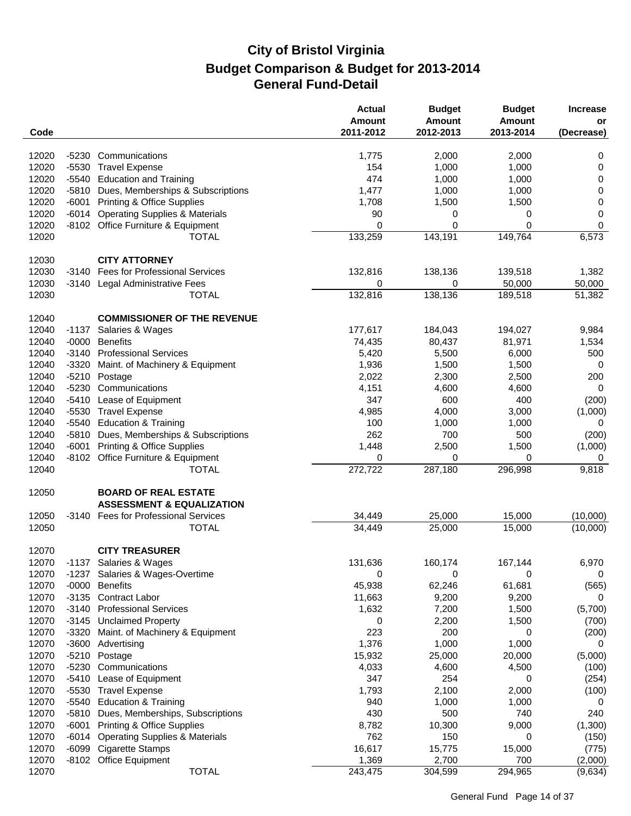| Code                                                                |                                                                                    | <b>Actual</b><br><b>Amount</b><br>2011-2012 | <b>Budget</b><br><b>Amount</b><br>2012-2013 | <b>Budget</b><br>Amount<br>2013-2014 | <b>Increase</b><br>or<br>(Decrease) |
|---------------------------------------------------------------------|------------------------------------------------------------------------------------|---------------------------------------------|---------------------------------------------|--------------------------------------|-------------------------------------|
|                                                                     |                                                                                    |                                             |                                             |                                      |                                     |
| 12020<br>Communications<br>$-5230$                                  |                                                                                    | 1,775                                       | 2,000                                       | 2,000                                | 0                                   |
| 12020<br>$-5530$<br><b>Travel Expense</b>                           |                                                                                    | 154                                         | 1,000                                       | 1,000                                | 0                                   |
| 12020<br>-5540 Education and Training                               |                                                                                    | 474                                         | 1,000                                       | 1,000                                | 0                                   |
| 12020<br>-5810                                                      | Dues, Memberships & Subscriptions                                                  | 1,477                                       | 1,000                                       | 1,000                                | $\mathbf 0$                         |
| 12020<br>$-6001$                                                    | <b>Printing &amp; Office Supplies</b>                                              | 1,708                                       | 1,500                                       | 1,500                                | 0                                   |
| 12020<br>$-6014$                                                    | <b>Operating Supplies &amp; Materials</b>                                          | 90                                          | 0                                           | 0                                    | 0                                   |
| 12020                                                               | -8102 Office Furniture & Equipment                                                 | 0                                           | $\mathbf 0$                                 | $\mathbf 0$                          | $\pmb{0}$                           |
| 12020                                                               | <b>TOTAL</b>                                                                       | 133,259                                     | 143,191                                     | 149,764                              | 6,573                               |
| 12030                                                               | <b>CITY ATTORNEY</b>                                                               |                                             |                                             |                                      |                                     |
| 12030                                                               | -3140 Fees for Professional Services                                               | 132,816                                     | 138,136                                     | 139,518                              | 1,382                               |
| 12030<br>-3140                                                      | Legal Administrative Fees                                                          | 0                                           | 0                                           | 50,000                               | 50,000                              |
| 12030                                                               | <b>TOTAL</b>                                                                       | 132,816                                     | 138,136                                     | 189,518                              | 51,382                              |
| 12040                                                               | <b>COMMISSIONER OF THE REVENUE</b>                                                 |                                             |                                             |                                      |                                     |
| 12040<br>$-1137$                                                    | Salaries & Wages                                                                   | 177,617                                     | 184,043                                     | 194,027                              | 9,984                               |
| 12040<br>$-0000$<br><b>Benefits</b>                                 |                                                                                    | 74,435                                      | 80,437                                      | 81,971                               | 1,534                               |
| 12040<br>$-3140$                                                    | <b>Professional Services</b>                                                       | 5,420                                       | 5,500                                       | 6,000                                | 500                                 |
| 12040<br>$-3320$                                                    | Maint. of Machinery & Equipment                                                    | 1,936                                       | 1,500                                       | 1,500                                | 0                                   |
| 12040<br>$-5210$<br>Postage                                         |                                                                                    | 2,022                                       | 2,300                                       | 2,500                                | 200                                 |
| 12040<br>$-5230$<br>Communications                                  |                                                                                    | 4,151                                       | 4,600                                       | 4,600                                | 0                                   |
| 12040<br>$-5410$                                                    | Lease of Equipment                                                                 | 347                                         | 600                                         | 400                                  | (200)                               |
| 12040<br>-5530<br><b>Travel Expense</b>                             |                                                                                    | 4,985                                       | 4,000                                       | 3,000                                | (1,000)                             |
| 12040<br>$-5540$                                                    | <b>Education &amp; Training</b>                                                    | 100                                         | 1,000                                       | 1,000                                | 0                                   |
| 12040<br>-5810                                                      | Dues, Memberships & Subscriptions                                                  | 262                                         | 700                                         | 500                                  | (200)                               |
| 12040<br>$-6001$                                                    | <b>Printing &amp; Office Supplies</b>                                              | 1,448                                       | 2,500                                       | 1,500                                | (1,000)                             |
| 12040                                                               | -8102 Office Furniture & Equipment                                                 | 0                                           | 0                                           | 0                                    | 0                                   |
| 12040                                                               | <b>TOTAL</b>                                                                       | $\overline{272,722}$                        | 287,180                                     | 296,998                              | 9,818                               |
| 12050                                                               | <b>BOARD OF REAL ESTATE</b>                                                        |                                             |                                             |                                      |                                     |
|                                                                     | <b>ASSESSMENT &amp; EQUALIZATION</b>                                               |                                             |                                             |                                      |                                     |
| 12050                                                               | -3140 Fees for Professional Services                                               | 34,449                                      | 25,000                                      | 15,000                               | (10,000)                            |
| 12050                                                               | <b>TOTAL</b>                                                                       | 34,449                                      | 25,000                                      | 15,000                               | (10,000)                            |
| 12070                                                               | <b>CITY TREASURER</b>                                                              |                                             |                                             |                                      |                                     |
| 12070<br>-1137 Salaries & Wages                                     |                                                                                    | 131,636                                     | 160,174                                     | 167,144                              | 6,970                               |
| 12070                                                               | -1237 Salaries & Wages-Overtime                                                    | 0                                           | 0                                           | 0                                    | 0                                   |
| 12070<br>$-0000$<br><b>Benefits</b>                                 |                                                                                    | 45,938                                      | 62,246                                      | 61,681                               | (565)                               |
| 12070<br>-3135 Contract Labor                                       |                                                                                    | 11,663                                      | 9,200                                       | 9,200                                | 0                                   |
| 12070<br>$-3140$                                                    | <b>Professional Services</b>                                                       | 1,632                                       | 7,200                                       | 1,500                                | (5,700)                             |
| 12070<br>-3145 Unclaimed Property                                   |                                                                                    | 0                                           | 2,200                                       | 1,500                                | (700)                               |
| 12070<br>$-3320$                                                    | Maint. of Machinery & Equipment                                                    | 223<br>1,376                                | 200<br>1,000                                | 0<br>1,000                           | (200)                               |
| 12070<br>$-3600$<br>Advertising<br>12070<br>-5210 Postage           |                                                                                    |                                             |                                             | 20,000                               | 0<br>(5,000)                        |
| 12070<br>-5230 Communications                                       |                                                                                    | 15,932<br>4,033                             | 25,000<br>4,600                             | 4,500                                |                                     |
| 12070                                                               |                                                                                    | 347                                         | 254                                         |                                      | (100)                               |
| -5410 Lease of Equipment<br>12070<br>-5530<br><b>Travel Expense</b> |                                                                                    | 1,793                                       | 2,100                                       | 0<br>2,000                           | (254)<br>(100)                      |
| 12070<br>$-5540$                                                    | <b>Education &amp; Training</b>                                                    |                                             |                                             |                                      |                                     |
| 12070<br>$-5810$                                                    |                                                                                    | 940<br>430                                  | 1,000<br>500                                | 1,000<br>740                         | 0<br>240                            |
| 12070                                                               | Dues, Memberships, Subscriptions                                                   |                                             |                                             |                                      |                                     |
| -6001<br>12070<br>-6014                                             | <b>Printing &amp; Office Supplies</b><br><b>Operating Supplies &amp; Materials</b> | 8,782<br>762                                | 10,300<br>150                               | 9,000<br>0                           | (1,300)                             |
| 12070<br>-6099 Cigarette Stamps                                     |                                                                                    | 16,617                                      | 15,775                                      | 15,000                               | (150)<br>(775)                      |
| 12070<br>-8102 Office Equipment                                     |                                                                                    | 1,369                                       | 2,700                                       | 700                                  | (2,000)                             |
| 12070                                                               | <b>TOTAL</b>                                                                       | 243,475                                     | 304,599                                     | 294,965                              | (9,634)                             |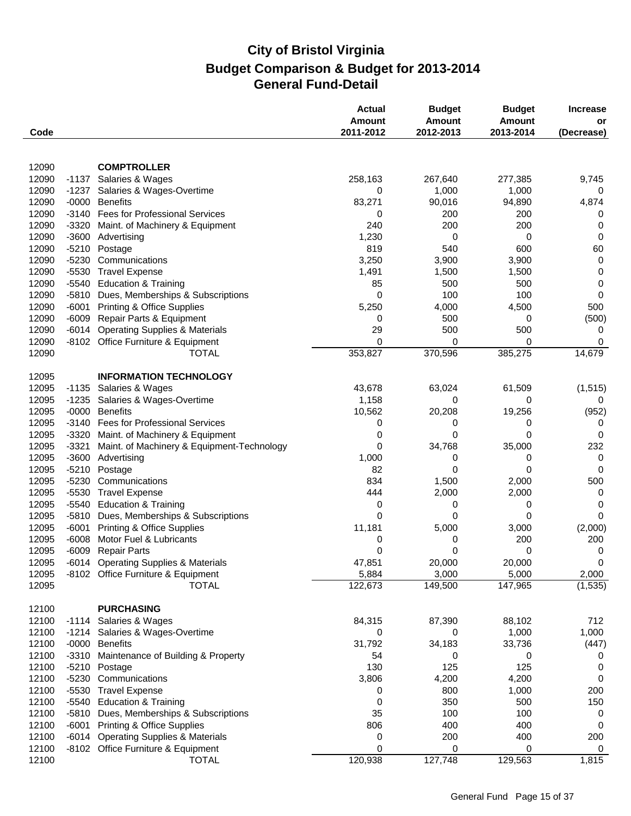| Code  |         |                                            | <b>Actual</b><br>Amount<br>2011-2012 | <b>Budget</b><br><b>Amount</b><br>2012-2013 | <b>Budget</b><br>Amount<br>2013-2014 | <b>Increase</b><br>or<br>(Decrease) |
|-------|---------|--------------------------------------------|--------------------------------------|---------------------------------------------|--------------------------------------|-------------------------------------|
|       |         |                                            |                                      |                                             |                                      |                                     |
| 12090 |         | <b>COMPTROLLER</b>                         |                                      |                                             |                                      |                                     |
| 12090 |         | -1137 Salaries & Wages                     | 258,163                              | 267,640                                     | 277,385                              | 9,745                               |
| 12090 | -1237   | Salaries & Wages-Overtime                  | 0                                    | 1,000                                       | 1,000                                | 0                                   |
| 12090 | $-0000$ | <b>Benefits</b>                            | 83,271                               | 90,016                                      | 94,890                               | 4,874                               |
| 12090 | $-3140$ | <b>Fees for Professional Services</b>      | 0                                    | 200                                         | 200                                  | 0                                   |
| 12090 | $-3320$ | Maint. of Machinery & Equipment            | 240                                  | 200                                         | 200                                  | 0                                   |
| 12090 | $-3600$ | Advertising                                | 1,230                                | 0                                           | 0                                    | 0                                   |
| 12090 | $-5210$ | Postage                                    | 819                                  | 540                                         | 600                                  | 60                                  |
| 12090 | $-5230$ | Communications                             | 3,250                                | 3,900                                       | 3,900                                | 0                                   |
| 12090 | $-5530$ | <b>Travel Expense</b>                      | 1,491                                | 1,500                                       | 1,500                                | 0                                   |
| 12090 | $-5540$ | <b>Education &amp; Training</b>            | 85                                   | 500                                         | 500                                  | 0                                   |
| 12090 | -5810   | Dues, Memberships & Subscriptions          | 0                                    | 100                                         | 100                                  | 0                                   |
| 12090 | $-6001$ | <b>Printing &amp; Office Supplies</b>      | 5,250                                | 4,000                                       | 4,500                                | 500                                 |
| 12090 | $-6009$ | Repair Parts & Equipment                   | 0                                    | 500                                         | 0                                    | (500)                               |
| 12090 | $-6014$ | <b>Operating Supplies &amp; Materials</b>  | 29                                   | 500                                         | 500                                  | 0                                   |
| 12090 |         | -8102 Office Furniture & Equipment         | 0                                    | 0                                           | 0                                    | 0                                   |
| 12090 |         | <b>TOTAL</b>                               | 353,827                              | 370,596                                     | 385,275                              | 14,679                              |
| 12095 |         | <b>INFORMATION TECHNOLOGY</b>              |                                      |                                             |                                      |                                     |
| 12095 | $-1135$ | Salaries & Wages                           | 43,678                               | 63,024                                      | 61,509                               | (1, 515)                            |
| 12095 | $-1235$ | Salaries & Wages-Overtime                  | 1,158                                | 0                                           | 0                                    | 0                                   |
| 12095 | $-0000$ | <b>Benefits</b>                            | 10,562                               | 20,208                                      | 19,256                               | (952)                               |
| 12095 | $-3140$ | <b>Fees for Professional Services</b>      | 0                                    | 0                                           | 0                                    | 0                                   |
| 12095 | $-3320$ | Maint. of Machinery & Equipment            | 0                                    | 0                                           | 0                                    | 0                                   |
| 12095 | $-3321$ | Maint. of Machinery & Equipment-Technology | 0                                    | 34,768                                      | 35,000                               | 232                                 |
| 12095 | $-3600$ | Advertising                                | 1,000                                | 0                                           | 0                                    | 0                                   |
| 12095 | $-5210$ | Postage                                    | 82                                   | 0                                           | 0                                    | 0                                   |
| 12095 | $-5230$ | Communications                             | 834                                  | 1,500                                       | 2,000                                | 500                                 |
| 12095 | $-5530$ | <b>Travel Expense</b>                      | 444                                  | 2,000                                       | 2,000                                | 0                                   |
| 12095 | -5540   | <b>Education &amp; Training</b>            | 0                                    | 0                                           | 0                                    | 0                                   |
| 12095 | $-5810$ | Dues, Memberships & Subscriptions          | 0                                    | 0                                           | 0                                    | $\Omega$                            |
| 12095 | $-6001$ | <b>Printing &amp; Office Supplies</b>      | 11,181                               | 5,000                                       | 3,000                                | (2,000)                             |
| 12095 | $-6008$ | Motor Fuel & Lubricants                    | 0                                    | 0                                           | 200                                  | 200                                 |
| 12095 | $-6009$ | <b>Repair Parts</b>                        | 0                                    | 0                                           | 0                                    | 0                                   |
| 12095 |         | -6014 Operating Supplies & Materials       | 47,851                               | 20,000                                      | 20,000                               | $\mathbf 0$                         |
| 12095 |         | -8102 Office Furniture & Equipment         | 5,884                                | 3,000                                       | 5,000                                | 2,000                               |
| 12095 |         | <b>TOTAL</b>                               | 122,673                              | 149,500                                     | 147,965                              | (1, 535)                            |
| 12100 |         | <b>PURCHASING</b>                          |                                      |                                             |                                      |                                     |
| 12100 | -1114   | Salaries & Wages                           | 84,315                               | 87,390                                      | 88,102                               | 712                                 |
| 12100 | -1214   | Salaries & Wages-Overtime                  | 0                                    | 0                                           | 1,000                                | 1,000                               |
| 12100 | $-0000$ | <b>Benefits</b>                            | 31,792                               | 34,183                                      | 33,736                               | (447)                               |
| 12100 | $-3310$ | Maintenance of Building & Property         | 54                                   | 0                                           | 0                                    | 0                                   |
| 12100 | $-5210$ | Postage                                    | 130                                  | 125                                         | 125                                  | 0                                   |
| 12100 | $-5230$ | Communications                             | 3,806                                | 4,200                                       | 4,200                                | 0                                   |
| 12100 |         | -5530 Travel Expense                       | 0                                    | 800                                         | 1,000                                | 200                                 |
| 12100 |         | -5540 Education & Training                 | 0                                    | 350                                         | 500                                  | 150                                 |
| 12100 | -5810   | Dues, Memberships & Subscriptions          | 35                                   | 100                                         | 100                                  | 0                                   |
| 12100 | $-6001$ | <b>Printing &amp; Office Supplies</b>      | 806                                  | 400                                         | 400                                  | 0                                   |
| 12100 |         | -6014 Operating Supplies & Materials       | 0                                    | 200                                         | 400                                  | 200                                 |
| 12100 |         | -8102 Office Furniture & Equipment         | 0                                    | 0                                           | 0                                    | 0                                   |
| 12100 |         | <b>TOTAL</b>                               | 120,938                              | 127,748                                     | 129,563                              | 1,815                               |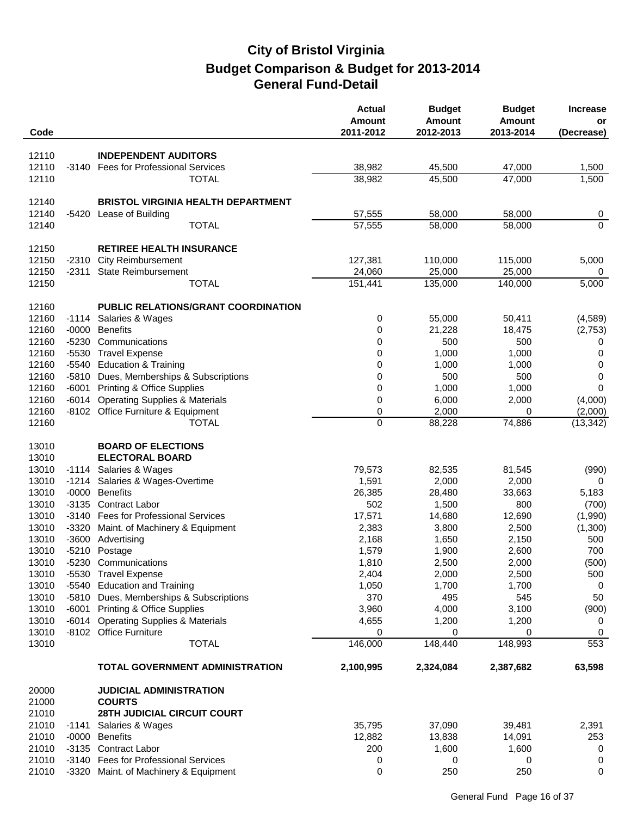| Code           |                    |                                                                                    | <b>Actual</b><br><b>Amount</b><br>2011-2012 | <b>Budget</b><br><b>Amount</b><br>2012-2013 | <b>Budget</b><br>Amount<br>2013-2014 | <b>Increase</b><br>or<br>(Decrease) |
|----------------|--------------------|------------------------------------------------------------------------------------|---------------------------------------------|---------------------------------------------|--------------------------------------|-------------------------------------|
|                |                    |                                                                                    |                                             |                                             |                                      |                                     |
| 12110          |                    | <b>INDEPENDENT AUDITORS</b>                                                        |                                             |                                             |                                      |                                     |
| 12110<br>12110 | -3140              | <b>Fees for Professional Services</b><br><b>TOTAL</b>                              | 38,982<br>38,982                            | 45,500<br>45,500                            | 47,000<br>47,000                     | 1,500<br>1,500                      |
|                |                    |                                                                                    |                                             |                                             |                                      |                                     |
| 12140          |                    | <b>BRISTOL VIRGINIA HEALTH DEPARTMENT</b>                                          |                                             |                                             |                                      |                                     |
| 12140          | -5420              | Lease of Building                                                                  | 57,555                                      | 58,000                                      | 58,000                               | 0                                   |
| 12140          |                    | <b>TOTAL</b>                                                                       | 57,555                                      | 58,000                                      | 58,000                               | $\overline{0}$                      |
|                |                    |                                                                                    |                                             |                                             |                                      |                                     |
| 12150          |                    | <b>RETIREE HEALTH INSURANCE</b>                                                    |                                             |                                             |                                      |                                     |
| 12150<br>12150 | $-2310$<br>-2311   | <b>City Reimbursement</b><br><b>State Reimbursement</b>                            | 127,381                                     | 110,000                                     | 115,000                              | 5,000                               |
| 12150          |                    | <b>TOTAL</b>                                                                       | 24,060<br>151,441                           | 25,000<br>135,000                           | 25,000<br>140,000                    | 0<br>5,000                          |
|                |                    |                                                                                    |                                             |                                             |                                      |                                     |
| 12160          |                    | PUBLIC RELATIONS/GRANT COORDINATION                                                |                                             |                                             |                                      |                                     |
| 12160          | $-1114$            | Salaries & Wages                                                                   | 0                                           | 55,000                                      | 50,411                               | (4, 589)                            |
| 12160          | $-0000$            | <b>Benefits</b>                                                                    | 0                                           | 21,228                                      | 18,475                               | (2,753)                             |
| 12160          |                    | -5230 Communications                                                               | 0                                           | 500                                         | 500                                  | 0                                   |
| 12160          |                    | -5530 Travel Expense                                                               | 0                                           | 1,000                                       | 1,000                                | 0                                   |
| 12160          | $-5540$            | <b>Education &amp; Training</b>                                                    | 0                                           | 1,000                                       | 1,000                                | 0                                   |
| 12160<br>12160 | $-5810$            | Dues, Memberships & Subscriptions                                                  | 0                                           | 500                                         | 500                                  | 0                                   |
| 12160          | $-6001$<br>$-6014$ | <b>Printing &amp; Office Supplies</b><br><b>Operating Supplies &amp; Materials</b> | 0<br>0                                      | 1,000<br>6,000                              | 1,000<br>2,000                       | 0<br>(4,000)                        |
| 12160          |                    | -8102 Office Furniture & Equipment                                                 | 0                                           | 2,000                                       | 0                                    | (2,000)                             |
| 12160          |                    | <b>TOTAL</b>                                                                       | $\overline{0}$                              | 88,228                                      | 74,886                               | (13, 342)                           |
|                |                    |                                                                                    |                                             |                                             |                                      |                                     |
| 13010          |                    | <b>BOARD OF ELECTIONS</b>                                                          |                                             |                                             |                                      |                                     |
| 13010          |                    | <b>ELECTORAL BOARD</b>                                                             |                                             |                                             |                                      |                                     |
| 13010          |                    | -1114 Salaries & Wages                                                             | 79,573                                      | 82,535                                      | 81,545                               | (990)                               |
| 13010<br>13010 |                    | -1214 Salaries & Wages-Overtime<br>-0000 Benefits                                  | 1,591<br>26,385                             | 2,000<br>28,480                             | 2,000<br>33,663                      | 0<br>5,183                          |
| 13010          |                    | -3135 Contract Labor                                                               | 502                                         | 1,500                                       | 800                                  | (700)                               |
| 13010          | $-3140$            | <b>Fees for Professional Services</b>                                              | 17,571                                      | 14,680                                      | 12,690                               | (1,990)                             |
| 13010          | $-3320$            | Maint. of Machinery & Equipment                                                    | 2,383                                       | 3,800                                       | 2,500                                | (1,300)                             |
| 13010          |                    | -3600 Advertising                                                                  | 2,168                                       | 1,650                                       | 2,150                                | 500                                 |
| 13010          |                    | -5210 Postage                                                                      | 1,579                                       | 1,900                                       | 2,600                                | 700                                 |
| 13010          |                    | -5230 Communications                                                               | 1,810                                       | 2,500                                       | 2,000                                | (500)                               |
| 13010          |                    | -5530 Travel Expense                                                               | 2,404                                       | 2,000                                       | 2,500                                | 500                                 |
| 13010          |                    | -5540 Education and Training                                                       | 1,050                                       | 1,700                                       | 1,700                                | 0                                   |
| 13010          |                    | -5810 Dues, Memberships & Subscriptions                                            | 370                                         | 495                                         | 545                                  | 50                                  |
| 13010<br>13010 |                    | -6001 Printing & Office Supplies<br>-6014 Operating Supplies & Materials           | 3,960                                       | 4,000<br>1,200                              | 3,100                                | (900)                               |
| 13010          |                    | -8102 Office Furniture                                                             | 4,655<br>0                                  | 0                                           | 1,200<br>0                           | 0<br>0                              |
| 13010          |                    | <b>TOTAL</b>                                                                       | 146,000                                     | 148,440                                     | 148,993                              | 553                                 |
|                |                    |                                                                                    |                                             |                                             |                                      |                                     |
|                |                    | <b>TOTAL GOVERNMENT ADMINISTRATION</b>                                             | 2,100,995                                   | 2,324,084                                   | 2,387,682                            | 63,598                              |
| 20000          |                    | <b>JUDICIAL ADMINISTRATION</b>                                                     |                                             |                                             |                                      |                                     |
| 21000          |                    | <b>COURTS</b>                                                                      |                                             |                                             |                                      |                                     |
| 21010          |                    | <b>28TH JUDICIAL CIRCUIT COURT</b>                                                 |                                             |                                             |                                      |                                     |
| 21010          | -1141              | Salaries & Wages                                                                   | 35,795                                      | 37,090                                      | 39,481                               | 2,391                               |
| 21010          |                    | -0000 Benefits                                                                     | 12,882                                      | 13,838                                      | 14,091                               | 253                                 |
| 21010          |                    | -3135 Contract Labor                                                               | 200                                         | 1,600                                       | 1,600                                | 0                                   |
| 21010<br>21010 |                    | -3140 Fees for Professional Services<br>-3320 Maint. of Machinery & Equipment      | 0<br>0                                      | 0<br>250                                    | 0<br>250                             | 0<br>0                              |
|                |                    |                                                                                    |                                             |                                             |                                      |                                     |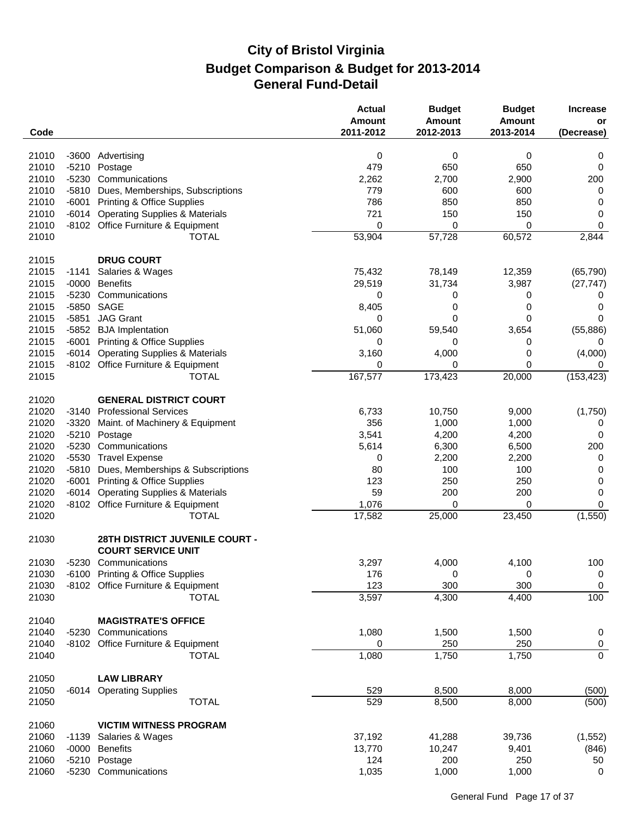| Code  |         |                                                             | <b>Actual</b><br><b>Amount</b><br>2011-2012 | <b>Budget</b><br><b>Amount</b><br>2012-2013 | <b>Budget</b><br><b>Amount</b><br>2013-2014 | <b>Increase</b><br>or<br>(Decrease) |
|-------|---------|-------------------------------------------------------------|---------------------------------------------|---------------------------------------------|---------------------------------------------|-------------------------------------|
|       |         |                                                             |                                             |                                             |                                             |                                     |
| 21010 |         | -3600 Advertising                                           | 0                                           | 0                                           | 0                                           | 0                                   |
| 21010 | $-5210$ | Postage                                                     | 479                                         | 650                                         | 650                                         | 0                                   |
| 21010 |         | -5230 Communications                                        | 2,262                                       | 2,700                                       | 2,900                                       | 200                                 |
| 21010 | $-5810$ | Dues, Memberships, Subscriptions                            | 779                                         | 600                                         | 600                                         | 0                                   |
| 21010 | $-6001$ | <b>Printing &amp; Office Supplies</b>                       | 786                                         | 850                                         | 850                                         | 0                                   |
| 21010 | $-6014$ | <b>Operating Supplies &amp; Materials</b>                   | 721                                         | 150                                         | 150                                         | 0                                   |
| 21010 |         | -8102 Office Furniture & Equipment                          | 0                                           | 0                                           | 0                                           | 0                                   |
| 21010 |         | <b>TOTAL</b>                                                | 53,904                                      | 57,728                                      | 60,572                                      | 2,844                               |
| 21015 |         | <b>DRUG COURT</b>                                           |                                             |                                             |                                             |                                     |
| 21015 | -1141   | Salaries & Wages                                            | 75,432                                      | 78,149                                      | 12,359                                      | (65, 790)                           |
| 21015 | $-0000$ | <b>Benefits</b>                                             | 29,519                                      | 31,734                                      | 3,987                                       | (27, 747)                           |
| 21015 | $-5230$ | Communications                                              | 0                                           | 0                                           | 0                                           | 0                                   |
| 21015 | $-5850$ | SAGE                                                        | 8,405                                       | 0                                           | 0                                           | 0                                   |
| 21015 | $-5851$ | <b>JAG Grant</b>                                            | 0                                           | 0                                           | 0                                           | 0                                   |
| 21015 |         | -5852 BJA Implentation                                      | 51,060                                      | 59,540                                      | 3,654                                       | (55, 886)                           |
| 21015 | $-6001$ | <b>Printing &amp; Office Supplies</b>                       | 0                                           | 0                                           | 0                                           | 0                                   |
| 21015 | $-6014$ | <b>Operating Supplies &amp; Materials</b>                   | 3,160                                       | 4,000                                       | 0                                           | (4,000)                             |
| 21015 |         | -8102 Office Furniture & Equipment                          | 0                                           | 0                                           | 0                                           | 0                                   |
| 21015 |         | <b>TOTAL</b>                                                | 167,577                                     | 173,423                                     | 20,000                                      | (153, 423)                          |
|       |         |                                                             |                                             |                                             |                                             |                                     |
| 21020 |         | <b>GENERAL DISTRICT COURT</b>                               |                                             |                                             |                                             |                                     |
| 21020 | -3140   | <b>Professional Services</b>                                | 6,733                                       | 10,750                                      | 9,000                                       | (1,750)                             |
| 21020 | $-3320$ | Maint. of Machinery & Equipment                             | 356                                         | 1,000                                       | 1,000                                       | 0                                   |
| 21020 | $-5210$ | Postage                                                     | 3,541                                       | 4,200                                       | 4,200                                       | 0                                   |
| 21020 | $-5230$ | Communications                                              | 5,614                                       | 6,300                                       | 6,500                                       | 200                                 |
| 21020 | $-5530$ | <b>Travel Expense</b>                                       | 0                                           | 2,200                                       | 2,200                                       | 0                                   |
| 21020 | -5810   | Dues, Memberships & Subscriptions                           | 80                                          | 100                                         | 100                                         | 0                                   |
| 21020 | $-6001$ | <b>Printing &amp; Office Supplies</b>                       | 123                                         | 250                                         | 250                                         | 0                                   |
| 21020 | $-6014$ | <b>Operating Supplies &amp; Materials</b>                   | 59                                          | 200                                         | 200                                         | 0                                   |
| 21020 |         | -8102 Office Furniture & Equipment                          | 1,076                                       | 0                                           | 0                                           | 0                                   |
| 21020 |         | <b>TOTAL</b>                                                | 17,582                                      | 25,000                                      | 23,450                                      | (1,550)                             |
| 21030 |         | 28TH DISTRICT JUVENILE COURT -<br><b>COURT SERVICE UNIT</b> |                                             |                                             |                                             |                                     |
| 21030 |         | -5230 Communications                                        | 3,297                                       | 4,000                                       | 4,100                                       | 100                                 |
| 21030 |         | -6100 Printing & Office Supplies                            | 176                                         | 0                                           | 0                                           | $\boldsymbol{0}$                    |
| 21030 |         | -8102 Office Furniture & Equipment                          | 123                                         | 300                                         | 300                                         | 0                                   |
| 21030 |         | <b>TOTAL</b>                                                | 3,597                                       | 4,300                                       | 4,400                                       | 100                                 |
|       |         |                                                             |                                             |                                             |                                             |                                     |
| 21040 |         | <b>MAGISTRATE'S OFFICE</b>                                  |                                             |                                             |                                             |                                     |
| 21040 |         | -5230 Communications                                        | 1,080                                       | 1,500                                       | 1,500                                       | $\boldsymbol{0}$                    |
| 21040 |         | -8102 Office Furniture & Equipment                          | 0                                           | 250                                         | 250                                         | $\mathbf 0$                         |
| 21040 |         | <b>TOTAL</b>                                                | 1,080                                       | 1,750                                       | 1,750                                       | $\overline{0}$                      |
| 21050 |         | <b>LAW LIBRARY</b>                                          |                                             |                                             |                                             |                                     |
| 21050 |         | -6014 Operating Supplies                                    | 529                                         | 8,500                                       | 8,000                                       | (500)                               |
| 21050 |         | <b>TOTAL</b>                                                | 529                                         | 8,500                                       | 8,000                                       | (500)                               |
|       |         |                                                             |                                             |                                             |                                             |                                     |
| 21060 |         | <b>VICTIM WITNESS PROGRAM</b>                               |                                             |                                             |                                             |                                     |
| 21060 | $-1139$ | Salaries & Wages                                            | 37,192                                      | 41,288                                      | 39,736                                      | (1, 552)                            |
| 21060 | -0000   | <b>Benefits</b>                                             | 13,770                                      | 10,247                                      | 9,401                                       | (846)                               |
| 21060 |         | -5210 Postage                                               | 124                                         | 200                                         | 250                                         | 50                                  |
| 21060 |         | -5230 Communications                                        | 1,035                                       | 1,000                                       | 1,000                                       | 0                                   |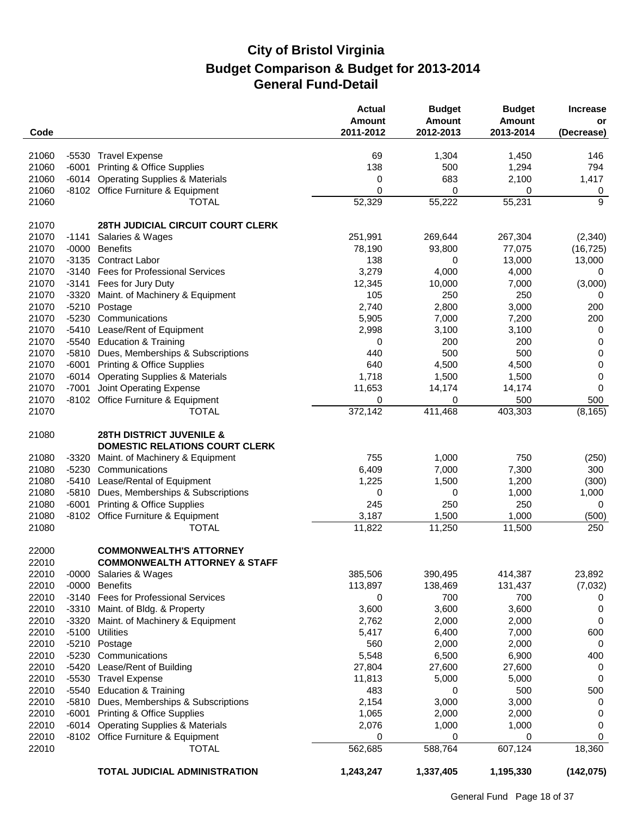| Code           |         |                                                                              | <b>Actual</b><br>Amount<br>2011-2012 | <b>Budget</b><br><b>Amount</b><br>2012-2013 | <b>Budget</b><br><b>Amount</b><br>2013-2014 | <b>Increase</b><br>or<br>(Decrease) |
|----------------|---------|------------------------------------------------------------------------------|--------------------------------------|---------------------------------------------|---------------------------------------------|-------------------------------------|
|                |         |                                                                              |                                      |                                             |                                             |                                     |
| 21060          |         | -5530 Travel Expense                                                         | 69                                   | 1,304                                       | 1,450                                       | 146                                 |
| 21060          | $-6001$ | <b>Printing &amp; Office Supplies</b>                                        | 138                                  | 500                                         | 1,294                                       | 794                                 |
| 21060          |         | -6014 Operating Supplies & Materials                                         | 0                                    | 683                                         | 2,100                                       | 1,417                               |
| 21060          |         | -8102 Office Furniture & Equipment                                           | 0                                    | 0                                           | 0                                           | 0                                   |
| 21060          |         | <b>TOTAL</b>                                                                 | 52,329                               | 55,222                                      | 55,231                                      | 9                                   |
| 21070          |         | <b>28TH JUDICIAL CIRCUIT COURT CLERK</b>                                     |                                      |                                             |                                             |                                     |
| 21070          | $-1141$ | Salaries & Wages                                                             | 251,991                              | 269,644                                     | 267,304                                     | (2, 340)                            |
| 21070          | $-0000$ | <b>Benefits</b>                                                              | 78,190                               | 93,800                                      | 77,075                                      | (16, 725)                           |
| 21070          | $-3135$ | <b>Contract Labor</b>                                                        | 138                                  | 0                                           | 13,000                                      | 13,000                              |
| 21070          |         | -3140 Fees for Professional Services                                         | 3,279                                | 4,000                                       | 4,000                                       | 0                                   |
| 21070          | $-3141$ | Fees for Jury Duty                                                           | 12,345                               | 10,000                                      | 7,000                                       | (3,000)                             |
| 21070          | $-3320$ | Maint. of Machinery & Equipment                                              | 105                                  | 250                                         | 250                                         | 0                                   |
| 21070          | $-5210$ | Postage                                                                      | 2,740                                | 2,800                                       | 3,000                                       | 200                                 |
| 21070          | $-5230$ | Communications                                                               | 5,905                                | 7,000                                       | 7,200                                       | 200                                 |
| 21070          | -5410   | Lease/Rent of Equipment                                                      | 2,998                                | 3,100                                       | 3,100                                       | $\mathbf 0$                         |
| 21070          | -5540   | <b>Education &amp; Training</b>                                              | 0                                    | 200                                         | 200                                         | $\boldsymbol{0}$                    |
| 21070          | $-5810$ | Dues, Memberships & Subscriptions                                            | 440                                  | 500                                         | 500                                         | $\pmb{0}$                           |
| 21070          | $-6001$ | <b>Printing &amp; Office Supplies</b>                                        | 640                                  | 4,500                                       | 4,500                                       | $\pmb{0}$                           |
| 21070          |         | -6014 Operating Supplies & Materials                                         | 1,718                                | 1,500                                       | 1,500                                       | 0                                   |
| 21070          | $-7001$ | Joint Operating Expense                                                      | 11,653                               | 14,174                                      | 14,174                                      | $\mathbf 0$                         |
| 21070          |         | -8102 Office Furniture & Equipment                                           | 0                                    | 0                                           | 500                                         | 500                                 |
| 21070          |         | <b>TOTAL</b>                                                                 | 372,142                              | 411,468                                     | 403,303                                     | (8, 165)                            |
| 21080          |         | <b>28TH DISTRICT JUVENILE &amp;</b><br><b>DOMESTIC RELATIONS COURT CLERK</b> |                                      |                                             |                                             |                                     |
| 21080          | $-3320$ | Maint. of Machinery & Equipment                                              | 755                                  | 1,000                                       | 750                                         | (250)                               |
| 21080          | $-5230$ | Communications                                                               | 6,409                                | 7,000                                       | 7,300                                       | 300                                 |
| 21080          |         | -5410 Lease/Rental of Equipment                                              | 1,225                                | 1,500                                       | 1,200                                       | (300)                               |
| 21080          | -5810   | Dues, Memberships & Subscriptions                                            | 0                                    | 0                                           | 1,000                                       | 1,000                               |
| 21080          | $-6001$ | <b>Printing &amp; Office Supplies</b>                                        | 245                                  | 250                                         | 250                                         | 0                                   |
| 21080          |         | -8102 Office Furniture & Equipment                                           | 3,187                                | 1,500                                       | 1,000                                       | (500)                               |
| 21080          |         | <b>TOTAL</b>                                                                 | 11,822                               | 11,250                                      | 11,500                                      | 250                                 |
| 22000<br>22010 |         | <b>COMMONWEALTH'S ATTORNEY</b><br><b>COMMONWEALTH ATTORNEY &amp; STAFF</b>   |                                      |                                             |                                             |                                     |
| 22010          |         | -0000 Salaries & Wages                                                       | 385,506                              | 390,495                                     | 414,387                                     | 23,892                              |
| 22010          | $-0000$ | <b>Benefits</b>                                                              | 113,897                              | 138,469                                     | 131,437                                     | (7,032)                             |
| 22010          |         | -3140 Fees for Professional Services                                         | 0                                    | 700                                         | 700                                         | 0                                   |
| 22010          | -3310   | Maint. of Bldg. & Property                                                   | 3,600                                | 3,600                                       | 3,600                                       | $\mathbf 0$                         |
| 22010          | $-3320$ | Maint. of Machinery & Equipment                                              | 2,762                                | 2,000                                       | 2,000                                       | 0                                   |
| 22010          | $-5100$ | <b>Utilities</b>                                                             | 5,417                                | 6,400                                       | 7,000                                       | 600                                 |
| 22010          |         | -5210 Postage                                                                | 560                                  | 2,000                                       | 2,000                                       | $\mathbf 0$                         |
| 22010          | -5230   | Communications                                                               | 5,548                                | 6,500                                       | 6,900                                       | 400                                 |
| 22010          |         | -5420 Lease/Rent of Building                                                 | 27,804                               | 27,600                                      | 27,600                                      | 0                                   |
| 22010          | -5530   | <b>Travel Expense</b>                                                        | 11,813                               | 5,000                                       | 5,000                                       | 0                                   |
| 22010          | $-5540$ | <b>Education &amp; Training</b>                                              | 483                                  | 0                                           | 500                                         | 500                                 |
| 22010          | $-5810$ | Dues, Memberships & Subscriptions                                            | 2,154                                | 3,000                                       | 3,000                                       | 0                                   |
| 22010          | $-6001$ | <b>Printing &amp; Office Supplies</b>                                        | 1,065                                | 2,000                                       | 2,000                                       | 0                                   |
| 22010          |         | -6014 Operating Supplies & Materials                                         | 2,076                                | 1,000                                       | 1,000                                       | 0                                   |
| 22010          |         | -8102 Office Furniture & Equipment                                           | 0                                    | 0                                           | 0                                           | 0                                   |
| 22010          |         | <b>TOTAL</b>                                                                 | 562,685                              | 588,764                                     | 607,124                                     | 18,360                              |
|                |         | TOTAL JUDICIAL ADMINISTRATION                                                | 1,243,247                            | 1,337,405                                   | 1,195,330                                   | (142, 075)                          |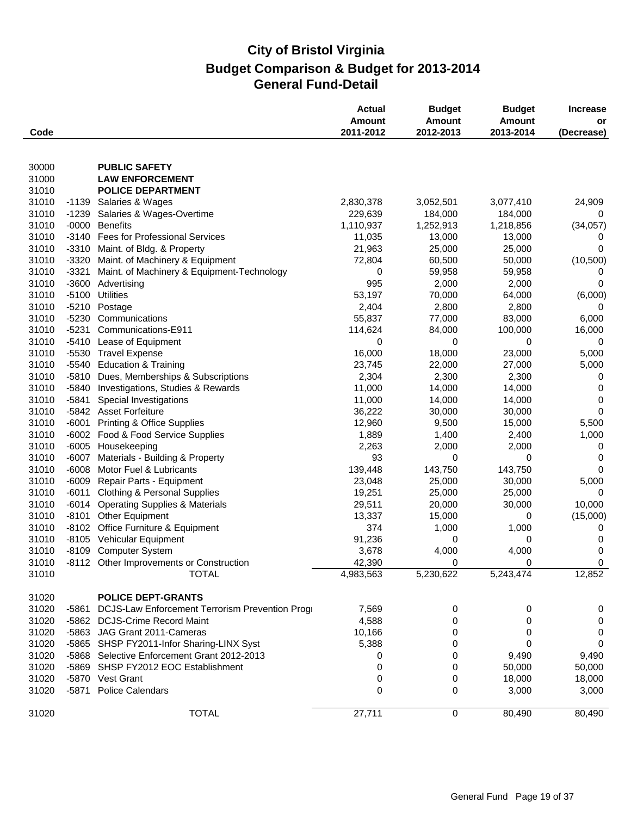|       |         |                                                | <b>Actual</b><br>Amount<br>2011-2012 | <b>Budget</b><br><b>Amount</b><br>2012-2013 | <b>Budget</b><br><b>Amount</b><br>2013-2014 | <b>Increase</b><br>or |
|-------|---------|------------------------------------------------|--------------------------------------|---------------------------------------------|---------------------------------------------|-----------------------|
| Code  |         |                                                |                                      |                                             |                                             | (Decrease)            |
| 30000 |         | <b>PUBLIC SAFETY</b>                           |                                      |                                             |                                             |                       |
| 31000 |         | <b>LAW ENFORCEMENT</b>                         |                                      |                                             |                                             |                       |
| 31010 |         | <b>POLICE DEPARTMENT</b>                       |                                      |                                             |                                             |                       |
| 31010 |         | -1139 Salaries & Wages                         | 2,830,378                            | 3,052,501                                   | 3,077,410                                   | 24,909                |
| 31010 | $-1239$ | Salaries & Wages-Overtime                      | 229,639                              | 184,000                                     | 184,000                                     | 0                     |
| 31010 | $-0000$ | <b>Benefits</b>                                | 1,110,937                            | 1,252,913                                   | 1,218,856                                   | (34, 057)             |
| 31010 | $-3140$ | <b>Fees for Professional Services</b>          | 11,035                               | 13,000                                      | 13,000                                      | 0                     |
| 31010 | $-3310$ | Maint. of Bldg. & Property                     | 21,963                               | 25,000                                      | 25,000                                      | 0                     |
| 31010 | $-3320$ | Maint. of Machinery & Equipment                | 72,804                               | 60,500                                      | 50,000                                      | (10, 500)             |
| 31010 | $-3321$ | Maint. of Machinery & Equipment-Technology     | 0                                    | 59,958                                      | 59,958                                      | 0                     |
| 31010 | $-3600$ | Advertising                                    | 995                                  | 2,000                                       | 2,000                                       | 0                     |
| 31010 | $-5100$ | <b>Utilities</b>                               | 53,197                               | 70,000                                      | 64,000                                      | (6,000)               |
| 31010 |         | -5210 Postage                                  | 2,404                                | 2,800                                       | 2,800                                       | 0                     |
| 31010 | $-5230$ | Communications                                 | 55,837                               | 77,000                                      | 83,000                                      | 6,000                 |
| 31010 | $-5231$ | Communications-E911                            | 114,624                              | 84,000                                      | 100,000                                     | 16,000                |
| 31010 | $-5410$ | Lease of Equipment                             | 0                                    | 0                                           | 0                                           | 0                     |
| 31010 |         | -5530 Travel Expense                           | 16,000                               | 18,000                                      | 23,000                                      | 5,000                 |
| 31010 | $-5540$ | <b>Education &amp; Training</b>                | 23,745                               | 22,000                                      | 27,000                                      | 5,000                 |
| 31010 | $-5810$ | Dues, Memberships & Subscriptions              | 2,304                                | 2,300                                       | 2,300                                       | 0                     |
| 31010 | -5840   | Investigations, Studies & Rewards              | 11,000                               | 14,000                                      | 14,000                                      | 0                     |
| 31010 | $-5841$ | Special Investigations                         | 11,000                               | 14,000                                      | 14,000                                      | 0                     |
| 31010 |         | -5842 Asset Forfeiture                         | 36,222                               | 30,000                                      | 30,000                                      | $\Omega$              |
| 31010 | $-6001$ | <b>Printing &amp; Office Supplies</b>          | 12,960                               | 9,500                                       | 15,000                                      | 5,500                 |
| 31010 | $-6002$ | Food & Food Service Supplies                   | 1,889                                | 1,400                                       | 2,400                                       | 1,000                 |
| 31010 |         | -6005 Housekeeping                             | 2,263                                | 2,000                                       | 2,000                                       | 0                     |
| 31010 | $-6007$ | Materials - Building & Property                | 93                                   | 0                                           | 0                                           | 0                     |
| 31010 | $-6008$ | Motor Fuel & Lubricants                        | 139,448                              | 143,750                                     | 143,750                                     | 0                     |
| 31010 | $-6009$ | Repair Parts - Equipment                       | 23,048                               | 25,000                                      | 30,000                                      | 5,000                 |
| 31010 | $-6011$ | <b>Clothing &amp; Personal Supplies</b>        | 19,251                               | 25,000                                      | 25,000                                      | 0                     |
| 31010 | -6014   | <b>Operating Supplies &amp; Materials</b>      | 29,511                               | 20,000                                      | 30,000                                      | 10,000                |
| 31010 | $-8101$ | Other Equipment                                | 13,337                               | 15,000                                      | 0                                           | (15,000)              |
| 31010 | $-8102$ | Office Furniture & Equipment                   | 374                                  | 1,000                                       | 1,000                                       | 0                     |
| 31010 |         | -8105 Vehicular Equipment                      | 91,236                               | 0                                           | 0                                           | 0                     |
| 31010 |         | -8109 Computer System                          | 3,678                                | 4,000                                       | 4,000                                       | 0                     |
| 31010 |         | -8112 Other Improvements or Construction       | 42,390                               | 0                                           | $\Omega$                                    | $\mathbf 0$           |
| 31010 |         | <b>TOTAL</b>                                   | 4,983,563                            | 5,230,622                                   | 5,243,474                                   | 12,852                |
| 31020 |         | <b>POLICE DEPT-GRANTS</b>                      |                                      |                                             |                                             |                       |
| 31020 | $-5861$ | DCJS-Law Enforcement Terrorism Prevention Prog | 7,569                                | 0                                           | 0                                           | 0                     |
| 31020 | $-5862$ | <b>DCJS-Crime Record Maint</b>                 | 4,588                                | 0                                           | 0                                           | $\mathbf 0$           |
| 31020 | -5863   | JAG Grant 2011-Cameras                         | 10,166                               | 0                                           | 0                                           | $\boldsymbol{0}$      |
| 31020 | -5865   | SHSP FY2011-Infor Sharing-LINX Syst            | 5,388                                | 0                                           | 0                                           | 0                     |
| 31020 |         | -5868 Selective Enforcement Grant 2012-2013    | 0                                    | 0                                           | 9,490                                       | 9,490                 |
| 31020 |         | -5869 SHSP FY2012 EOC Establishment            | 0                                    | 0                                           | 50,000                                      | 50,000                |
| 31020 |         | -5870 Vest Grant                               | 0                                    | 0                                           | 18,000                                      | 18,000                |
| 31020 | -5871   | <b>Police Calendars</b>                        | 0                                    | 0                                           | 3,000                                       | 3,000                 |
| 31020 |         | <b>TOTAL</b>                                   | 27,711                               | $\pmb{0}$                                   | 80,490                                      | 80,490                |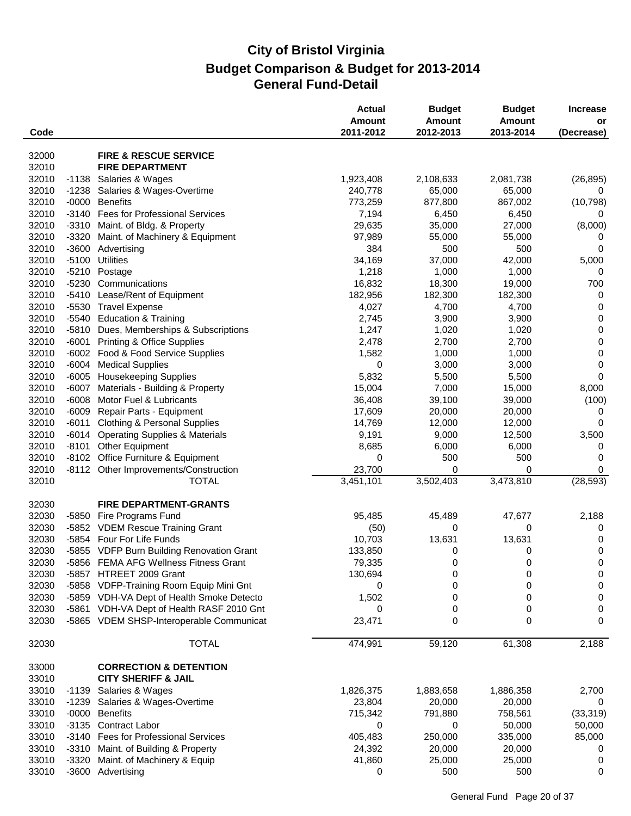| Code           |                    |                                                            | <b>Actual</b><br><b>Amount</b><br>2011-2012 | <b>Budget</b><br><b>Amount</b><br>2012-2013 | <b>Budget</b><br><b>Amount</b><br>2013-2014 | <b>Increase</b><br>or<br>(Decrease) |
|----------------|--------------------|------------------------------------------------------------|---------------------------------------------|---------------------------------------------|---------------------------------------------|-------------------------------------|
|                |                    |                                                            |                                             |                                             |                                             |                                     |
| 32000          |                    | <b>FIRE &amp; RESCUE SERVICE</b><br><b>FIRE DEPARTMENT</b> |                                             |                                             |                                             |                                     |
| 32010<br>32010 |                    | Salaries & Wages                                           | 1,923,408                                   | 2,108,633                                   | 2,081,738                                   |                                     |
| 32010          | $-1138$<br>$-1238$ | Salaries & Wages-Overtime                                  | 240,778                                     | 65,000                                      | 65,000                                      | (26, 895)<br>0                      |
| 32010          | $-0000$            | <b>Benefits</b>                                            | 773,259                                     | 877,800                                     | 867,002                                     | (10, 798)                           |
| 32010          | $-3140$            | <b>Fees for Professional Services</b>                      | 7,194                                       | 6,450                                       | 6,450                                       | 0                                   |
| 32010          | $-3310$            | Maint. of Bldg. & Property                                 | 29,635                                      | 35,000                                      | 27,000                                      | (8,000)                             |
| 32010          | $-3320$            | Maint. of Machinery & Equipment                            | 97,989                                      | 55,000                                      | 55,000                                      | 0                                   |
| 32010          | $-3600$            | Advertising                                                | 384                                         | 500                                         | 500                                         | 0                                   |
| 32010          | $-5100$            | <b>Utilities</b>                                           | 34,169                                      | 37,000                                      | 42,000                                      | 5,000                               |
| 32010          | $-5210$            | Postage                                                    | 1,218                                       | 1,000                                       | 1,000                                       | 0                                   |
| 32010          | $-5230$            | Communications                                             | 16,832                                      | 18,300                                      | 19,000                                      | 700                                 |
| 32010          |                    | -5410 Lease/Rent of Equipment                              | 182,956                                     | 182,300                                     | 182,300                                     | 0                                   |
| 32010          |                    | -5530 Travel Expense                                       | 4,027                                       | 4,700                                       | 4,700                                       | 0                                   |
| 32010          | $-5540$            | <b>Education &amp; Training</b>                            | 2,745                                       | 3,900                                       | 3,900                                       | 0                                   |
| 32010          | $-5810$            | Dues, Memberships & Subscriptions                          | 1,247                                       | 1,020                                       | 1,020                                       | 0                                   |
| 32010          | $-6001$            | <b>Printing &amp; Office Supplies</b>                      | 2,478                                       | 2,700                                       | 2,700                                       | $\pmb{0}$                           |
| 32010          | $-6002$            | Food & Food Service Supplies                               | 1,582                                       | 1,000                                       | 1,000                                       | 0                                   |
| 32010          | $-6004$            | <b>Medical Supplies</b>                                    | 0                                           | 3,000                                       | 3,000                                       | 0                                   |
| 32010          | $-6005$            | <b>Housekeeping Supplies</b>                               | 5,832                                       | 5,500                                       | 5,500                                       | 0                                   |
| 32010          | $-6007$            | Materials - Building & Property                            | 15,004                                      | 7,000                                       | 15,000                                      | 8,000                               |
| 32010          | $-6008$            | Motor Fuel & Lubricants                                    | 36,408                                      | 39,100                                      | 39,000                                      | (100)                               |
| 32010          | $-6009$            | Repair Parts - Equipment                                   | 17,609                                      | 20,000                                      | 20,000                                      | 0                                   |
| 32010          | $-6011$            | <b>Clothing &amp; Personal Supplies</b>                    | 14,769                                      | 12,000                                      | 12,000                                      | 0                                   |
| 32010          | $-6014$            | <b>Operating Supplies &amp; Materials</b>                  | 9,191                                       | 9,000                                       | 12,500                                      | 3,500                               |
| 32010          | $-8101$            | <b>Other Equipment</b>                                     | 8,685                                       | 6,000                                       | 6,000                                       | 0                                   |
| 32010          |                    | -8102 Office Furniture & Equipment                         | 0                                           | 500                                         | 500                                         | 0                                   |
| 32010          |                    | -8112 Other Improvements/Construction                      | 23,700                                      | 0                                           | 0                                           | 0                                   |
| 32010          |                    | <b>TOTAL</b>                                               | 3,451,101                                   | 3,502,403                                   | 3,473,810                                   | (28, 593)                           |
| 32030          |                    | <b>FIRE DEPARTMENT-GRANTS</b>                              |                                             |                                             |                                             |                                     |
| 32030          | -5850              | Fire Programs Fund                                         | 95,485                                      | 45,489                                      | 47,677                                      | 2,188                               |
| 32030          |                    | -5852 VDEM Rescue Training Grant                           | (50)                                        | 0                                           | 0                                           | 0                                   |
| 32030          |                    | -5854 Four For Life Funds                                  | 10,703                                      | 13,631                                      | 13,631                                      | 0                                   |
| 32030          |                    | -5855 VDFP Burn Building Renovation Grant                  | 133,850                                     | 0                                           | 0                                           | 0                                   |
| 32030          |                    | -5856 FEMA AFG Wellness Fitness Grant                      | 79,335                                      | 0                                           | 0                                           | 0                                   |
| 32030          |                    | -5857 HTREET 2009 Grant                                    | 130,694                                     | 0                                           | 0                                           | 0                                   |
| 32030          |                    | -5858 VDFP-Training Room Equip Mini Gnt                    | 0                                           | 0                                           | 0                                           | 0                                   |
| 32030          |                    | -5859 VDH-VA Dept of Health Smoke Detecto                  | 1,502                                       | 0                                           | 0                                           | 0                                   |
| 32030          |                    | -5861 VDH-VA Dept of Health RASF 2010 Gnt                  | 0                                           | 0                                           | 0                                           | 0                                   |
| 32030          |                    | -5865 VDEM SHSP-Interoperable Communicat                   | 23,471                                      | 0                                           | 0                                           | 0                                   |
| 32030          |                    | <b>TOTAL</b>                                               | 474,991                                     | 59,120                                      | 61,308                                      | 2,188                               |
| 33000          |                    | <b>CORRECTION &amp; DETENTION</b>                          |                                             |                                             |                                             |                                     |
| 33010          |                    | <b>CITY SHERIFF &amp; JAIL</b>                             |                                             |                                             |                                             |                                     |
| 33010          |                    | -1139 Salaries & Wages                                     | 1,826,375                                   | 1,883,658                                   | 1,886,358                                   | 2,700                               |
| 33010<br>33010 | $-1239$<br>$-0000$ | Salaries & Wages-Overtime<br><b>Benefits</b>               | 23,804                                      | 20,000                                      | 20,000                                      | 0<br>(33, 319)                      |
| 33010          | $-3135$            | <b>Contract Labor</b>                                      | 715,342<br>0                                | 791,880<br>0                                | 758,561<br>50,000                           | 50,000                              |
| 33010          |                    | -3140 Fees for Professional Services                       | 405,483                                     | 250,000                                     | 335,000                                     | 85,000                              |
| 33010          | -3310              | Maint. of Building & Property                              | 24,392                                      | 20,000                                      | 20,000                                      | 0                                   |
| 33010          | $-3320$            | Maint. of Machinery & Equip                                | 41,860                                      | 25,000                                      | 25,000                                      | 0                                   |
| 33010          |                    | -3600 Advertising                                          | 0                                           | 500                                         | 500                                         | 0                                   |
|                |                    |                                                            |                                             |                                             |                                             |                                     |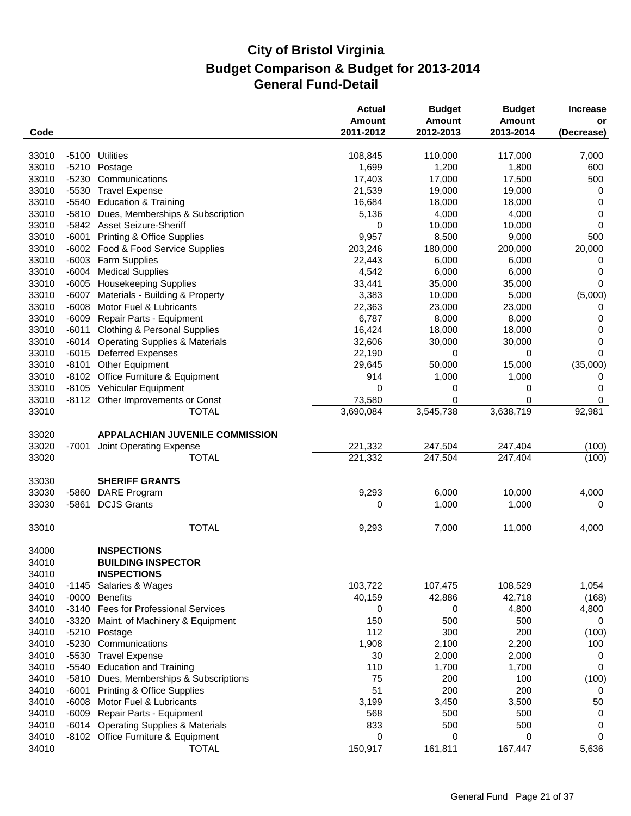| 33010<br>$-5100$<br><b>Utilities</b><br>110,000<br>117,000<br>7,000<br>108,845<br>33010<br>$-5210$<br>Postage<br>1,699<br>1,200<br>1,800<br>600<br>33010<br>-5230<br>Communications<br>17,403<br>17,000<br>17,500<br>500<br>33010<br>$-5530$<br><b>Travel Expense</b><br>21,539<br>19,000<br>19,000<br>0<br>33010<br>$-5540$<br><b>Education &amp; Training</b><br>16,684<br>18,000<br>18,000<br>0<br>33010<br>$-5810$<br>Dues, Memberships & Subscription<br>5,136<br>4,000<br>4,000<br>0<br>33010<br>-5842 Asset Seizure-Sheriff<br>0<br>10,000<br>10,000<br>0<br>33010<br>$-6001$<br><b>Printing &amp; Office Supplies</b><br>9,957<br>8,500<br>9,000<br>500<br>33010<br>$-6002$<br>Food & Food Service Supplies<br>203,246<br>180,000<br>200,000<br>20,000<br>33010<br>$-6003$<br>Farm Supplies<br>22,443<br>6,000<br>6,000<br>0<br>33010<br>$-6004$<br><b>Medical Supplies</b><br>4,542<br>6,000<br>6,000<br>0<br>33010<br>$-6005$<br><b>Housekeeping Supplies</b><br>33,441<br>35,000<br>35,000<br>0<br>33010<br>$-6007$<br>Materials - Building & Property<br>3,383<br>(5,000)<br>10,000<br>5,000<br>33010<br>$-6008$<br>Motor Fuel & Lubricants<br>22,363<br>23,000<br>23,000<br>0<br>33010<br>$-6009$<br>Repair Parts - Equipment<br>6,787<br>8,000<br>8,000<br>0<br>33010<br>$-6011$<br><b>Clothing &amp; Personal Supplies</b><br>16,424<br>18,000<br>18,000<br>0<br>33010<br><b>Operating Supplies &amp; Materials</b><br>32,606<br>0<br>$-6014$<br>30,000<br>30,000<br>33010<br>$-6015$<br><b>Deferred Expenses</b><br>22,190<br>0<br>0<br>0<br>(35,000)<br>33010<br>$-8101$<br><b>Other Equipment</b><br>50,000<br>15,000<br>29,645<br>33010<br>-8102 Office Furniture & Equipment<br>914<br>1,000<br>1,000<br>0<br>33010<br>-8105 Vehicular Equipment<br>0<br>0<br>0<br>0<br>73,580<br>33010<br>-8112 Other Improvements or Const<br>0<br>0<br>0<br>3,545,738<br>3,638,719<br>33010<br><b>TOTAL</b><br>3,690,084<br>92,981<br>33020<br><b>APPALACHIAN JUVENILE COMMISSION</b><br>33020<br>221,332<br>247,504<br>247,404<br>$-7001$<br>Joint Operating Expense<br>33020<br><b>TOTAL</b><br>221,332<br>247,504<br>247,404<br>33030<br><b>SHERIFF GRANTS</b><br>33030<br>$-5860$<br>DARE Program<br>9,293<br>6,000<br>10,000<br>4,000<br>33030<br>$-5861$<br><b>DCJS Grants</b><br>1,000<br>1,000<br>0<br>0<br><b>TOTAL</b><br>11,000<br>33010<br>9,293<br>7,000<br>4,000<br>34000<br><b>INSPECTIONS</b><br>34010<br><b>BUILDING INSPECTOR</b><br><b>INSPECTIONS</b><br>34010<br>103,722<br>107,475<br>34010<br>$-1145$<br>Salaries & Wages<br>108,529<br>1,054<br>34010<br>$-0000$<br><b>Benefits</b><br>40,159<br>42,886<br>42,718<br>34010<br>$-3140$<br>Fees for Professional Services<br>0<br>4,800<br>4,800<br>0<br>34010<br>150<br>500<br>$-3320$<br>Maint. of Machinery & Equipment<br>500<br>0<br>112<br>34010<br>$-5210$<br>300<br>200<br>Postage<br>$-5230$<br>34010<br>Communications<br>1,908<br>2,100<br>2,200<br>100<br>34010<br>$-5530$<br><b>Travel Expense</b><br>2,000<br>30<br>2,000<br>0<br>34010<br>$-5540$<br>110<br>1,700<br>1,700<br><b>Education and Training</b><br>0<br>75<br>34010<br>$-5810$<br>Dues, Memberships & Subscriptions<br>200<br>100<br>200<br>34010<br>$-6001$<br>51<br>200<br><b>Printing &amp; Office Supplies</b><br>0<br>34010<br>$-6008$<br>Motor Fuel & Lubricants<br>3,450<br>3,500<br>3,199<br>50<br>34010<br>$-6009$<br>Repair Parts - Equipment<br>568<br>500<br>500<br>0<br>34010<br><b>Operating Supplies &amp; Materials</b><br>833<br>500<br>500<br>$-6014$<br>0<br>34010<br>-8102 Office Furniture & Equipment<br>0<br>0<br>0<br>0<br>150,917<br>161,811<br>167,447<br>5,636<br>34010<br><b>TOTAL</b> | Code |  | <b>Actual</b><br><b>Amount</b><br>2011-2012 | <b>Budget</b><br><b>Amount</b><br>2012-2013 | <b>Budget</b><br>Amount<br>2013-2014 | <b>Increase</b><br>or<br>(Decrease) |
|----------------------------------------------------------------------------------------------------------------------------------------------------------------------------------------------------------------------------------------------------------------------------------------------------------------------------------------------------------------------------------------------------------------------------------------------------------------------------------------------------------------------------------------------------------------------------------------------------------------------------------------------------------------------------------------------------------------------------------------------------------------------------------------------------------------------------------------------------------------------------------------------------------------------------------------------------------------------------------------------------------------------------------------------------------------------------------------------------------------------------------------------------------------------------------------------------------------------------------------------------------------------------------------------------------------------------------------------------------------------------------------------------------------------------------------------------------------------------------------------------------------------------------------------------------------------------------------------------------------------------------------------------------------------------------------------------------------------------------------------------------------------------------------------------------------------------------------------------------------------------------------------------------------------------------------------------------------------------------------------------------------------------------------------------------------------------------------------------------------------------------------------------------------------------------------------------------------------------------------------------------------------------------------------------------------------------------------------------------------------------------------------------------------------------------------------------------------------------------------------------------------------------------------------------------------------------------------------------------------------------------------------------------------------------------------------------------------------------------------------------------------------------------------------------------------------------------------------------------------------------------------------------------------------------------------------------------------------------------------------------------------------------------------------------------------------------------------------------------------------------------------------------------------------------------------------------------------------------------------------------------------------------------------------------------------------------------------------------------------------------------------------------------------------------------------------------------------------------------------------------------------------------------------------------------------------------------------------------------------------------------------------------------------------------|------|--|---------------------------------------------|---------------------------------------------|--------------------------------------|-------------------------------------|
|                                                                                                                                                                                                                                                                                                                                                                                                                                                                                                                                                                                                                                                                                                                                                                                                                                                                                                                                                                                                                                                                                                                                                                                                                                                                                                                                                                                                                                                                                                                                                                                                                                                                                                                                                                                                                                                                                                                                                                                                                                                                                                                                                                                                                                                                                                                                                                                                                                                                                                                                                                                                                                                                                                                                                                                                                                                                                                                                                                                                                                                                                                                                                                                                                                                                                                                                                                                                                                                                                                                                                                                                                                                                            |      |  |                                             |                                             |                                      |                                     |
|                                                                                                                                                                                                                                                                                                                                                                                                                                                                                                                                                                                                                                                                                                                                                                                                                                                                                                                                                                                                                                                                                                                                                                                                                                                                                                                                                                                                                                                                                                                                                                                                                                                                                                                                                                                                                                                                                                                                                                                                                                                                                                                                                                                                                                                                                                                                                                                                                                                                                                                                                                                                                                                                                                                                                                                                                                                                                                                                                                                                                                                                                                                                                                                                                                                                                                                                                                                                                                                                                                                                                                                                                                                                            |      |  |                                             |                                             |                                      |                                     |
|                                                                                                                                                                                                                                                                                                                                                                                                                                                                                                                                                                                                                                                                                                                                                                                                                                                                                                                                                                                                                                                                                                                                                                                                                                                                                                                                                                                                                                                                                                                                                                                                                                                                                                                                                                                                                                                                                                                                                                                                                                                                                                                                                                                                                                                                                                                                                                                                                                                                                                                                                                                                                                                                                                                                                                                                                                                                                                                                                                                                                                                                                                                                                                                                                                                                                                                                                                                                                                                                                                                                                                                                                                                                            |      |  |                                             |                                             |                                      |                                     |
|                                                                                                                                                                                                                                                                                                                                                                                                                                                                                                                                                                                                                                                                                                                                                                                                                                                                                                                                                                                                                                                                                                                                                                                                                                                                                                                                                                                                                                                                                                                                                                                                                                                                                                                                                                                                                                                                                                                                                                                                                                                                                                                                                                                                                                                                                                                                                                                                                                                                                                                                                                                                                                                                                                                                                                                                                                                                                                                                                                                                                                                                                                                                                                                                                                                                                                                                                                                                                                                                                                                                                                                                                                                                            |      |  |                                             |                                             |                                      |                                     |
|                                                                                                                                                                                                                                                                                                                                                                                                                                                                                                                                                                                                                                                                                                                                                                                                                                                                                                                                                                                                                                                                                                                                                                                                                                                                                                                                                                                                                                                                                                                                                                                                                                                                                                                                                                                                                                                                                                                                                                                                                                                                                                                                                                                                                                                                                                                                                                                                                                                                                                                                                                                                                                                                                                                                                                                                                                                                                                                                                                                                                                                                                                                                                                                                                                                                                                                                                                                                                                                                                                                                                                                                                                                                            |      |  |                                             |                                             |                                      |                                     |
|                                                                                                                                                                                                                                                                                                                                                                                                                                                                                                                                                                                                                                                                                                                                                                                                                                                                                                                                                                                                                                                                                                                                                                                                                                                                                                                                                                                                                                                                                                                                                                                                                                                                                                                                                                                                                                                                                                                                                                                                                                                                                                                                                                                                                                                                                                                                                                                                                                                                                                                                                                                                                                                                                                                                                                                                                                                                                                                                                                                                                                                                                                                                                                                                                                                                                                                                                                                                                                                                                                                                                                                                                                                                            |      |  |                                             |                                             |                                      |                                     |
|                                                                                                                                                                                                                                                                                                                                                                                                                                                                                                                                                                                                                                                                                                                                                                                                                                                                                                                                                                                                                                                                                                                                                                                                                                                                                                                                                                                                                                                                                                                                                                                                                                                                                                                                                                                                                                                                                                                                                                                                                                                                                                                                                                                                                                                                                                                                                                                                                                                                                                                                                                                                                                                                                                                                                                                                                                                                                                                                                                                                                                                                                                                                                                                                                                                                                                                                                                                                                                                                                                                                                                                                                                                                            |      |  |                                             |                                             |                                      |                                     |
|                                                                                                                                                                                                                                                                                                                                                                                                                                                                                                                                                                                                                                                                                                                                                                                                                                                                                                                                                                                                                                                                                                                                                                                                                                                                                                                                                                                                                                                                                                                                                                                                                                                                                                                                                                                                                                                                                                                                                                                                                                                                                                                                                                                                                                                                                                                                                                                                                                                                                                                                                                                                                                                                                                                                                                                                                                                                                                                                                                                                                                                                                                                                                                                                                                                                                                                                                                                                                                                                                                                                                                                                                                                                            |      |  |                                             |                                             |                                      |                                     |
|                                                                                                                                                                                                                                                                                                                                                                                                                                                                                                                                                                                                                                                                                                                                                                                                                                                                                                                                                                                                                                                                                                                                                                                                                                                                                                                                                                                                                                                                                                                                                                                                                                                                                                                                                                                                                                                                                                                                                                                                                                                                                                                                                                                                                                                                                                                                                                                                                                                                                                                                                                                                                                                                                                                                                                                                                                                                                                                                                                                                                                                                                                                                                                                                                                                                                                                                                                                                                                                                                                                                                                                                                                                                            |      |  |                                             |                                             |                                      |                                     |
|                                                                                                                                                                                                                                                                                                                                                                                                                                                                                                                                                                                                                                                                                                                                                                                                                                                                                                                                                                                                                                                                                                                                                                                                                                                                                                                                                                                                                                                                                                                                                                                                                                                                                                                                                                                                                                                                                                                                                                                                                                                                                                                                                                                                                                                                                                                                                                                                                                                                                                                                                                                                                                                                                                                                                                                                                                                                                                                                                                                                                                                                                                                                                                                                                                                                                                                                                                                                                                                                                                                                                                                                                                                                            |      |  |                                             |                                             |                                      |                                     |
|                                                                                                                                                                                                                                                                                                                                                                                                                                                                                                                                                                                                                                                                                                                                                                                                                                                                                                                                                                                                                                                                                                                                                                                                                                                                                                                                                                                                                                                                                                                                                                                                                                                                                                                                                                                                                                                                                                                                                                                                                                                                                                                                                                                                                                                                                                                                                                                                                                                                                                                                                                                                                                                                                                                                                                                                                                                                                                                                                                                                                                                                                                                                                                                                                                                                                                                                                                                                                                                                                                                                                                                                                                                                            |      |  |                                             |                                             |                                      |                                     |
|                                                                                                                                                                                                                                                                                                                                                                                                                                                                                                                                                                                                                                                                                                                                                                                                                                                                                                                                                                                                                                                                                                                                                                                                                                                                                                                                                                                                                                                                                                                                                                                                                                                                                                                                                                                                                                                                                                                                                                                                                                                                                                                                                                                                                                                                                                                                                                                                                                                                                                                                                                                                                                                                                                                                                                                                                                                                                                                                                                                                                                                                                                                                                                                                                                                                                                                                                                                                                                                                                                                                                                                                                                                                            |      |  |                                             |                                             |                                      |                                     |
|                                                                                                                                                                                                                                                                                                                                                                                                                                                                                                                                                                                                                                                                                                                                                                                                                                                                                                                                                                                                                                                                                                                                                                                                                                                                                                                                                                                                                                                                                                                                                                                                                                                                                                                                                                                                                                                                                                                                                                                                                                                                                                                                                                                                                                                                                                                                                                                                                                                                                                                                                                                                                                                                                                                                                                                                                                                                                                                                                                                                                                                                                                                                                                                                                                                                                                                                                                                                                                                                                                                                                                                                                                                                            |      |  |                                             |                                             |                                      |                                     |
|                                                                                                                                                                                                                                                                                                                                                                                                                                                                                                                                                                                                                                                                                                                                                                                                                                                                                                                                                                                                                                                                                                                                                                                                                                                                                                                                                                                                                                                                                                                                                                                                                                                                                                                                                                                                                                                                                                                                                                                                                                                                                                                                                                                                                                                                                                                                                                                                                                                                                                                                                                                                                                                                                                                                                                                                                                                                                                                                                                                                                                                                                                                                                                                                                                                                                                                                                                                                                                                                                                                                                                                                                                                                            |      |  |                                             |                                             |                                      |                                     |
|                                                                                                                                                                                                                                                                                                                                                                                                                                                                                                                                                                                                                                                                                                                                                                                                                                                                                                                                                                                                                                                                                                                                                                                                                                                                                                                                                                                                                                                                                                                                                                                                                                                                                                                                                                                                                                                                                                                                                                                                                                                                                                                                                                                                                                                                                                                                                                                                                                                                                                                                                                                                                                                                                                                                                                                                                                                                                                                                                                                                                                                                                                                                                                                                                                                                                                                                                                                                                                                                                                                                                                                                                                                                            |      |  |                                             |                                             |                                      |                                     |
|                                                                                                                                                                                                                                                                                                                                                                                                                                                                                                                                                                                                                                                                                                                                                                                                                                                                                                                                                                                                                                                                                                                                                                                                                                                                                                                                                                                                                                                                                                                                                                                                                                                                                                                                                                                                                                                                                                                                                                                                                                                                                                                                                                                                                                                                                                                                                                                                                                                                                                                                                                                                                                                                                                                                                                                                                                                                                                                                                                                                                                                                                                                                                                                                                                                                                                                                                                                                                                                                                                                                                                                                                                                                            |      |  |                                             |                                             |                                      |                                     |
|                                                                                                                                                                                                                                                                                                                                                                                                                                                                                                                                                                                                                                                                                                                                                                                                                                                                                                                                                                                                                                                                                                                                                                                                                                                                                                                                                                                                                                                                                                                                                                                                                                                                                                                                                                                                                                                                                                                                                                                                                                                                                                                                                                                                                                                                                                                                                                                                                                                                                                                                                                                                                                                                                                                                                                                                                                                                                                                                                                                                                                                                                                                                                                                                                                                                                                                                                                                                                                                                                                                                                                                                                                                                            |      |  |                                             |                                             |                                      |                                     |
|                                                                                                                                                                                                                                                                                                                                                                                                                                                                                                                                                                                                                                                                                                                                                                                                                                                                                                                                                                                                                                                                                                                                                                                                                                                                                                                                                                                                                                                                                                                                                                                                                                                                                                                                                                                                                                                                                                                                                                                                                                                                                                                                                                                                                                                                                                                                                                                                                                                                                                                                                                                                                                                                                                                                                                                                                                                                                                                                                                                                                                                                                                                                                                                                                                                                                                                                                                                                                                                                                                                                                                                                                                                                            |      |  |                                             |                                             |                                      |                                     |
|                                                                                                                                                                                                                                                                                                                                                                                                                                                                                                                                                                                                                                                                                                                                                                                                                                                                                                                                                                                                                                                                                                                                                                                                                                                                                                                                                                                                                                                                                                                                                                                                                                                                                                                                                                                                                                                                                                                                                                                                                                                                                                                                                                                                                                                                                                                                                                                                                                                                                                                                                                                                                                                                                                                                                                                                                                                                                                                                                                                                                                                                                                                                                                                                                                                                                                                                                                                                                                                                                                                                                                                                                                                                            |      |  |                                             |                                             |                                      |                                     |
|                                                                                                                                                                                                                                                                                                                                                                                                                                                                                                                                                                                                                                                                                                                                                                                                                                                                                                                                                                                                                                                                                                                                                                                                                                                                                                                                                                                                                                                                                                                                                                                                                                                                                                                                                                                                                                                                                                                                                                                                                                                                                                                                                                                                                                                                                                                                                                                                                                                                                                                                                                                                                                                                                                                                                                                                                                                                                                                                                                                                                                                                                                                                                                                                                                                                                                                                                                                                                                                                                                                                                                                                                                                                            |      |  |                                             |                                             |                                      |                                     |
|                                                                                                                                                                                                                                                                                                                                                                                                                                                                                                                                                                                                                                                                                                                                                                                                                                                                                                                                                                                                                                                                                                                                                                                                                                                                                                                                                                                                                                                                                                                                                                                                                                                                                                                                                                                                                                                                                                                                                                                                                                                                                                                                                                                                                                                                                                                                                                                                                                                                                                                                                                                                                                                                                                                                                                                                                                                                                                                                                                                                                                                                                                                                                                                                                                                                                                                                                                                                                                                                                                                                                                                                                                                                            |      |  |                                             |                                             |                                      |                                     |
|                                                                                                                                                                                                                                                                                                                                                                                                                                                                                                                                                                                                                                                                                                                                                                                                                                                                                                                                                                                                                                                                                                                                                                                                                                                                                                                                                                                                                                                                                                                                                                                                                                                                                                                                                                                                                                                                                                                                                                                                                                                                                                                                                                                                                                                                                                                                                                                                                                                                                                                                                                                                                                                                                                                                                                                                                                                                                                                                                                                                                                                                                                                                                                                                                                                                                                                                                                                                                                                                                                                                                                                                                                                                            |      |  |                                             |                                             |                                      |                                     |
|                                                                                                                                                                                                                                                                                                                                                                                                                                                                                                                                                                                                                                                                                                                                                                                                                                                                                                                                                                                                                                                                                                                                                                                                                                                                                                                                                                                                                                                                                                                                                                                                                                                                                                                                                                                                                                                                                                                                                                                                                                                                                                                                                                                                                                                                                                                                                                                                                                                                                                                                                                                                                                                                                                                                                                                                                                                                                                                                                                                                                                                                                                                                                                                                                                                                                                                                                                                                                                                                                                                                                                                                                                                                            |      |  |                                             |                                             |                                      |                                     |
|                                                                                                                                                                                                                                                                                                                                                                                                                                                                                                                                                                                                                                                                                                                                                                                                                                                                                                                                                                                                                                                                                                                                                                                                                                                                                                                                                                                                                                                                                                                                                                                                                                                                                                                                                                                                                                                                                                                                                                                                                                                                                                                                                                                                                                                                                                                                                                                                                                                                                                                                                                                                                                                                                                                                                                                                                                                                                                                                                                                                                                                                                                                                                                                                                                                                                                                                                                                                                                                                                                                                                                                                                                                                            |      |  |                                             |                                             |                                      |                                     |
|                                                                                                                                                                                                                                                                                                                                                                                                                                                                                                                                                                                                                                                                                                                                                                                                                                                                                                                                                                                                                                                                                                                                                                                                                                                                                                                                                                                                                                                                                                                                                                                                                                                                                                                                                                                                                                                                                                                                                                                                                                                                                                                                                                                                                                                                                                                                                                                                                                                                                                                                                                                                                                                                                                                                                                                                                                                                                                                                                                                                                                                                                                                                                                                                                                                                                                                                                                                                                                                                                                                                                                                                                                                                            |      |  |                                             |                                             |                                      |                                     |
|                                                                                                                                                                                                                                                                                                                                                                                                                                                                                                                                                                                                                                                                                                                                                                                                                                                                                                                                                                                                                                                                                                                                                                                                                                                                                                                                                                                                                                                                                                                                                                                                                                                                                                                                                                                                                                                                                                                                                                                                                                                                                                                                                                                                                                                                                                                                                                                                                                                                                                                                                                                                                                                                                                                                                                                                                                                                                                                                                                                                                                                                                                                                                                                                                                                                                                                                                                                                                                                                                                                                                                                                                                                                            |      |  |                                             |                                             |                                      | (100)                               |
|                                                                                                                                                                                                                                                                                                                                                                                                                                                                                                                                                                                                                                                                                                                                                                                                                                                                                                                                                                                                                                                                                                                                                                                                                                                                                                                                                                                                                                                                                                                                                                                                                                                                                                                                                                                                                                                                                                                                                                                                                                                                                                                                                                                                                                                                                                                                                                                                                                                                                                                                                                                                                                                                                                                                                                                                                                                                                                                                                                                                                                                                                                                                                                                                                                                                                                                                                                                                                                                                                                                                                                                                                                                                            |      |  |                                             |                                             |                                      | (100)                               |
|                                                                                                                                                                                                                                                                                                                                                                                                                                                                                                                                                                                                                                                                                                                                                                                                                                                                                                                                                                                                                                                                                                                                                                                                                                                                                                                                                                                                                                                                                                                                                                                                                                                                                                                                                                                                                                                                                                                                                                                                                                                                                                                                                                                                                                                                                                                                                                                                                                                                                                                                                                                                                                                                                                                                                                                                                                                                                                                                                                                                                                                                                                                                                                                                                                                                                                                                                                                                                                                                                                                                                                                                                                                                            |      |  |                                             |                                             |                                      |                                     |
|                                                                                                                                                                                                                                                                                                                                                                                                                                                                                                                                                                                                                                                                                                                                                                                                                                                                                                                                                                                                                                                                                                                                                                                                                                                                                                                                                                                                                                                                                                                                                                                                                                                                                                                                                                                                                                                                                                                                                                                                                                                                                                                                                                                                                                                                                                                                                                                                                                                                                                                                                                                                                                                                                                                                                                                                                                                                                                                                                                                                                                                                                                                                                                                                                                                                                                                                                                                                                                                                                                                                                                                                                                                                            |      |  |                                             |                                             |                                      |                                     |
|                                                                                                                                                                                                                                                                                                                                                                                                                                                                                                                                                                                                                                                                                                                                                                                                                                                                                                                                                                                                                                                                                                                                                                                                                                                                                                                                                                                                                                                                                                                                                                                                                                                                                                                                                                                                                                                                                                                                                                                                                                                                                                                                                                                                                                                                                                                                                                                                                                                                                                                                                                                                                                                                                                                                                                                                                                                                                                                                                                                                                                                                                                                                                                                                                                                                                                                                                                                                                                                                                                                                                                                                                                                                            |      |  |                                             |                                             |                                      |                                     |
|                                                                                                                                                                                                                                                                                                                                                                                                                                                                                                                                                                                                                                                                                                                                                                                                                                                                                                                                                                                                                                                                                                                                                                                                                                                                                                                                                                                                                                                                                                                                                                                                                                                                                                                                                                                                                                                                                                                                                                                                                                                                                                                                                                                                                                                                                                                                                                                                                                                                                                                                                                                                                                                                                                                                                                                                                                                                                                                                                                                                                                                                                                                                                                                                                                                                                                                                                                                                                                                                                                                                                                                                                                                                            |      |  |                                             |                                             |                                      |                                     |
|                                                                                                                                                                                                                                                                                                                                                                                                                                                                                                                                                                                                                                                                                                                                                                                                                                                                                                                                                                                                                                                                                                                                                                                                                                                                                                                                                                                                                                                                                                                                                                                                                                                                                                                                                                                                                                                                                                                                                                                                                                                                                                                                                                                                                                                                                                                                                                                                                                                                                                                                                                                                                                                                                                                                                                                                                                                                                                                                                                                                                                                                                                                                                                                                                                                                                                                                                                                                                                                                                                                                                                                                                                                                            |      |  |                                             |                                             |                                      |                                     |
|                                                                                                                                                                                                                                                                                                                                                                                                                                                                                                                                                                                                                                                                                                                                                                                                                                                                                                                                                                                                                                                                                                                                                                                                                                                                                                                                                                                                                                                                                                                                                                                                                                                                                                                                                                                                                                                                                                                                                                                                                                                                                                                                                                                                                                                                                                                                                                                                                                                                                                                                                                                                                                                                                                                                                                                                                                                                                                                                                                                                                                                                                                                                                                                                                                                                                                                                                                                                                                                                                                                                                                                                                                                                            |      |  |                                             |                                             |                                      |                                     |
|                                                                                                                                                                                                                                                                                                                                                                                                                                                                                                                                                                                                                                                                                                                                                                                                                                                                                                                                                                                                                                                                                                                                                                                                                                                                                                                                                                                                                                                                                                                                                                                                                                                                                                                                                                                                                                                                                                                                                                                                                                                                                                                                                                                                                                                                                                                                                                                                                                                                                                                                                                                                                                                                                                                                                                                                                                                                                                                                                                                                                                                                                                                                                                                                                                                                                                                                                                                                                                                                                                                                                                                                                                                                            |      |  |                                             |                                             |                                      |                                     |
|                                                                                                                                                                                                                                                                                                                                                                                                                                                                                                                                                                                                                                                                                                                                                                                                                                                                                                                                                                                                                                                                                                                                                                                                                                                                                                                                                                                                                                                                                                                                                                                                                                                                                                                                                                                                                                                                                                                                                                                                                                                                                                                                                                                                                                                                                                                                                                                                                                                                                                                                                                                                                                                                                                                                                                                                                                                                                                                                                                                                                                                                                                                                                                                                                                                                                                                                                                                                                                                                                                                                                                                                                                                                            |      |  |                                             |                                             |                                      |                                     |
|                                                                                                                                                                                                                                                                                                                                                                                                                                                                                                                                                                                                                                                                                                                                                                                                                                                                                                                                                                                                                                                                                                                                                                                                                                                                                                                                                                                                                                                                                                                                                                                                                                                                                                                                                                                                                                                                                                                                                                                                                                                                                                                                                                                                                                                                                                                                                                                                                                                                                                                                                                                                                                                                                                                                                                                                                                                                                                                                                                                                                                                                                                                                                                                                                                                                                                                                                                                                                                                                                                                                                                                                                                                                            |      |  |                                             |                                             |                                      |                                     |
|                                                                                                                                                                                                                                                                                                                                                                                                                                                                                                                                                                                                                                                                                                                                                                                                                                                                                                                                                                                                                                                                                                                                                                                                                                                                                                                                                                                                                                                                                                                                                                                                                                                                                                                                                                                                                                                                                                                                                                                                                                                                                                                                                                                                                                                                                                                                                                                                                                                                                                                                                                                                                                                                                                                                                                                                                                                                                                                                                                                                                                                                                                                                                                                                                                                                                                                                                                                                                                                                                                                                                                                                                                                                            |      |  |                                             |                                             |                                      | (168)                               |
|                                                                                                                                                                                                                                                                                                                                                                                                                                                                                                                                                                                                                                                                                                                                                                                                                                                                                                                                                                                                                                                                                                                                                                                                                                                                                                                                                                                                                                                                                                                                                                                                                                                                                                                                                                                                                                                                                                                                                                                                                                                                                                                                                                                                                                                                                                                                                                                                                                                                                                                                                                                                                                                                                                                                                                                                                                                                                                                                                                                                                                                                                                                                                                                                                                                                                                                                                                                                                                                                                                                                                                                                                                                                            |      |  |                                             |                                             |                                      |                                     |
|                                                                                                                                                                                                                                                                                                                                                                                                                                                                                                                                                                                                                                                                                                                                                                                                                                                                                                                                                                                                                                                                                                                                                                                                                                                                                                                                                                                                                                                                                                                                                                                                                                                                                                                                                                                                                                                                                                                                                                                                                                                                                                                                                                                                                                                                                                                                                                                                                                                                                                                                                                                                                                                                                                                                                                                                                                                                                                                                                                                                                                                                                                                                                                                                                                                                                                                                                                                                                                                                                                                                                                                                                                                                            |      |  |                                             |                                             |                                      |                                     |
|                                                                                                                                                                                                                                                                                                                                                                                                                                                                                                                                                                                                                                                                                                                                                                                                                                                                                                                                                                                                                                                                                                                                                                                                                                                                                                                                                                                                                                                                                                                                                                                                                                                                                                                                                                                                                                                                                                                                                                                                                                                                                                                                                                                                                                                                                                                                                                                                                                                                                                                                                                                                                                                                                                                                                                                                                                                                                                                                                                                                                                                                                                                                                                                                                                                                                                                                                                                                                                                                                                                                                                                                                                                                            |      |  |                                             |                                             |                                      | (100)                               |
|                                                                                                                                                                                                                                                                                                                                                                                                                                                                                                                                                                                                                                                                                                                                                                                                                                                                                                                                                                                                                                                                                                                                                                                                                                                                                                                                                                                                                                                                                                                                                                                                                                                                                                                                                                                                                                                                                                                                                                                                                                                                                                                                                                                                                                                                                                                                                                                                                                                                                                                                                                                                                                                                                                                                                                                                                                                                                                                                                                                                                                                                                                                                                                                                                                                                                                                                                                                                                                                                                                                                                                                                                                                                            |      |  |                                             |                                             |                                      |                                     |
|                                                                                                                                                                                                                                                                                                                                                                                                                                                                                                                                                                                                                                                                                                                                                                                                                                                                                                                                                                                                                                                                                                                                                                                                                                                                                                                                                                                                                                                                                                                                                                                                                                                                                                                                                                                                                                                                                                                                                                                                                                                                                                                                                                                                                                                                                                                                                                                                                                                                                                                                                                                                                                                                                                                                                                                                                                                                                                                                                                                                                                                                                                                                                                                                                                                                                                                                                                                                                                                                                                                                                                                                                                                                            |      |  |                                             |                                             |                                      |                                     |
|                                                                                                                                                                                                                                                                                                                                                                                                                                                                                                                                                                                                                                                                                                                                                                                                                                                                                                                                                                                                                                                                                                                                                                                                                                                                                                                                                                                                                                                                                                                                                                                                                                                                                                                                                                                                                                                                                                                                                                                                                                                                                                                                                                                                                                                                                                                                                                                                                                                                                                                                                                                                                                                                                                                                                                                                                                                                                                                                                                                                                                                                                                                                                                                                                                                                                                                                                                                                                                                                                                                                                                                                                                                                            |      |  |                                             |                                             |                                      |                                     |
|                                                                                                                                                                                                                                                                                                                                                                                                                                                                                                                                                                                                                                                                                                                                                                                                                                                                                                                                                                                                                                                                                                                                                                                                                                                                                                                                                                                                                                                                                                                                                                                                                                                                                                                                                                                                                                                                                                                                                                                                                                                                                                                                                                                                                                                                                                                                                                                                                                                                                                                                                                                                                                                                                                                                                                                                                                                                                                                                                                                                                                                                                                                                                                                                                                                                                                                                                                                                                                                                                                                                                                                                                                                                            |      |  |                                             |                                             |                                      | (100)                               |
|                                                                                                                                                                                                                                                                                                                                                                                                                                                                                                                                                                                                                                                                                                                                                                                                                                                                                                                                                                                                                                                                                                                                                                                                                                                                                                                                                                                                                                                                                                                                                                                                                                                                                                                                                                                                                                                                                                                                                                                                                                                                                                                                                                                                                                                                                                                                                                                                                                                                                                                                                                                                                                                                                                                                                                                                                                                                                                                                                                                                                                                                                                                                                                                                                                                                                                                                                                                                                                                                                                                                                                                                                                                                            |      |  |                                             |                                             |                                      |                                     |
|                                                                                                                                                                                                                                                                                                                                                                                                                                                                                                                                                                                                                                                                                                                                                                                                                                                                                                                                                                                                                                                                                                                                                                                                                                                                                                                                                                                                                                                                                                                                                                                                                                                                                                                                                                                                                                                                                                                                                                                                                                                                                                                                                                                                                                                                                                                                                                                                                                                                                                                                                                                                                                                                                                                                                                                                                                                                                                                                                                                                                                                                                                                                                                                                                                                                                                                                                                                                                                                                                                                                                                                                                                                                            |      |  |                                             |                                             |                                      |                                     |
|                                                                                                                                                                                                                                                                                                                                                                                                                                                                                                                                                                                                                                                                                                                                                                                                                                                                                                                                                                                                                                                                                                                                                                                                                                                                                                                                                                                                                                                                                                                                                                                                                                                                                                                                                                                                                                                                                                                                                                                                                                                                                                                                                                                                                                                                                                                                                                                                                                                                                                                                                                                                                                                                                                                                                                                                                                                                                                                                                                                                                                                                                                                                                                                                                                                                                                                                                                                                                                                                                                                                                                                                                                                                            |      |  |                                             |                                             |                                      |                                     |
|                                                                                                                                                                                                                                                                                                                                                                                                                                                                                                                                                                                                                                                                                                                                                                                                                                                                                                                                                                                                                                                                                                                                                                                                                                                                                                                                                                                                                                                                                                                                                                                                                                                                                                                                                                                                                                                                                                                                                                                                                                                                                                                                                                                                                                                                                                                                                                                                                                                                                                                                                                                                                                                                                                                                                                                                                                                                                                                                                                                                                                                                                                                                                                                                                                                                                                                                                                                                                                                                                                                                                                                                                                                                            |      |  |                                             |                                             |                                      |                                     |
|                                                                                                                                                                                                                                                                                                                                                                                                                                                                                                                                                                                                                                                                                                                                                                                                                                                                                                                                                                                                                                                                                                                                                                                                                                                                                                                                                                                                                                                                                                                                                                                                                                                                                                                                                                                                                                                                                                                                                                                                                                                                                                                                                                                                                                                                                                                                                                                                                                                                                                                                                                                                                                                                                                                                                                                                                                                                                                                                                                                                                                                                                                                                                                                                                                                                                                                                                                                                                                                                                                                                                                                                                                                                            |      |  |                                             |                                             |                                      |                                     |
|                                                                                                                                                                                                                                                                                                                                                                                                                                                                                                                                                                                                                                                                                                                                                                                                                                                                                                                                                                                                                                                                                                                                                                                                                                                                                                                                                                                                                                                                                                                                                                                                                                                                                                                                                                                                                                                                                                                                                                                                                                                                                                                                                                                                                                                                                                                                                                                                                                                                                                                                                                                                                                                                                                                                                                                                                                                                                                                                                                                                                                                                                                                                                                                                                                                                                                                                                                                                                                                                                                                                                                                                                                                                            |      |  |                                             |                                             |                                      |                                     |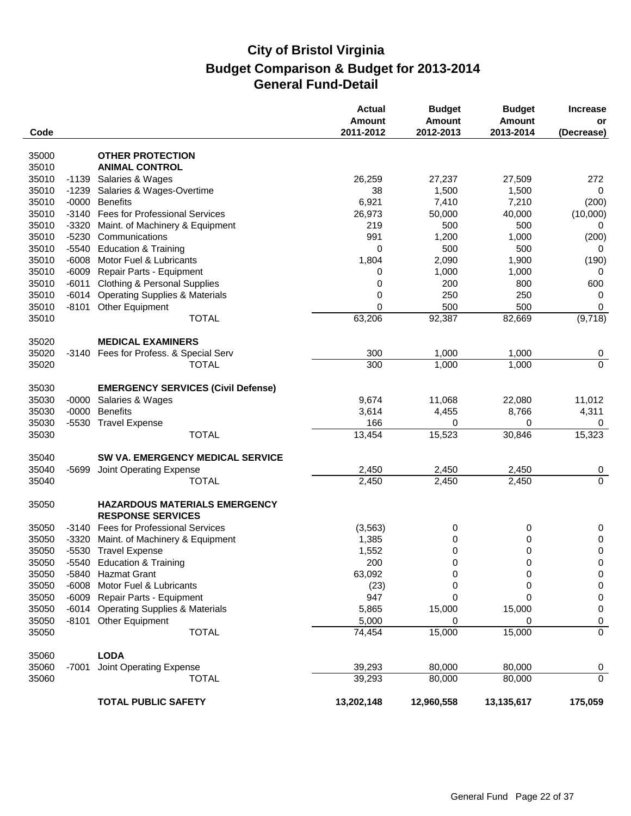| Code  |         |                                                                  | Actual<br><b>Amount</b><br>2011-2012 | <b>Budget</b><br><b>Amount</b><br>2012-2013 | <b>Budget</b><br><b>Amount</b><br>2013-2014 | <b>Increase</b><br>or<br>(Decrease) |
|-------|---------|------------------------------------------------------------------|--------------------------------------|---------------------------------------------|---------------------------------------------|-------------------------------------|
| 35000 |         | <b>OTHER PROTECTION</b>                                          |                                      |                                             |                                             |                                     |
| 35010 |         | <b>ANIMAL CONTROL</b>                                            |                                      |                                             |                                             |                                     |
| 35010 | $-1139$ | Salaries & Wages                                                 | 26,259                               | 27,237                                      | 27,509                                      | 272                                 |
| 35010 | $-1239$ | Salaries & Wages-Overtime                                        | 38                                   | 1,500                                       | 1,500                                       | 0                                   |
| 35010 | $-0000$ | <b>Benefits</b>                                                  | 6,921                                | 7,410                                       | 7,210                                       | (200)                               |
| 35010 | $-3140$ | <b>Fees for Professional Services</b>                            | 26,973                               | 50,000                                      | 40,000                                      | (10,000)                            |
| 35010 | $-3320$ | Maint. of Machinery & Equipment                                  | 219                                  | 500                                         | 500                                         | 0                                   |
| 35010 | $-5230$ | Communications                                                   | 991                                  | 1,200                                       | 1,000                                       | (200)                               |
| 35010 | $-5540$ | <b>Education &amp; Training</b>                                  | 0                                    | 500                                         | 500                                         | 0                                   |
| 35010 | $-6008$ | Motor Fuel & Lubricants                                          | 1,804                                | 2,090                                       | 1,900                                       | (190)                               |
| 35010 | $-6009$ | Repair Parts - Equipment                                         | 0                                    | 1,000                                       | 1,000                                       | 0                                   |
| 35010 | $-6011$ | <b>Clothing &amp; Personal Supplies</b>                          | 0                                    | 200                                         | 800                                         | 600                                 |
| 35010 | $-6014$ | <b>Operating Supplies &amp; Materials</b>                        | 0                                    | 250                                         | 250                                         | 0                                   |
| 35010 | -8101   | Other Equipment                                                  | 0                                    | 500                                         | 500                                         | 0                                   |
| 35010 |         | <b>TOTAL</b>                                                     | 63,206                               | 92,387                                      | 82,669                                      | (9,718)                             |
|       |         |                                                                  |                                      |                                             |                                             |                                     |
| 35020 |         | <b>MEDICAL EXAMINERS</b>                                         |                                      |                                             |                                             |                                     |
| 35020 | -3140   | Fees for Profess. & Special Serv                                 | 300                                  | 1,000                                       | 1,000                                       | $\overline{0}$                      |
| 35020 |         | <b>TOTAL</b>                                                     | 300                                  | 1,000                                       | 1,000                                       | $\mathbf 0$                         |
| 35030 |         | <b>EMERGENCY SERVICES (Civil Defense)</b>                        |                                      |                                             |                                             |                                     |
| 35030 | $-0000$ | Salaries & Wages                                                 | 9,674                                | 11,068                                      | 22,080                                      | 11,012                              |
| 35030 | $-0000$ | <b>Benefits</b>                                                  | 3,614                                | 4,455                                       | 8,766                                       | 4,311                               |
| 35030 |         | -5530 Travel Expense                                             | 166                                  | 0                                           | 0                                           | 0                                   |
| 35030 |         | <b>TOTAL</b>                                                     | 13,454                               | 15,523                                      | 30,846                                      | 15,323                              |
| 35040 |         | SW VA. EMERGENCY MEDICAL SERVICE                                 |                                      |                                             |                                             |                                     |
| 35040 | -5699   | Joint Operating Expense                                          | 2,450                                | 2,450                                       | 2,450                                       | 0                                   |
| 35040 |         | <b>TOTAL</b>                                                     | 2,450                                | 2,450                                       | 2,450                                       | $\overline{0}$                      |
| 35050 |         | <b>HAZARDOUS MATERIALS EMERGENCY</b><br><b>RESPONSE SERVICES</b> |                                      |                                             |                                             |                                     |
| 35050 |         | -3140 Fees for Professional Services                             | (3, 563)                             | 0                                           | 0                                           | 0                                   |
| 35050 | $-3320$ | Maint. of Machinery & Equipment                                  | 1,385                                | 0                                           | 0                                           | 0                                   |
| 35050 |         | -5530 Travel Expense                                             | 1,552                                | 0                                           | 0                                           | 0                                   |
| 35050 |         | -5540 Education & Training                                       | 200                                  | $\Omega$                                    | 0                                           | 0                                   |
| 35050 |         | -5840 Hazmat Grant                                               | 63,092                               | 0                                           | 0                                           | 0                                   |
| 35050 |         | -6008 Motor Fuel & Lubricants                                    | (23)                                 | 0                                           | 0                                           | 0                                   |
| 35050 |         | -6009 Repair Parts - Equipment                                   | 947                                  | 0                                           | 0                                           | 0                                   |
| 35050 |         | -6014 Operating Supplies & Materials                             | 5,865                                | 15,000                                      | 15,000                                      | 0                                   |
| 35050 |         | -8101 Other Equipment                                            | 5,000                                | 0                                           | 0                                           | 0                                   |
| 35050 |         | <b>TOTAL</b>                                                     | 74,454                               | 15,000                                      | 15,000                                      | $\overline{0}$                      |
| 35060 |         | <b>LODA</b>                                                      |                                      |                                             |                                             |                                     |
| 35060 | $-7001$ | Joint Operating Expense                                          | 39,293                               | 80,000                                      | 80,000                                      | 0                                   |
| 35060 |         | <b>TOTAL</b>                                                     | 39,293                               | 80,000                                      | 80,000                                      | $\mathbf 0$                         |
|       |         | <b>TOTAL PUBLIC SAFETY</b>                                       | 13,202,148                           | 12,960,558                                  | 13,135,617                                  | 175,059                             |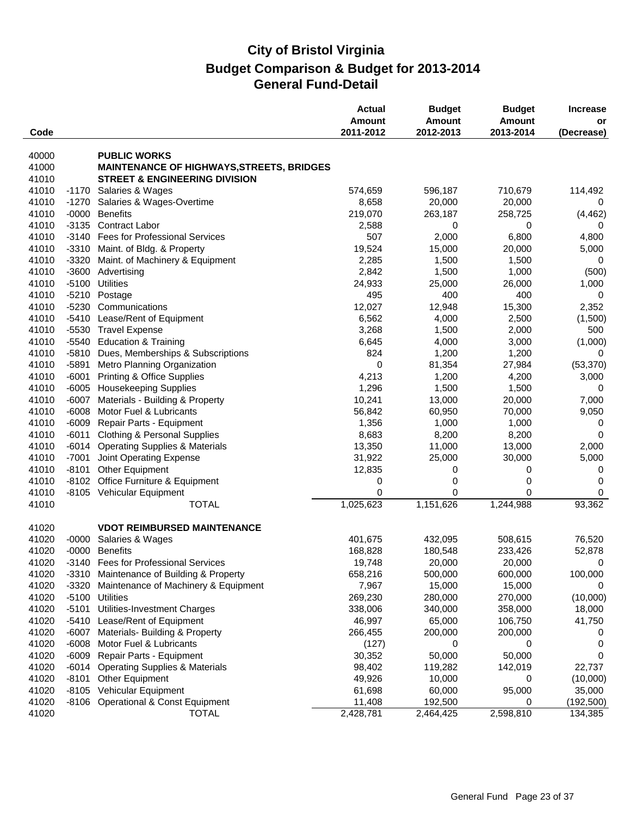| Code  |         |                                                  | <b>Actual</b><br><b>Amount</b><br>2011-2012 | <b>Budget</b><br><b>Amount</b><br>2012-2013 | <b>Budget</b><br><b>Amount</b><br>2013-2014 | <b>Increase</b><br>or<br>(Decrease) |
|-------|---------|--------------------------------------------------|---------------------------------------------|---------------------------------------------|---------------------------------------------|-------------------------------------|
|       |         |                                                  |                                             |                                             |                                             |                                     |
| 40000 |         | <b>PUBLIC WORKS</b>                              |                                             |                                             |                                             |                                     |
| 41000 |         | <b>MAINTENANCE OF HIGHWAYS, STREETS, BRIDGES</b> |                                             |                                             |                                             |                                     |
| 41010 |         | <b>STREET &amp; ENGINEERING DIVISION</b>         |                                             |                                             |                                             |                                     |
| 41010 |         | -1170 Salaries & Wages                           | 574,659                                     | 596,187                                     | 710,679                                     | 114,492                             |
| 41010 |         | -1270 Salaries & Wages-Overtime                  | 8,658                                       | 20,000                                      | 20,000                                      | 0                                   |
| 41010 | $-0000$ | <b>Benefits</b>                                  | 219,070                                     | 263,187                                     | 258,725                                     | (4, 462)                            |
| 41010 | $-3135$ | <b>Contract Labor</b>                            | 2,588                                       | 0                                           | 0                                           | 0                                   |
| 41010 | $-3140$ | <b>Fees for Professional Services</b>            | 507                                         | 2,000                                       | 6,800                                       | 4,800                               |
| 41010 |         | -3310 Maint. of Bldg. & Property                 | 19,524                                      | 15,000                                      | 20,000                                      | 5,000                               |
| 41010 | $-3320$ | Maint. of Machinery & Equipment                  | 2,285                                       | 1,500                                       | 1,500                                       | 0                                   |
| 41010 | $-3600$ | Advertising                                      | 2,842                                       | 1,500                                       | 1,000                                       | (500)                               |
| 41010 | $-5100$ | <b>Utilities</b>                                 | 24,933                                      | 25,000                                      | 26,000                                      | 1,000                               |
| 41010 |         | -5210 Postage                                    | 495                                         | 400                                         | 400                                         | 0                                   |
| 41010 |         | -5230 Communications                             | 12,027                                      | 12,948                                      | 15,300                                      | 2,352                               |
| 41010 | -5410   | Lease/Rent of Equipment                          | 6,562                                       | 4,000                                       | 2,500                                       | (1,500)                             |
| 41010 | $-5530$ | <b>Travel Expense</b>                            | 3,268                                       | 1,500                                       | 2,000                                       | 500                                 |
| 41010 | $-5540$ | <b>Education &amp; Training</b>                  | 6,645                                       | 4,000                                       | 3,000                                       | (1,000)                             |
| 41010 | $-5810$ | Dues, Memberships & Subscriptions                | 824                                         | 1,200                                       | 1,200                                       | $\Omega$                            |
| 41010 | $-5891$ | Metro Planning Organization                      | 0                                           | 81,354                                      | 27,984                                      | (53, 370)                           |
| 41010 | $-6001$ | <b>Printing &amp; Office Supplies</b>            | 4,213                                       | 1,200                                       | 4,200                                       | 3,000                               |
| 41010 | -6005   | <b>Housekeeping Supplies</b>                     | 1,296                                       | 1,500                                       | 1,500                                       | 0                                   |
| 41010 | $-6007$ | Materials - Building & Property                  | 10,241                                      | 13,000                                      | 20,000                                      | 7,000                               |
| 41010 | $-6008$ | Motor Fuel & Lubricants                          | 56,842                                      | 60,950                                      | 70,000                                      | 9,050                               |
| 41010 | $-6009$ | Repair Parts - Equipment                         | 1,356                                       | 1,000                                       | 1,000                                       | 0                                   |
| 41010 | $-6011$ | <b>Clothing &amp; Personal Supplies</b>          | 8,683                                       | 8,200                                       | 8,200                                       | 0                                   |
| 41010 | $-6014$ | <b>Operating Supplies &amp; Materials</b>        | 13,350                                      | 11,000                                      | 13,000                                      | 2,000                               |
| 41010 | $-7001$ | Joint Operating Expense                          | 31,922                                      | 25,000                                      | 30,000                                      | 5,000                               |
| 41010 | $-8101$ | Other Equipment                                  | 12,835                                      | 0                                           | 0                                           | 0                                   |
| 41010 | $-8102$ | Office Furniture & Equipment                     | 0                                           | 0                                           | 0                                           | 0                                   |
| 41010 |         | -8105 Vehicular Equipment                        | 0                                           | 0                                           | 0                                           | 0                                   |
| 41010 |         | <b>TOTAL</b>                                     | 1,025,623                                   | 1,151,626                                   | 1,244,988                                   | 93,362                              |
| 41020 |         | <b>VDOT REIMBURSED MAINTENANCE</b>               |                                             |                                             |                                             |                                     |
| 41020 | $-0000$ | Salaries & Wages                                 | 401,675                                     | 432,095                                     | 508,615                                     | 76,520                              |
| 41020 |         | -0000 Benefits                                   | 168,828                                     | 180,548                                     | 233,426                                     | 52,878                              |
| 41020 |         | -3140 Fees for Professional Services             | 19,748                                      | 20,000                                      | 20,000                                      | $\mathbf 0$                         |
| 41020 |         | -3310 Maintenance of Building & Property         | 658,216                                     | 500,000                                     | 600,000                                     | 100,000                             |
| 41020 | $-3320$ | Maintenance of Machinery & Equipment             | 7,967                                       | 15,000                                      | 15,000                                      | 0                                   |
| 41020 |         | -5100 Utilities                                  | 269,230                                     | 280,000                                     | 270,000                                     | (10,000)                            |
| 41020 | -5101   | Utilities-Investment Charges                     | 338,006                                     | 340,000                                     | 358,000                                     | 18,000                              |
| 41020 | -5410   | Lease/Rent of Equipment                          | 46,997                                      | 65,000                                      | 106,750                                     | 41,750                              |
| 41020 | -6007   | Materials- Building & Property                   | 266,455                                     | 200,000                                     | 200,000                                     | 0                                   |
| 41020 | $-6008$ | Motor Fuel & Lubricants                          | (127)                                       | 0                                           | 0                                           | 0                                   |
| 41020 | $-6009$ | Repair Parts - Equipment                         | 30,352                                      | 50,000                                      | 50,000                                      | 0                                   |
| 41020 |         | -6014 Operating Supplies & Materials             | 98,402                                      | 119,282                                     | 142,019                                     | 22,737                              |
| 41020 |         | -8101 Other Equipment                            | 49,926                                      | 10,000                                      | 0                                           | (10,000)                            |
| 41020 |         | -8105 Vehicular Equipment                        | 61,698                                      | 60,000                                      | 95,000                                      | 35,000                              |
| 41020 |         | -8106 Operational & Const Equipment              | 11,408                                      | 192,500                                     | 0                                           | (192, 500)                          |
| 41020 |         | <b>TOTAL</b>                                     | 2,428,781                                   | 2,464,425                                   | 2,598,810                                   | 134,385                             |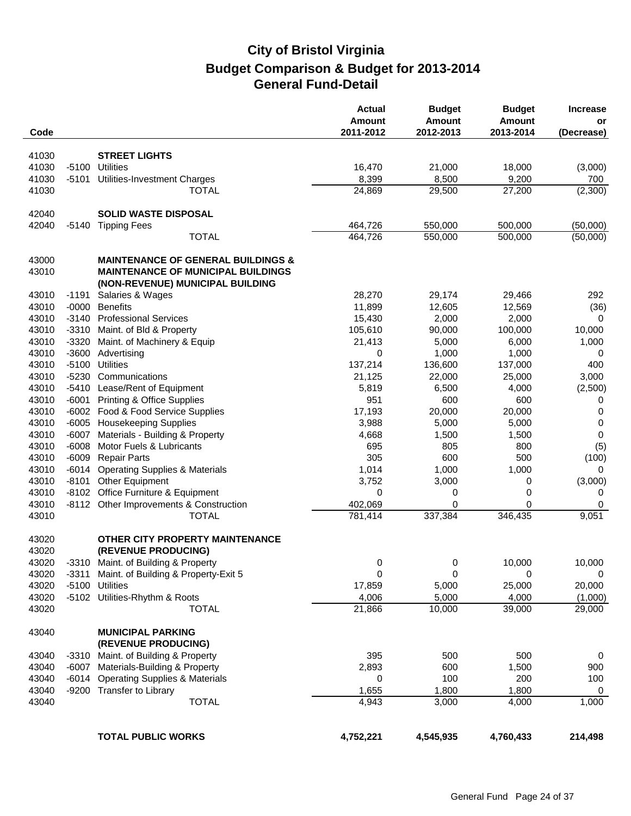| Code           |         |                                                                               | <b>Actual</b><br><b>Amount</b><br>2011-2012 | <b>Budget</b><br><b>Amount</b><br>2012-2013 | <b>Budget</b><br>Amount<br>2013-2014 | <b>Increase</b><br>or<br>(Decrease) |
|----------------|---------|-------------------------------------------------------------------------------|---------------------------------------------|---------------------------------------------|--------------------------------------|-------------------------------------|
|                |         |                                                                               |                                             |                                             |                                      |                                     |
| 41030          |         | <b>STREET LIGHTS</b>                                                          |                                             |                                             |                                      |                                     |
| 41030          | $-5100$ | <b>Utilities</b>                                                              | 16,470                                      | 21,000                                      | 18,000                               | (3,000)                             |
| 41030          | -5101   | Utilities-Investment Charges                                                  | 8,399                                       | 8,500                                       | 9,200                                | 700                                 |
| 41030          |         | <b>TOTAL</b>                                                                  | 24,869                                      | 29,500                                      | 27,200                               | (2,300)                             |
| 42040          |         | <b>SOLID WASTE DISPOSAL</b>                                                   |                                             |                                             |                                      |                                     |
| 42040          | $-5140$ | <b>Tipping Fees</b>                                                           | 464,726                                     | 550,000                                     | 500,000                              | (50,000)                            |
|                |         | <b>TOTAL</b>                                                                  | 464,726                                     | 550,000                                     | 500,000                              | (50,000)                            |
| 43000          |         | <b>MAINTENANCE OF GENERAL BUILDINGS &amp;</b>                                 |                                             |                                             |                                      |                                     |
| 43010          |         | <b>MAINTENANCE OF MUNICIPAL BUILDINGS</b><br>(NON-REVENUE) MUNICIPAL BUILDING |                                             |                                             |                                      |                                     |
| 43010          | $-1191$ | Salaries & Wages                                                              | 28,270                                      | 29,174                                      | 29,466                               | 292                                 |
| 43010          | $-0000$ | <b>Benefits</b>                                                               | 11,899                                      | 12,605                                      | 12,569                               | (36)                                |
| 43010          | -3140   | <b>Professional Services</b>                                                  | 15,430                                      | 2,000                                       | 2,000                                | $\Omega$                            |
| 43010          | $-3310$ | Maint. of Bld & Property                                                      | 105,610                                     | 90,000                                      | 100,000                              | 10,000                              |
| 43010          | $-3320$ | Maint. of Machinery & Equip                                                   | 21,413                                      | 5,000                                       | 6,000                                | 1,000                               |
| 43010          | $-3600$ | Advertising                                                                   | 0                                           | 1,000                                       | 1,000                                | 0                                   |
| 43010          | $-5100$ | <b>Utilities</b>                                                              | 137,214                                     | 136,600                                     | 137,000                              | 400                                 |
| 43010          | -5230   | Communications                                                                | 21,125                                      | 22,000                                      | 25,000                               | 3,000                               |
| 43010          | $-5410$ | Lease/Rent of Equipment                                                       | 5,819                                       | 6,500                                       | 4,000                                | (2,500)                             |
| 43010          | $-6001$ | <b>Printing &amp; Office Supplies</b>                                         | 951                                         | 600                                         | 600                                  | 0                                   |
| 43010          |         | -6002 Food & Food Service Supplies                                            | 17,193                                      | 20,000                                      | 20,000                               | 0                                   |
| 43010          | $-6005$ | <b>Housekeeping Supplies</b>                                                  | 3,988                                       | 5,000                                       | 5,000                                | 0                                   |
| 43010          | $-6007$ | Materials - Building & Property                                               | 4,668                                       | 1,500                                       | 1,500                                | 0                                   |
| 43010          | $-6008$ | Motor Fuels & Lubricants                                                      | 695                                         | 805                                         | 800                                  | (5)                                 |
| 43010          | $-6009$ | <b>Repair Parts</b>                                                           | 305                                         | 600                                         | 500                                  | (100)                               |
| 43010          | $-6014$ | <b>Operating Supplies &amp; Materials</b>                                     | 1,014                                       | 1,000                                       | 1,000                                | 0                                   |
| 43010          | $-8101$ | <b>Other Equipment</b>                                                        | 3,752                                       | 3,000                                       | 0                                    | (3,000)                             |
| 43010          |         | -8102 Office Furniture & Equipment                                            | 0                                           | 0                                           | 0                                    | 0                                   |
| 43010          |         | -8112 Other Improvements & Construction                                       | 402,069                                     | 0                                           | 0                                    | 0                                   |
| 43010          |         | <b>TOTAL</b>                                                                  | 781,414                                     | 337,384                                     | 346,435                              | 9,051                               |
| 43020<br>43020 |         | OTHER CITY PROPERTY MAINTENANCE<br>(REVENUE PRODUCING)                        |                                             |                                             |                                      |                                     |
| 43020          |         | -3310 Maint. of Building & Property                                           | 0                                           | 0                                           | 10,000                               | 10,000                              |
| 43020          |         | -3311 Maint. of Building & Property-Exit 5                                    | 0                                           | 0                                           | 0                                    | 0                                   |
| 43020          | $-5100$ | <b>Utilities</b>                                                              | 17,859                                      | 5,000                                       | 25,000                               | 20,000                              |
| 43020          |         | -5102 Utilities-Rhythm & Roots                                                | 4,006                                       | 5,000                                       | 4,000                                | (1,000)                             |
| 43020          |         | <b>TOTAL</b>                                                                  | 21,866                                      | 10,000                                      | 39,000                               | 29,000                              |
| 43040          |         | <b>MUNICIPAL PARKING</b>                                                      |                                             |                                             |                                      |                                     |
|                |         | (REVENUE PRODUCING)                                                           |                                             |                                             |                                      |                                     |
| 43040          | $-3310$ | Maint. of Building & Property                                                 | 395                                         | 500                                         | 500                                  | 0                                   |
| 43040          | -6007   | Materials-Building & Property                                                 | 2,893                                       | 600                                         | 1,500                                | 900                                 |
| 43040          | $-6014$ | <b>Operating Supplies &amp; Materials</b>                                     | 0                                           | 100                                         | 200                                  | 100                                 |
| 43040          |         | -9200 Transfer to Library                                                     | 1,655                                       | 1,800                                       | 1,800                                | 0                                   |
| 43040          |         | <b>TOTAL</b>                                                                  | 4,943                                       | 3,000                                       | 4,000                                | 1,000                               |
|                |         | <b>TOTAL PUBLIC WORKS</b>                                                     | 4,752,221                                   | 4,545,935                                   | 4,760,433                            | 214,498                             |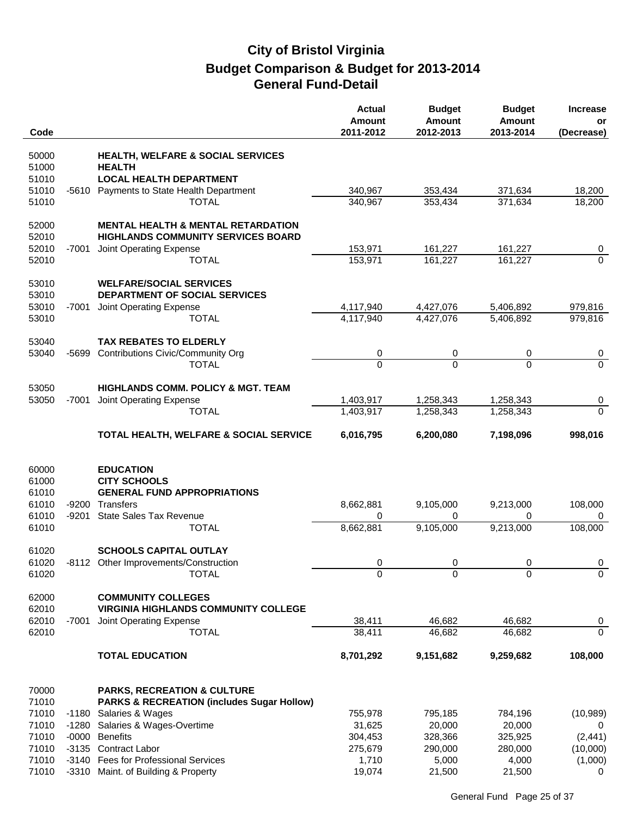| Code           |         |                                                                                                 | <b>Actual</b><br><b>Amount</b><br>2011-2012 | <b>Budget</b><br><b>Amount</b><br>2012-2013 | <b>Budget</b><br><b>Amount</b><br>2013-2014 | <b>Increase</b><br>or<br>(Decrease) |
|----------------|---------|-------------------------------------------------------------------------------------------------|---------------------------------------------|---------------------------------------------|---------------------------------------------|-------------------------------------|
|                |         |                                                                                                 |                                             |                                             |                                             |                                     |
| 50000          |         | <b>HEALTH, WELFARE &amp; SOCIAL SERVICES</b>                                                    |                                             |                                             |                                             |                                     |
| 51000<br>51010 |         | <b>HEALTH</b><br><b>LOCAL HEALTH DEPARTMENT</b>                                                 |                                             |                                             |                                             |                                     |
| 51010          | -5610   | Payments to State Health Department                                                             | 340,967                                     | 353,434                                     | 371,634                                     | 18,200                              |
| 51010          |         | <b>TOTAL</b>                                                                                    | 340,967                                     | 353,434                                     | 371,634                                     | 18,200                              |
|                |         |                                                                                                 |                                             |                                             |                                             |                                     |
| 52000<br>52010 |         | <b>MENTAL HEALTH &amp; MENTAL RETARDATION</b><br><b>HIGHLANDS COMMUNITY SERVICES BOARD</b>      |                                             |                                             |                                             |                                     |
| 52010          | -7001   | Joint Operating Expense                                                                         | 153,971                                     | 161,227                                     | 161,227                                     | 0                                   |
| 52010          |         | <b>TOTAL</b>                                                                                    | 153,971                                     | 161,227                                     | 161,227                                     | $\mathbf{0}$                        |
| 53010          |         | <b>WELFARE/SOCIAL SERVICES</b>                                                                  |                                             |                                             |                                             |                                     |
| 53010          |         | DEPARTMENT OF SOCIAL SERVICES                                                                   |                                             |                                             |                                             |                                     |
| 53010          | -7001   | Joint Operating Expense                                                                         | 4,117,940                                   | 4,427,076<br>4,427,076                      | 5,406,892                                   | 979,816                             |
| 53010          |         | <b>TOTAL</b>                                                                                    | 4,117,940                                   |                                             | 5,406,892                                   | 979,816                             |
| 53040          |         | <b>TAX REBATES TO ELDERLY</b>                                                                   |                                             |                                             |                                             |                                     |
| 53040          | -5699   | <b>Contributions Civic/Community Org</b>                                                        | 0                                           | 0                                           | 0                                           | $\boldsymbol{0}$                    |
|                |         | <b>TOTAL</b>                                                                                    | $\overline{0}$                              | $\Omega$                                    | $\Omega$                                    | $\Omega$                            |
| 53050          |         | <b>HIGHLANDS COMM. POLICY &amp; MGT. TEAM</b>                                                   |                                             |                                             |                                             |                                     |
| 53050          | -7001   | Joint Operating Expense                                                                         | 1,403,917                                   | 1,258,343                                   | 1,258,343                                   | 0                                   |
|                |         | <b>TOTAL</b>                                                                                    | 1,403,917                                   | 1,258,343                                   | 1,258,343                                   | $\mathbf 0$                         |
|                |         |                                                                                                 |                                             |                                             |                                             |                                     |
|                |         | TOTAL HEALTH, WELFARE & SOCIAL SERVICE                                                          | 6,016,795                                   | 6,200,080                                   | 7,198,096                                   | 998,016                             |
|                |         |                                                                                                 |                                             |                                             |                                             |                                     |
| 60000          |         | <b>EDUCATION</b>                                                                                |                                             |                                             |                                             |                                     |
| 61000          |         | <b>CITY SCHOOLS</b>                                                                             |                                             |                                             |                                             |                                     |
| 61010<br>61010 | -9200   | <b>GENERAL FUND APPROPRIATIONS</b><br>Transfers                                                 | 8,662,881                                   | 9,105,000                                   | 9,213,000                                   | 108,000                             |
| 61010          | $-9201$ | <b>State Sales Tax Revenue</b>                                                                  | 0                                           | 0                                           | 0                                           | 0                                   |
| 61010          |         | <b>TOTAL</b>                                                                                    | 8,662,881                                   | 9,105,000                                   | 9,213,000                                   | 108,000                             |
|                |         |                                                                                                 |                                             |                                             |                                             |                                     |
| 61020          |         | <b>SCHOOLS CAPITAL OUTLAY</b>                                                                   |                                             |                                             |                                             |                                     |
| 61020<br>61020 |         | -8112 Other Improvements/Construction<br><b>TOTAL</b>                                           | 0<br>$\Omega$                               | 0<br>$\Omega$                               | 0<br>$\Omega$                               | 0<br>$\Omega$                       |
|                |         |                                                                                                 |                                             |                                             |                                             |                                     |
| 62000          |         | <b>COMMUNITY COLLEGES</b>                                                                       |                                             |                                             |                                             |                                     |
| 62010          |         | <b>VIRGINIA HIGHLANDS COMMUNITY COLLEGE</b>                                                     |                                             |                                             |                                             |                                     |
| 62010<br>62010 | $-7001$ | Joint Operating Expense<br><b>TOTAL</b>                                                         | 38,411<br>38,411                            | 46,682<br>46,682                            | 46,682<br>46,682                            | 0<br>$\mathbf{0}$                   |
|                |         |                                                                                                 |                                             |                                             |                                             |                                     |
|                |         | <b>TOTAL EDUCATION</b>                                                                          | 8,701,292                                   | 9,151,682                                   | 9,259,682                                   | 108,000                             |
|                |         |                                                                                                 |                                             |                                             |                                             |                                     |
| 70000<br>71010 |         | <b>PARKS, RECREATION &amp; CULTURE</b><br><b>PARKS &amp; RECREATION (includes Sugar Hollow)</b> |                                             |                                             |                                             |                                     |
| 71010          | -1180   | Salaries & Wages                                                                                | 755,978                                     | 795,185                                     | 784,196                                     | (10, 989)                           |
| 71010          | $-1280$ | Salaries & Wages-Overtime                                                                       | 31,625                                      | 20,000                                      | 20,000                                      | 0                                   |
| 71010          | $-0000$ | <b>Benefits</b>                                                                                 | 304,453                                     | 328,366                                     | 325,925                                     | (2, 441)                            |
| 71010          |         | -3135 Contract Labor                                                                            | 275,679                                     | 290,000                                     | 280,000                                     | (10,000)                            |
| 71010          |         | -3140 Fees for Professional Services                                                            | 1,710                                       | 5,000                                       | 4,000                                       | (1,000)                             |
| 71010          |         | -3310 Maint. of Building & Property                                                             | 19,074                                      | 21,500                                      | 21,500                                      | 0                                   |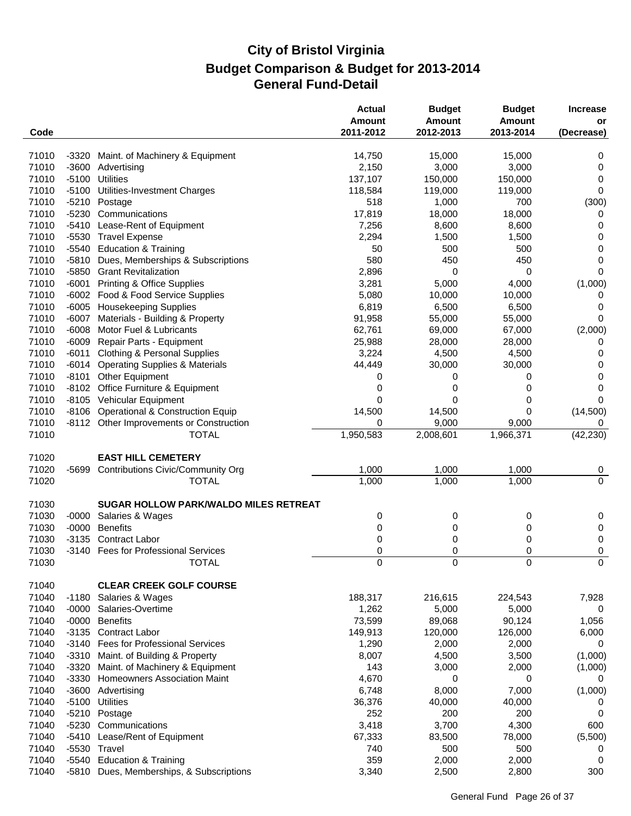| Code  |         |                                              | <b>Actual</b><br>Amount<br>2011-2012 | <b>Budget</b><br><b>Amount</b><br>2012-2013 | <b>Budget</b><br>Amount<br>2013-2014 | <b>Increase</b><br>or<br>(Decrease) |
|-------|---------|----------------------------------------------|--------------------------------------|---------------------------------------------|--------------------------------------|-------------------------------------|
|       |         |                                              |                                      |                                             |                                      |                                     |
| 71010 | $-3320$ | Maint. of Machinery & Equipment              | 14,750                               | 15,000                                      | 15,000                               | 0                                   |
| 71010 | $-3600$ | Advertising                                  | 2,150                                | 3,000                                       | 3,000                                | 0                                   |
| 71010 | $-5100$ | <b>Utilities</b>                             | 137,107                              | 150,000                                     | 150,000                              | 0                                   |
| 71010 | $-5100$ | Utilities-Investment Charges                 | 118,584                              | 119,000                                     | 119,000                              | 0                                   |
| 71010 | $-5210$ | Postage                                      | 518                                  | 1,000                                       | 700                                  | (300)                               |
| 71010 | $-5230$ | Communications                               | 17,819                               | 18,000                                      | 18,000                               | 0                                   |
| 71010 | $-5410$ | Lease-Rent of Equipment                      | 7,256                                | 8,600                                       | 8,600                                | 0                                   |
| 71010 |         | -5530 Travel Expense                         | 2,294                                | 1,500                                       | 1,500                                | 0                                   |
| 71010 | -5540   | <b>Education &amp; Training</b>              | 50                                   | 500                                         | 500                                  | 0                                   |
| 71010 | -5810   | Dues, Memberships & Subscriptions            | 580                                  | 450                                         | 450                                  | 0                                   |
| 71010 |         | -5850 Grant Revitalization                   | 2,896                                | 0                                           | 0                                    | 0                                   |
| 71010 | $-6001$ | <b>Printing &amp; Office Supplies</b>        | 3,281                                | 5,000                                       | 4,000                                | (1,000)                             |
| 71010 | $-6002$ | Food & Food Service Supplies                 | 5,080                                | 10,000                                      | 10,000                               | 0                                   |
| 71010 | $-6005$ | <b>Housekeeping Supplies</b>                 | 6,819                                | 6,500                                       | 6,500                                | 0                                   |
| 71010 | $-6007$ | Materials - Building & Property              | 91,958                               | 55,000                                      | 55,000                               | 0                                   |
| 71010 | $-6008$ | Motor Fuel & Lubricants                      | 62,761                               | 69,000                                      | 67,000                               | (2,000)                             |
| 71010 | $-6009$ | Repair Parts - Equipment                     | 25,988                               | 28,000                                      | 28,000                               | 0                                   |
| 71010 | $-6011$ | <b>Clothing &amp; Personal Supplies</b>      | 3,224                                | 4,500                                       | 4,500                                | 0                                   |
| 71010 | $-6014$ | <b>Operating Supplies &amp; Materials</b>    | 44,449                               | 30,000                                      | 30,000                               | 0                                   |
| 71010 |         | -8101 Other Equipment                        | 0                                    | 0                                           | 0                                    | 0                                   |
| 71010 |         | -8102 Office Furniture & Equipment           | 0                                    | 0                                           | 0                                    | 0                                   |
| 71010 |         | -8105 Vehicular Equipment                    | 0                                    | 0                                           | 0                                    | 0                                   |
| 71010 |         | -8106 Operational & Construction Equip       | 14,500                               | 14,500                                      | 0                                    | (14,500)                            |
| 71010 |         | -8112 Other Improvements or Construction     | 0                                    | 9,000                                       | 9,000                                | 0                                   |
| 71010 |         | <b>TOTAL</b>                                 | 1,950,583                            | 2,008,601                                   | 1,966,371                            | (42, 230)                           |
| 71020 |         | <b>EAST HILL CEMETERY</b>                    |                                      |                                             |                                      |                                     |
| 71020 | -5699   | <b>Contributions Civic/Community Org</b>     | 1,000                                | 1,000                                       | 1,000                                | 0                                   |
| 71020 |         | <b>TOTAL</b>                                 | 1,000                                | 1,000                                       | 1,000                                | $\mathbf 0$                         |
| 71030 |         | <b>SUGAR HOLLOW PARK/WALDO MILES RETREAT</b> |                                      |                                             |                                      |                                     |
| 71030 | $-0000$ | Salaries & Wages                             | 0                                    | 0                                           | 0                                    | 0                                   |
| 71030 | $-0000$ | <b>Benefits</b>                              | 0                                    | 0                                           | 0                                    | 0                                   |
| 71030 | $-3135$ | <b>Contract Labor</b>                        | 0                                    | 0                                           | 0                                    | 0                                   |
| 71030 |         | -3140 Fees for Professional Services         | 0                                    | 0                                           | 0                                    | 0                                   |
| 71030 |         | <b>TOTAL</b>                                 | 0                                    | $\Omega$                                    | $\Omega$                             | $\mathbf 0$                         |
| 71040 |         | <b>CLEAR CREEK GOLF COURSE</b>               |                                      |                                             |                                      |                                     |
| 71040 | $-1180$ | Salaries & Wages                             | 188,317                              | 216,615                                     | 224,543                              | 7,928                               |
| 71040 | $-0000$ | Salaries-Overtime                            | 1,262                                | 5,000                                       | 5,000                                | 0                                   |
| 71040 | $-0000$ | <b>Benefits</b>                              | 73,599                               | 89,068                                      | 90,124                               | 1,056                               |
| 71040 | $-3135$ | <b>Contract Labor</b>                        | 149,913                              | 120,000                                     | 126,000                              | 6,000                               |
| 71040 | $-3140$ | Fees for Professional Services               | 1,290                                | 2,000                                       | 2,000                                | 0                                   |
| 71040 | $-3310$ | Maint. of Building & Property                | 8,007                                | 4,500                                       | 3,500                                | (1,000)                             |
| 71040 | $-3320$ | Maint. of Machinery & Equipment              | 143                                  | 3,000                                       | 2,000                                | (1,000)                             |
| 71040 | $-3330$ | <b>Homeowners Association Maint</b>          | 4,670                                | 0                                           | 0                                    | 0                                   |
| 71040 | $-3600$ | Advertising                                  | 6,748                                | 8,000                                       | 7,000                                | (1,000)                             |
| 71040 | $-5100$ | <b>Utilities</b>                             | 36,376                               | 40,000                                      | 40,000                               | 0                                   |
| 71040 | $-5210$ | Postage                                      | 252                                  | 200                                         | 200                                  | 0                                   |
| 71040 | $-5230$ | Communications                               | 3,418                                | 3,700                                       | 4,300                                | 600                                 |
| 71040 | $-5410$ | Lease/Rent of Equipment                      | 67,333                               | 83,500                                      | 78,000                               | (5,500)                             |
| 71040 |         | -5530 Travel                                 | 740                                  | 500                                         | 500                                  | 0                                   |
| 71040 | -5540   | <b>Education &amp; Training</b>              | 359                                  | 2,000                                       | 2,000                                | 0                                   |
| 71040 |         | -5810 Dues, Memberships, & Subscriptions     | 3,340                                | 2,500                                       | 2,800                                | 300                                 |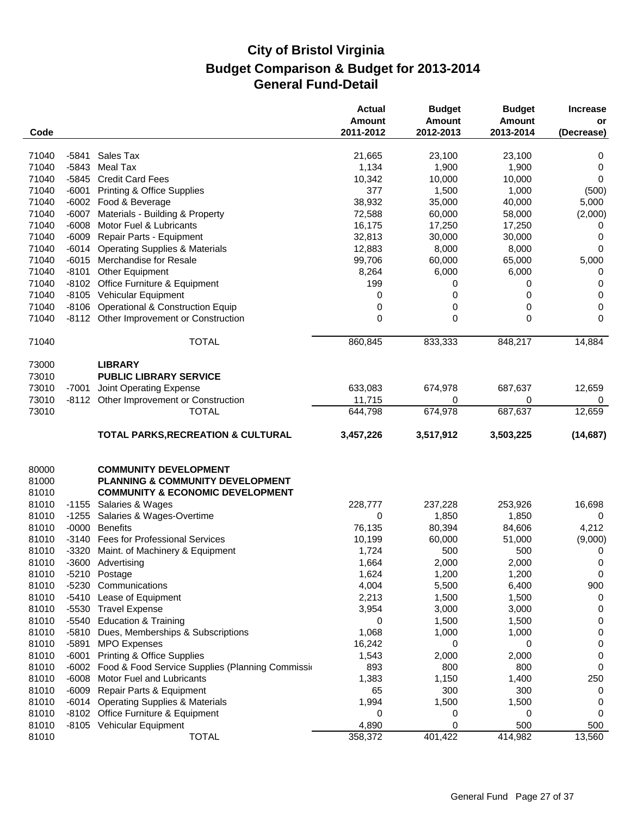| Code                    |         |                                                                                                                 | <b>Actual</b><br>Amount<br>2011-2012 | <b>Budget</b><br><b>Amount</b><br>2012-2013 | <b>Budget</b><br><b>Amount</b><br>2013-2014 | <b>Increase</b><br>or<br>(Decrease) |
|-------------------------|---------|-----------------------------------------------------------------------------------------------------------------|--------------------------------------|---------------------------------------------|---------------------------------------------|-------------------------------------|
| 71040                   | -5841   | Sales Tax                                                                                                       | 21,665                               | 23,100                                      | 23,100                                      | 0                                   |
| 71040                   | -5843   | Meal Tax                                                                                                        | 1,134                                | 1,900                                       | 1,900                                       | 0                                   |
| 71040                   | $-5845$ | <b>Credit Card Fees</b>                                                                                         | 10,342                               | 10,000                                      | 10,000                                      | 0                                   |
| 71040                   | $-6001$ | <b>Printing &amp; Office Supplies</b>                                                                           | 377                                  | 1,500                                       | 1,000                                       | (500)                               |
| 71040                   |         | -6002 Food & Beverage                                                                                           | 38,932                               | 35,000                                      | 40,000                                      | 5,000                               |
| 71040                   | $-6007$ | Materials - Building & Property                                                                                 | 72,588                               | 60,000                                      | 58,000                                      | (2,000)                             |
| 71040                   | $-6008$ | Motor Fuel & Lubricants                                                                                         | 16,175                               | 17,250                                      | 17,250                                      | 0                                   |
| 71040                   | $-6009$ | Repair Parts - Equipment                                                                                        | 32,813                               | 30,000                                      | 30,000                                      | 0                                   |
| 71040                   | $-6014$ | <b>Operating Supplies &amp; Materials</b>                                                                       | 12,883                               | 8,000                                       | 8,000                                       | 0                                   |
| 71040                   | $-6015$ | Merchandise for Resale                                                                                          | 99,706                               | 60,000                                      | 65,000                                      | 5,000                               |
| 71040                   | $-8101$ | Other Equipment                                                                                                 | 8,264                                | 6,000                                       | 6,000                                       | 0                                   |
| 71040                   |         | -8102 Office Furniture & Equipment                                                                              | 199                                  | 0                                           | 0                                           | 0                                   |
| 71040                   |         | -8105 Vehicular Equipment                                                                                       | 0                                    | 0                                           | 0                                           | 0                                   |
| 71040                   | $-8106$ | <b>Operational &amp; Construction Equip</b>                                                                     | 0                                    | 0                                           | 0                                           | 0                                   |
| 71040                   |         | -8112 Other Improvement or Construction                                                                         | 0                                    | 0                                           | 0                                           | 0                                   |
|                         |         |                                                                                                                 |                                      |                                             |                                             |                                     |
| 71040                   |         | <b>TOTAL</b>                                                                                                    | 860,845                              | 833,333                                     | 848,217                                     | 14,884                              |
| 73000                   |         | <b>LIBRARY</b>                                                                                                  |                                      |                                             |                                             |                                     |
| 73010                   |         | <b>PUBLIC LIBRARY SERVICE</b>                                                                                   |                                      |                                             |                                             |                                     |
| 73010                   | $-7001$ | Joint Operating Expense                                                                                         | 633,083                              | 674,978                                     | 687,637                                     | 12,659                              |
| 73010                   |         | -8112 Other Improvement or Construction                                                                         | 11,715                               | 0                                           | 0                                           | 0                                   |
| 73010                   |         | <b>TOTAL</b>                                                                                                    | 644,798                              | 674,978                                     | 687,637                                     | 12,659                              |
|                         |         | <b>TOTAL PARKS, RECREATION &amp; CULTURAL</b>                                                                   | 3,457,226                            | 3,517,912                                   | 3,503,225                                   | (14, 687)                           |
| 80000<br>81000<br>81010 |         | <b>COMMUNITY DEVELOPMENT</b><br>PLANNING & COMMUNITY DEVELOPMENT<br><b>COMMUNITY &amp; ECONOMIC DEVELOPMENT</b> |                                      |                                             |                                             |                                     |
| 81010                   | $-1155$ | Salaries & Wages                                                                                                | 228,777                              | 237,228                                     | 253,926                                     | 16,698                              |
| 81010                   | $-1255$ | Salaries & Wages-Overtime                                                                                       | 0                                    | 1,850                                       | 1,850                                       | 0                                   |
| 81010                   | $-0000$ | <b>Benefits</b>                                                                                                 | 76,135                               | 80,394                                      | 84,606                                      | 4,212                               |
| 81010                   | $-3140$ | <b>Fees for Professional Services</b>                                                                           | 10,199                               | 60,000                                      | 51,000                                      | (9,000)                             |
| 81010                   |         | -3320 Maint. of Machinery & Equipment                                                                           | 1,724                                | 500                                         | 500                                         | 0                                   |
| 81010                   |         | -3600 Advertising                                                                                               | 1,664                                | 2,000                                       | 2,000                                       | 0                                   |
| 81010                   |         | -5210 Postage                                                                                                   | 1,624                                | 1,200                                       | 1,200                                       | 0                                   |
| 81010                   |         | -5230 Communications                                                                                            | 4,004                                | 5,500                                       | 6,400                                       | 900                                 |
| 81010                   |         | -5410 Lease of Equipment                                                                                        | 2,213                                | 1,500                                       | 1,500                                       | 0                                   |
| 81010                   |         | -5530 Travel Expense                                                                                            | 3,954                                | 3,000                                       | 3,000                                       | 0                                   |
| 81010                   |         | -5540 Education & Training                                                                                      | 0                                    | 1,500                                       | 1,500                                       | 0                                   |
| 81010                   | $-5810$ | Dues, Memberships & Subscriptions                                                                               | 1,068                                | 1,000                                       | 1,000                                       | 0                                   |
| 81010                   | $-5891$ | <b>MPO Expenses</b>                                                                                             | 16,242                               | 0                                           | 0                                           | 0                                   |
| 81010                   | $-6001$ | <b>Printing &amp; Office Supplies</b>                                                                           | 1,543                                | 2,000                                       | 2,000                                       | 0                                   |
| 81010                   |         | -6002 Food & Food Service Supplies (Planning Commission                                                         | 893                                  | 800                                         | 800                                         | 0                                   |
| 81010                   | $-6008$ | Motor Fuel and Lubricants                                                                                       | 1,383                                | 1,150                                       | 1,400                                       | 250                                 |
| 81010                   | $-6009$ | Repair Parts & Equipment                                                                                        | 65                                   | 300                                         | 300                                         | 0                                   |
| 81010                   |         | -6014 Operating Supplies & Materials                                                                            | 1,994                                | 1,500                                       | 1,500                                       | 0                                   |
| 81010                   |         | -8102 Office Furniture & Equipment                                                                              | 0                                    | 0                                           | 0                                           | 0                                   |
| 81010                   |         | -8105 Vehicular Equipment                                                                                       | 4,890                                | 0                                           | 500                                         | 500                                 |
| 81010                   |         | <b>TOTAL</b>                                                                                                    | 358,372                              | 401,422                                     | 414,982                                     | 13,560                              |
|                         |         |                                                                                                                 |                                      |                                             |                                             |                                     |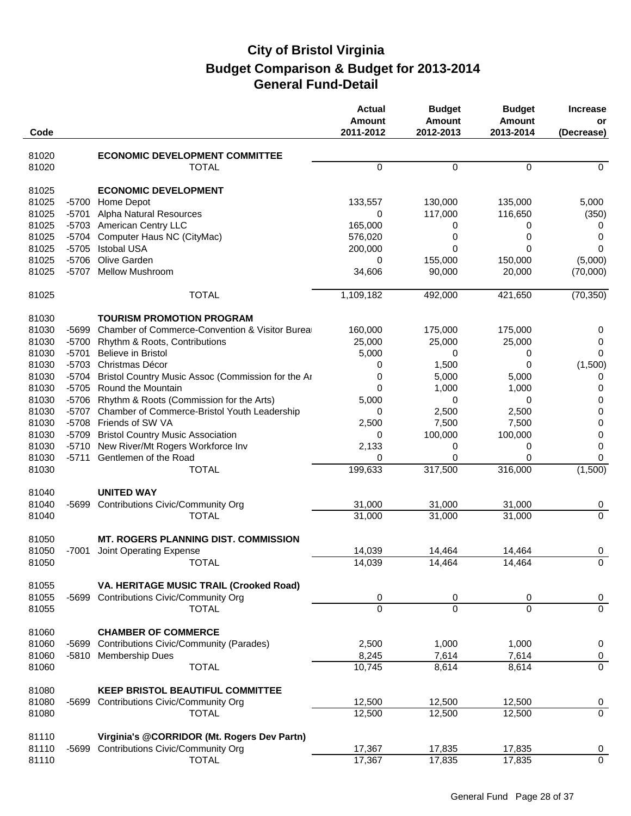| Code  |         |                                                    | <b>Actual</b><br>Amount<br>2011-2012 | <b>Budget</b><br><b>Amount</b><br>2012-2013 | <b>Budget</b><br><b>Amount</b><br>2013-2014 | <b>Increase</b><br>or<br>(Decrease) |
|-------|---------|----------------------------------------------------|--------------------------------------|---------------------------------------------|---------------------------------------------|-------------------------------------|
| 81020 |         | <b>ECONOMIC DEVELOPMENT COMMITTEE</b>              |                                      |                                             |                                             |                                     |
| 81020 |         | <b>TOTAL</b>                                       | $\Omega$                             | $\mathbf 0$                                 | $\Omega$                                    | $\Omega$                            |
| 81025 |         | <b>ECONOMIC DEVELOPMENT</b>                        |                                      |                                             |                                             |                                     |
| 81025 |         | -5700 Home Depot                                   | 133,557                              | 130,000                                     | 135,000                                     | 5,000                               |
| 81025 | $-5701$ | Alpha Natural Resources                            | 0                                    | 117,000                                     | 116,650                                     | (350)                               |
| 81025 |         | -5703 American Centry LLC                          | 165,000                              | 0                                           | 0                                           | 0                                   |
| 81025 | $-5704$ | Computer Haus NC (CityMac)                         | 576,020                              | 0                                           | 0                                           | 0                                   |
| 81025 | $-5705$ | <b>Istobal USA</b>                                 | 200,000                              | 0                                           | 0                                           | 0                                   |
| 81025 | $-5706$ | Olive Garden                                       | 0                                    | 155,000                                     | 150,000                                     | (5,000)                             |
| 81025 | -5707   | <b>Mellow Mushroom</b>                             | 34,606                               | 90,000                                      | 20,000                                      | (70,000)                            |
| 81025 |         | <b>TOTAL</b>                                       | 1,109,182                            | 492,000                                     | 421,650                                     | (70, 350)                           |
| 81030 |         | <b>TOURISM PROMOTION PROGRAM</b>                   |                                      |                                             |                                             |                                     |
| 81030 | $-5699$ | Chamber of Commerce-Convention & Visitor Burea     | 160,000                              | 175,000                                     | 175,000                                     | 0                                   |
| 81030 | $-5700$ | Rhythm & Roots, Contributions                      | 25,000                               | 25,000                                      | 25,000                                      | 0                                   |
| 81030 | $-5701$ | <b>Believe in Bristol</b>                          | 5,000                                | 0                                           | 0                                           | 0                                   |
| 81030 | $-5703$ | Christmas Décor                                    | 0                                    | 1,500                                       | 0                                           | (1,500)                             |
| 81030 | -5704   | Bristol Country Music Assoc (Commission for the Ar | 0                                    | 5,000                                       | 5,000                                       | 0                                   |
| 81030 |         | -5705 Round the Mountain                           | $\mathbf{0}$                         | 1,000                                       | 1,000                                       | 0                                   |
| 81030 |         | -5706 Rhythm & Roots (Commission for the Arts)     | 5,000                                | 0                                           | 0                                           | 0                                   |
| 81030 | -5707   | Chamber of Commerce-Bristol Youth Leadership       | 0                                    | 2,500                                       | 2,500                                       | 0                                   |
| 81030 |         | -5708 Friends of SW VA                             | 2,500                                | 7,500                                       | 7,500                                       | 0                                   |
| 81030 | -5709   | <b>Bristol Country Music Association</b>           | 0                                    | 100,000                                     | 100,000                                     | 0                                   |
| 81030 | $-5710$ | New River/Mt Rogers Workforce Inv                  | 2,133                                | 0                                           | 0                                           | 0                                   |
| 81030 | $-5711$ | Gentlemen of the Road                              | 0                                    | 0                                           | $\Omega$                                    | 0                                   |
| 81030 |         | <b>TOTAL</b>                                       | 199,633                              | 317,500                                     | 316,000                                     | (1,500)                             |
| 81040 |         | <b>UNITED WAY</b>                                  |                                      |                                             |                                             |                                     |
| 81040 | -5699   | <b>Contributions Civic/Community Org</b>           | 31,000                               | 31,000                                      | 31,000                                      | 0                                   |
| 81040 |         | <b>TOTAL</b>                                       | 31,000                               | 31,000                                      | 31,000                                      | $\mathbf 0$                         |
| 81050 |         | <b>MT. ROGERS PLANNING DIST. COMMISSION</b>        |                                      |                                             |                                             |                                     |
| 81050 | -7001   | Joint Operating Expense                            | 14,039                               | 14,464                                      | 14,464                                      | 0                                   |
| 81050 |         | <b>TOTAL</b>                                       | 14,039                               | 14,464                                      | 14,464                                      | $\overline{0}$                      |
| 81055 |         | VA. HERITAGE MUSIC TRAIL (Crooked Road)            |                                      |                                             |                                             |                                     |
| 81055 | -5699   | <b>Contributions Civic/Community Org</b>           | 0                                    | 0                                           | 0                                           | $\overline{0}$                      |
| 81055 |         | <b>TOTAL</b>                                       | $\Omega$                             | $\overline{0}$                              | $\Omega$                                    | $\overline{0}$                      |
| 81060 |         | <b>CHAMBER OF COMMERCE</b>                         |                                      |                                             |                                             |                                     |
| 81060 | -5699   | <b>Contributions Civic/Community (Parades)</b>     | 2,500                                | 1,000                                       | 1,000                                       | $\boldsymbol{0}$                    |
| 81060 |         | -5810 Membership Dues                              | 8,245                                | 7,614                                       | 7,614                                       | $\overline{0}$                      |
| 81060 |         | <b>TOTAL</b>                                       | 10,745                               | 8,614                                       | 8,614                                       | $\overline{0}$                      |
| 81080 |         | <b>KEEP BRISTOL BEAUTIFUL COMMITTEE</b>            |                                      |                                             |                                             |                                     |
| 81080 | -5699   | <b>Contributions Civic/Community Org</b>           | 12,500                               | 12,500                                      | 12,500                                      | $\overline{0}$                      |
| 81080 |         | <b>TOTAL</b>                                       | 12,500                               | 12,500                                      | 12,500                                      | $\overline{0}$                      |
| 81110 |         | Virginia's @CORRIDOR (Mt. Rogers Dev Partn)        |                                      |                                             |                                             |                                     |
| 81110 |         | -5699 Contributions Civic/Community Org            | 17,367                               | 17,835                                      | 17,835                                      | $\overline{0}$                      |
| 81110 |         | <b>TOTAL</b>                                       | 17,367                               | 17,835                                      | 17,835                                      | $\overline{0}$                      |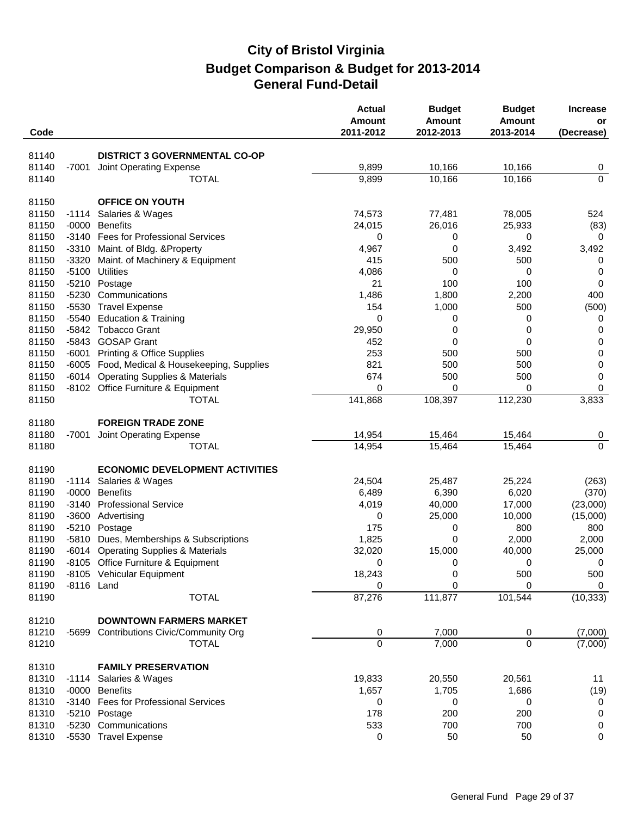| Code  |            |                                              | <b>Actual</b><br><b>Amount</b><br>2011-2012 | <b>Budget</b><br>Amount<br>2012-2013 | <b>Budget</b><br><b>Amount</b><br>2013-2014 | <b>Increase</b><br>or<br>(Decrease) |
|-------|------------|----------------------------------------------|---------------------------------------------|--------------------------------------|---------------------------------------------|-------------------------------------|
| 81140 |            | <b>DISTRICT 3 GOVERNMENTAL CO-OP</b>         |                                             |                                      |                                             |                                     |
| 81140 | -7001      | Joint Operating Expense                      | 9,899                                       | 10,166                               | 10,166                                      |                                     |
| 81140 |            | <b>TOTAL</b>                                 | 9,899                                       | 10,166                               | 10,166                                      | 0<br>$\overline{0}$                 |
| 81150 |            | <b>OFFICE ON YOUTH</b>                       |                                             |                                      |                                             |                                     |
| 81150 | $-1114$    | Salaries & Wages                             | 74,573                                      | 77,481                               | 78,005                                      | 524                                 |
| 81150 | $-0000$    | <b>Benefits</b>                              | 24,015                                      | 26,016                               | 25,933                                      | (83)                                |
| 81150 |            | -3140 Fees for Professional Services         | 0                                           | 0                                    | 0                                           | $\mathbf 0$                         |
| 81150 |            | -3310 Maint. of Bldg. & Property             | 4,967                                       | 0                                    | 3,492                                       | 3,492                               |
| 81150 | $-3320$    | Maint. of Machinery & Equipment              | 415                                         | 500                                  | 500                                         | 0                                   |
| 81150 | $-5100$    | <b>Utilities</b>                             | 4,086                                       | 0                                    | 0                                           | 0                                   |
| 81150 |            | -5210 Postage                                | 21                                          | 100                                  | 100                                         | 0                                   |
| 81150 | -5230      | Communications                               | 1,486                                       | 1,800                                | 2,200                                       | 400                                 |
| 81150 | $-5530$    | <b>Travel Expense</b>                        | 154                                         | 1,000                                | 500                                         | (500)                               |
| 81150 | -5540      | <b>Education &amp; Training</b>              | 0                                           | 0                                    | 0                                           | 0                                   |
| 81150 |            | -5842 Tobacco Grant                          | 29,950                                      | 0                                    | 0                                           | 0                                   |
| 81150 |            | -5843 GOSAP Grant                            | 452                                         | 0                                    | 0                                           | 0                                   |
| 81150 | -6001      | <b>Printing &amp; Office Supplies</b>        | 253                                         | 500                                  | 500                                         | $\pmb{0}$                           |
| 81150 |            | -6005 Food, Medical & Housekeeping, Supplies | 821                                         | 500                                  | 500                                         | $\pmb{0}$                           |
| 81150 | -6014      | <b>Operating Supplies &amp; Materials</b>    | 674                                         | 500                                  | 500                                         | 0                                   |
| 81150 |            | -8102 Office Furniture & Equipment           | 0                                           | 0                                    | 0                                           | 0                                   |
| 81150 |            | TOTAL                                        | 141,868                                     | 108,397                              | 112,230                                     | 3,833                               |
| 81180 |            | <b>FOREIGN TRADE ZONE</b>                    |                                             |                                      |                                             |                                     |
| 81180 | -7001      | Joint Operating Expense                      | 14,954                                      | 15,464                               | 15,464                                      | 0                                   |
| 81180 |            | <b>TOTAL</b>                                 | 14,954                                      | 15,464                               | 15,464                                      | $\mathbf 0$                         |
| 81190 |            | <b>ECONOMIC DEVELOPMENT ACTIVITIES</b>       |                                             |                                      |                                             |                                     |
| 81190 |            | -1114 Salaries & Wages                       | 24,504                                      | 25,487                               | 25,224                                      | (263)                               |
| 81190 | $-0000$    | <b>Benefits</b>                              | 6,489                                       | 6,390                                | 6,020                                       | (370)                               |
| 81190 | $-3140$    | <b>Professional Service</b>                  | 4,019                                       | 40,000                               | 17,000                                      | (23,000)                            |
| 81190 |            | -3600 Advertising                            | 0                                           | 25,000                               | 10,000                                      | (15,000)                            |
| 81190 |            | -5210 Postage                                | 175                                         | 0                                    | 800                                         | 800                                 |
| 81190 |            | -5810 Dues, Memberships & Subscriptions      | 1,825                                       | 0                                    | 2,000                                       | 2,000                               |
| 81190 |            | -6014 Operating Supplies & Materials         | 32,020                                      | 15,000                               | 40,000                                      | 25,000                              |
| 81190 |            | -8105 Office Furniture & Equipment           | 0                                           | 0                                    | 0                                           | $\overline{0}$                      |
| 81190 |            | -8105 Vehicular Equipment                    | 18,243                                      | 0                                    | 500                                         | 500                                 |
| 81190 | -8116 Land |                                              | 0                                           | 0                                    | 0                                           | 0                                   |
| 81190 |            | <b>TOTAL</b>                                 | 87,276                                      | 111,877                              | 101,544                                     | (10, 333)                           |
| 81210 |            | <b>DOWNTOWN FARMERS MARKET</b>               |                                             |                                      |                                             |                                     |
| 81210 | -5699      | <b>Contributions Civic/Community Org</b>     | 0                                           | 7,000                                | 0                                           | (7,000)                             |
| 81210 |            | <b>TOTAL</b>                                 | $\overline{0}$                              | 7,000                                | $\Omega$                                    | (7,000)                             |
| 81310 |            | <b>FAMILY PRESERVATION</b>                   |                                             |                                      |                                             |                                     |
| 81310 |            | -1114 Salaries & Wages                       | 19,833                                      | 20,550                               | 20,561                                      | 11                                  |
| 81310 | -0000      | <b>Benefits</b>                              | 1,657                                       | 1,705                                | 1,686                                       | (19)                                |
| 81310 |            | -3140 Fees for Professional Services         | 0                                           | 0                                    | 0                                           | 0                                   |
| 81310 |            | -5210 Postage                                | 178                                         | 200                                  | 200                                         | 0                                   |
| 81310 |            | -5230 Communications                         | 533                                         | 700                                  | 700                                         | $\boldsymbol{0}$                    |
| 81310 |            | -5530 Travel Expense                         | 0                                           | 50                                   | 50                                          | 0                                   |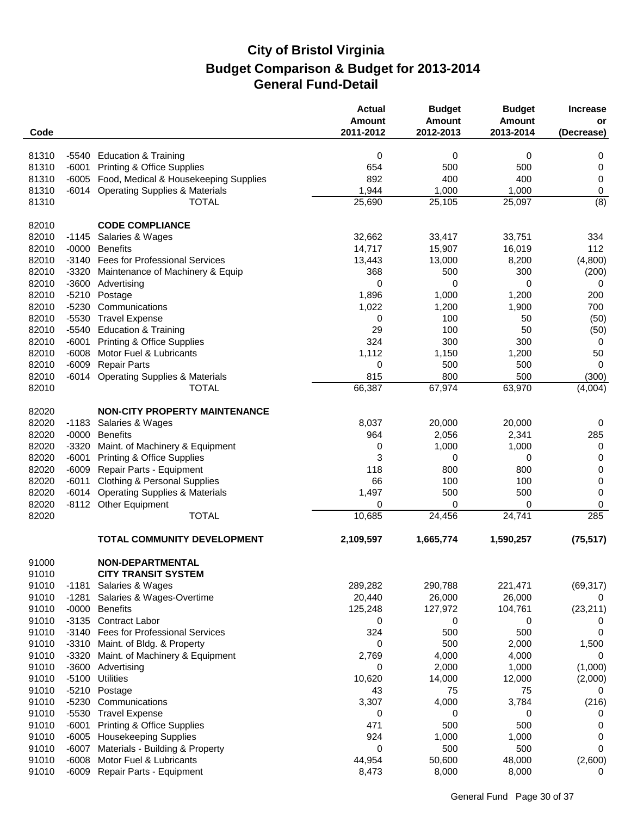| Code           |                    |                                                                 | <b>Actual</b><br><b>Amount</b><br>2011-2012 | <b>Budget</b><br><b>Amount</b><br>2012-2013 | <b>Budget</b><br><b>Amount</b><br>2013-2014 | <b>Increase</b><br>or<br>(Decrease) |
|----------------|--------------------|-----------------------------------------------------------------|---------------------------------------------|---------------------------------------------|---------------------------------------------|-------------------------------------|
|                |                    |                                                                 |                                             |                                             |                                             |                                     |
| 81310          | -5540              | <b>Education &amp; Training</b>                                 | 0                                           | $\mathbf 0$                                 | $\mathbf 0$                                 | 0                                   |
| 81310          | $-6001$            | <b>Printing &amp; Office Supplies</b>                           | 654                                         | 500                                         | 500                                         | 0                                   |
| 81310          |                    | -6005 Food, Medical & Housekeeping Supplies                     | 892                                         | 400                                         | 400                                         | 0                                   |
| 81310          | -6014              | <b>Operating Supplies &amp; Materials</b>                       | 1,944                                       | 1,000                                       | 1,000                                       | 0                                   |
| 81310          |                    | <b>TOTAL</b>                                                    | 25,690                                      | 25,105                                      | 25,097                                      | (8)                                 |
| 82010          |                    | <b>CODE COMPLIANCE</b>                                          |                                             |                                             |                                             |                                     |
| 82010          | $-1145$            | Salaries & Wages                                                | 32,662                                      | 33,417                                      | 33,751                                      | 334                                 |
| 82010          | $-0000$            | <b>Benefits</b>                                                 | 14,717                                      | 15,907                                      | 16,019                                      | 112                                 |
| 82010          | $-3140$            | <b>Fees for Professional Services</b>                           | 13,443                                      | 13,000                                      | 8,200                                       | (4,800)                             |
| 82010          | -3320              | Maintenance of Machinery & Equip                                | 368                                         | 500                                         | 300                                         | (200)                               |
| 82010          |                    | -3600 Advertising                                               | 0                                           | 0                                           | $\mathbf 0$                                 | 0                                   |
| 82010          | $-5210$            | Postage                                                         | 1,896                                       | 1,000                                       | 1,200                                       | 200                                 |
| 82010          | $-5230$            | Communications                                                  | 1,022                                       | 1,200                                       | 1,900                                       | 700                                 |
| 82010          | $-5530$            | <b>Travel Expense</b>                                           | 0                                           | 100                                         | 50                                          | (50)                                |
| 82010          | $-5540$            | <b>Education &amp; Training</b>                                 | 29                                          | 100                                         | 50                                          | (50)                                |
| 82010<br>82010 | $-6001$            | <b>Printing &amp; Office Supplies</b>                           | 324                                         | 300                                         | 300                                         | $\mathbf 0$                         |
| 82010          | $-6008$<br>$-6009$ | Motor Fuel & Lubricants<br><b>Repair Parts</b>                  | 1,112<br>0                                  | 1,150<br>500                                | 1,200<br>500                                | 50<br>$\mathbf 0$                   |
| 82010          | -6014              | <b>Operating Supplies &amp; Materials</b>                       | 815                                         | 800                                         | 500                                         | (300)                               |
| 82010          |                    | <b>TOTAL</b>                                                    | 66,387                                      | 67,974                                      | 63,970                                      | (4,004)                             |
|                |                    |                                                                 |                                             |                                             |                                             |                                     |
| 82020          |                    | <b>NON-CITY PROPERTY MAINTENANCE</b>                            |                                             |                                             |                                             |                                     |
| 82020          | $-1183$            | Salaries & Wages                                                | 8,037                                       | 20,000                                      | 20,000                                      | 0                                   |
| 82020          | $-0000$            | <b>Benefits</b>                                                 | 964                                         | 2,056                                       | 2,341                                       | 285                                 |
| 82020          | $-3320$            | Maint. of Machinery & Equipment                                 | 0                                           | 1,000                                       | 1,000                                       | 0                                   |
| 82020          | $-6001$            | <b>Printing &amp; Office Supplies</b>                           | 3                                           | 0                                           | 0                                           | 0                                   |
| 82020          | $-6009$            | Repair Parts - Equipment                                        | 118                                         | 800                                         | 800                                         | 0                                   |
| 82020          | $-6011$            | <b>Clothing &amp; Personal Supplies</b>                         | 66                                          | 100                                         | 100                                         | 0                                   |
| 82020          | $-6014$            | <b>Operating Supplies &amp; Materials</b>                       | 1,497                                       | 500                                         | 500                                         | 0                                   |
| 82020          |                    | -8112 Other Equipment<br><b>TOTAL</b>                           | 0                                           | 0                                           | 0                                           | 0                                   |
| 82020          |                    |                                                                 | 10,685                                      | 24,456                                      | 24,741                                      | 285                                 |
|                |                    | <b>TOTAL COMMUNITY DEVELOPMENT</b>                              | 2,109,597                                   | 1,665,774                                   | 1,590,257                                   | (75, 517)                           |
| 91000          |                    | <b>NON-DEPARTMENTAL</b>                                         |                                             |                                             |                                             |                                     |
| 91010          |                    | <b>CITY TRANSIT SYSTEM</b>                                      |                                             |                                             |                                             |                                     |
| 91010          | $-1181$            | Salaries & Wages                                                | 289,282                                     | 290,788                                     | 221,471                                     | (69, 317)                           |
| 91010          | $-1281$            | Salaries & Wages-Overtime                                       | 20,440                                      | 26,000                                      | 26,000                                      | 0                                   |
| 91010          | $-0000$            | <b>Benefits</b>                                                 | 125,248                                     | 127,972                                     | 104,761                                     | (23, 211)                           |
| 91010          | $-3135$            | <b>Contract Labor</b>                                           | 0                                           | 0                                           | 0                                           | 0                                   |
| 91010          | $-3140$            | <b>Fees for Professional Services</b>                           | 324                                         | 500                                         | 500                                         | 0                                   |
| 91010          | $-3310$            | Maint. of Bldg. & Property                                      | 0                                           | 500                                         | 2,000                                       | 1,500                               |
| 91010          | $-3320$            | Maint. of Machinery & Equipment                                 | 2,769                                       | 4,000                                       | 4,000                                       | 0                                   |
| 91010          | $-3600$            | Advertising                                                     | 0                                           | 2,000                                       | 1,000                                       | (1,000)                             |
| 91010          | $-5100$            | Utilities                                                       | 10,620                                      | 14,000                                      | 12,000                                      | (2,000)                             |
| 91010          | $-5210$            | Postage                                                         | 43                                          | 75                                          | 75                                          | 0                                   |
| 91010          | $-5230$            | Communications                                                  | 3,307                                       | 4,000                                       | 3,784                                       | (216)                               |
| 91010          | $-5530$            | <b>Travel Expense</b>                                           | 0                                           | 0                                           | 0                                           | 0                                   |
| 91010          | $-6001$            | <b>Printing &amp; Office Supplies</b>                           | 471                                         | 500                                         | 500                                         | 0                                   |
| 91010<br>91010 | $-6005$<br>$-6007$ | <b>Housekeeping Supplies</b><br>Materials - Building & Property | 924<br>0                                    | 1,000<br>500                                | 1,000<br>500                                | 0<br>0                              |
| 91010          | $-6008$            | Motor Fuel & Lubricants                                         | 44,954                                      | 50,600                                      | 48,000                                      | (2,600)                             |
| 91010          | -6009              | Repair Parts - Equipment                                        | 8,473                                       | 8,000                                       | 8,000                                       | 0                                   |
|                |                    |                                                                 |                                             |                                             |                                             |                                     |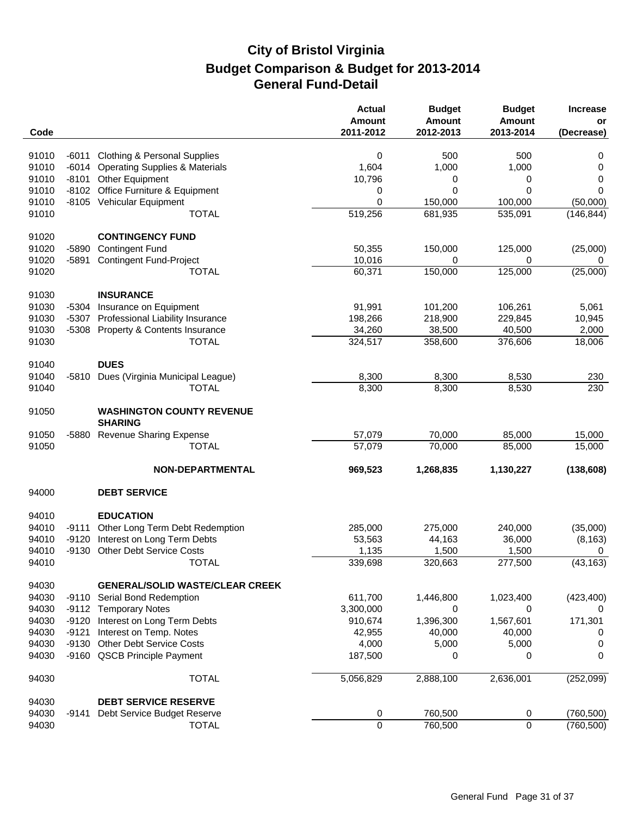|       |         |                                                    | <b>Actual</b><br>Amount<br>2011-2012 | <b>Budget</b><br><b>Amount</b> | <b>Budget</b><br><b>Amount</b> | <b>Increase</b><br>or |
|-------|---------|----------------------------------------------------|--------------------------------------|--------------------------------|--------------------------------|-----------------------|
| Code  |         |                                                    |                                      | 2012-2013                      | 2013-2014                      | (Decrease)            |
| 91010 | $-6011$ | <b>Clothing &amp; Personal Supplies</b>            | 0                                    | 500                            | 500                            | 0                     |
| 91010 | $-6014$ | <b>Operating Supplies &amp; Materials</b>          | 1,604                                | 1,000                          | 1,000                          | 0                     |
| 91010 |         | -8101 Other Equipment                              | 10,796                               | 0                              | 0                              | 0                     |
| 91010 | $-8102$ | Office Furniture & Equipment                       | 0                                    | 0                              | 0                              | 0                     |
| 91010 |         | -8105 Vehicular Equipment                          | 0                                    | 150,000                        | 100,000                        | (50,000)              |
| 91010 |         | <b>TOTAL</b>                                       | 519,256                              | 681,935                        | 535,091                        | (146, 844)            |
| 91020 |         | <b>CONTINGENCY FUND</b>                            |                                      |                                |                                |                       |
| 91020 | -5890   | <b>Contingent Fund</b>                             | 50,355                               | 150,000                        | 125,000                        | (25,000)              |
| 91020 | $-5891$ | <b>Contingent Fund-Project</b>                     | 10,016                               | 0                              | 0                              | 0                     |
| 91020 |         | <b>TOTAL</b>                                       | 60,371                               | 150,000                        | 125,000                        | (25,000)              |
| 91030 |         | <b>INSURANCE</b>                                   |                                      |                                |                                |                       |
| 91030 | $-5304$ | Insurance on Equipment                             | 91,991                               | 101,200                        | 106,261                        | 5,061                 |
| 91030 | -5307   | Professional Liability Insurance                   | 198,266                              | 218,900                        | 229,845                        | 10,945                |
| 91030 |         | -5308 Property & Contents Insurance                | 34,260                               | 38,500                         | 40,500                         | 2,000                 |
| 91030 |         | <b>TOTAL</b>                                       | 324,517                              | 358,600                        | 376,606                        | 18,006                |
| 91040 |         | <b>DUES</b>                                        |                                      |                                |                                |                       |
| 91040 | -5810   | Dues (Virginia Municipal League)                   | 8,300                                | 8,300                          | 8,530                          | 230                   |
| 91040 |         | <b>TOTAL</b>                                       | 8,300                                | 8,300                          | 8,530                          | 230                   |
| 91050 |         | <b>WASHINGTON COUNTY REVENUE</b><br><b>SHARING</b> |                                      |                                |                                |                       |
| 91050 | -5880   | <b>Revenue Sharing Expense</b>                     | 57,079                               | 70,000                         | 85,000                         | 15,000                |
| 91050 |         | <b>TOTAL</b>                                       | 57,079                               | 70,000                         | 85,000                         | 15,000                |
|       |         | NON-DEPARTMENTAL                                   | 969,523                              | 1,268,835                      | 1,130,227                      | (138, 608)            |
| 94000 |         | <b>DEBT SERVICE</b>                                |                                      |                                |                                |                       |
| 94010 |         | <b>EDUCATION</b>                                   |                                      |                                |                                |                       |
| 94010 | $-9111$ | Other Long Term Debt Redemption                    | 285,000                              | 275,000                        | 240,000                        | (35,000)              |
| 94010 | $-9120$ | Interest on Long Term Debts                        | 53,563                               | 44,163                         | 36,000                         | (8, 163)              |
| 94010 | $-9130$ | Other Debt Service Costs                           | 1,135                                | 1,500                          | 1,500                          | 0                     |
| 94010 |         | <b>TOTAL</b>                                       | 339,698                              | 320,663                        | 277,500                        | (43, 163)             |
| 94030 |         | <b>GENERAL/SOLID WASTE/CLEAR CREEK</b>             |                                      |                                |                                |                       |
| 94030 | $-9110$ | Serial Bond Redemption                             | 611,700                              | 1,446,800                      | 1,023,400                      | (423, 400)            |
| 94030 |         | -9112 Temporary Notes                              | 3,300,000                            | 0                              | 0                              | 0                     |
| 94030 |         | -9120 Interest on Long Term Debts                  | 910,674                              | 1,396,300                      | 1,567,601                      | 171,301               |
| 94030 | $-9121$ | Interest on Temp. Notes                            | 42,955                               | 40,000                         | 40,000                         | 0                     |
| 94030 | -9130   | <b>Other Debt Service Costs</b>                    | 4,000                                | 5,000                          | 5,000                          | 0                     |
| 94030 |         | -9160 QSCB Principle Payment                       | 187,500                              | 0                              | 0                              | 0                     |
| 94030 |         | <b>TOTAL</b>                                       | 5,056,829                            | 2,888,100                      | 2,636,001                      | (252,099)             |
| 94030 |         | <b>DEBT SERVICE RESERVE</b>                        |                                      |                                |                                |                       |
| 94030 | -9141   | Debt Service Budget Reserve                        | 0                                    | 760,500                        | 0                              | (760, 500)            |
| 94030 |         | <b>TOTAL</b>                                       | 0                                    | 760,500                        | 0                              | (760, 500)            |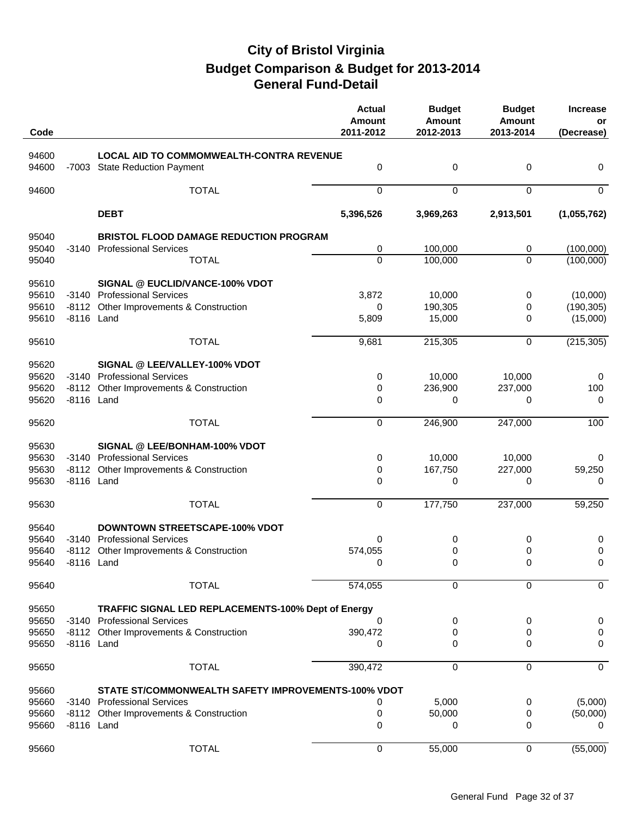| Code           |            |                                                                                    | <b>Actual</b><br><b>Amount</b><br>2011-2012 | <b>Budget</b><br><b>Amount</b><br>2012-2013 | <b>Budget</b><br><b>Amount</b><br>2013-2014 | <b>Increase</b><br>or<br>(Decrease) |
|----------------|------------|------------------------------------------------------------------------------------|---------------------------------------------|---------------------------------------------|---------------------------------------------|-------------------------------------|
|                |            |                                                                                    |                                             |                                             |                                             |                                     |
| 94600<br>94600 |            | LOCAL AID TO COMMOMWEALTH-CONTRA REVENUE<br>-7003 State Reduction Payment          | 0                                           | $\pmb{0}$                                   | $\pmb{0}$                                   | 0                                   |
| 94600          |            | <b>TOTAL</b>                                                                       | $\mathbf 0$                                 | $\mathbf 0$                                 | $\mathbf 0$                                 | $\mathbf 0$                         |
|                |            | <b>DEBT</b>                                                                        | 5,396,526                                   | 3,969,263                                   | 2,913,501                                   | (1,055,762)                         |
|                |            |                                                                                    |                                             |                                             |                                             |                                     |
| 95040<br>95040 |            | <b>BRISTOL FLOOD DAMAGE REDUCTION PROGRAM</b><br>-3140 Professional Services       | 0                                           | 100,000                                     | 0                                           | (100,000)                           |
| 95040          |            | <b>TOTAL</b>                                                                       | 0                                           | 100,000                                     | $\Omega$                                    | (100,000)                           |
|                |            |                                                                                    |                                             |                                             |                                             |                                     |
| 95610          |            | SIGNAL @ EUCLID/VANCE-100% VDOT                                                    |                                             |                                             |                                             |                                     |
| 95610<br>95610 | -8112      | -3140 Professional Services<br>Other Improvements & Construction                   | 3,872<br>0                                  | 10,000<br>190,305                           | 0<br>0                                      | (10,000)                            |
| 95610          | -8116 Land |                                                                                    | 5,809                                       | 15,000                                      | 0                                           | (190, 305)<br>(15,000)              |
|                |            |                                                                                    |                                             |                                             |                                             |                                     |
| 95610          |            | <b>TOTAL</b>                                                                       | 9,681                                       | 215,305                                     | $\mathbf 0$                                 | (215, 305)                          |
| 95620          |            | SIGNAL @ LEE/VALLEY-100% VDOT                                                      |                                             |                                             |                                             |                                     |
| 95620          |            | -3140 Professional Services                                                        | 0                                           | 10,000                                      | 10,000                                      | 0                                   |
| 95620          |            | -8112 Other Improvements & Construction                                            | 0                                           | 236,900                                     | 237,000                                     | 100                                 |
| 95620          | -8116 Land |                                                                                    | 0                                           | 0                                           | 0                                           | 0                                   |
| 95620          |            | <b>TOTAL</b>                                                                       | 0                                           | 246,900                                     | 247,000                                     | 100                                 |
| 95630          |            | SIGNAL @ LEE/BONHAM-100% VDOT                                                      |                                             |                                             |                                             |                                     |
| 95630          |            | -3140 Professional Services                                                        | 0                                           | 10,000                                      | 10,000                                      | 0                                   |
| 95630          | $-8112$    | Other Improvements & Construction                                                  | 0                                           | 167,750                                     | 227,000                                     | 59,250                              |
| 95630          | -8116 Land |                                                                                    | 0                                           | 0                                           | 0                                           | 0                                   |
| 95630          |            | <b>TOTAL</b>                                                                       | $\mathbf 0$                                 | 177,750                                     | 237,000                                     | 59,250                              |
| 95640          |            | <b>DOWNTOWN STREETSCAPE-100% VDOT</b>                                              |                                             |                                             |                                             |                                     |
| 95640          |            | -3140 Professional Services                                                        | 0                                           | 0                                           | 0                                           | 0                                   |
| 95640          |            | -8112 Other Improvements & Construction                                            | 574,055                                     | 0                                           | 0                                           | 0                                   |
| 95640          |            | -8116 Land                                                                         | $\Omega$                                    | 0                                           | 0                                           | 0                                   |
| 95640          |            | <b>TOTAL</b>                                                                       | 574,055                                     | 0                                           | 0                                           | $\mathbf 0$                         |
|                |            |                                                                                    |                                             |                                             |                                             |                                     |
| 95650<br>95650 |            | TRAFFIC SIGNAL LED REPLACEMENTS-100% Dept of Energy<br>-3140 Professional Services | 0                                           | 0                                           | 0                                           | 0                                   |
| 95650          |            | -8112 Other Improvements & Construction                                            | 390,472                                     | 0                                           | 0                                           | 0                                   |
| 95650          | -8116 Land |                                                                                    | 0                                           | 0                                           | 0                                           | 0                                   |
|                |            |                                                                                    |                                             |                                             |                                             |                                     |
| 95650          |            | <b>TOTAL</b>                                                                       | 390,472                                     | 0                                           | $\mathbf 0$                                 | $\mathbf 0$                         |
| 95660          |            | STATE ST/COMMONWEALTH SAFETY IMPROVEMENTS-100% VDOT                                |                                             |                                             |                                             |                                     |
| 95660          |            | -3140 Professional Services                                                        | 0                                           | 5,000                                       | 0                                           | (5,000)                             |
| 95660          |            | -8112 Other Improvements & Construction                                            | 0                                           | 50,000                                      | 0                                           | (50,000)                            |
| 95660          | -8116 Land |                                                                                    | 0                                           | 0                                           | 0                                           | 0                                   |
| 95660          |            | <b>TOTAL</b>                                                                       | $\mathbf 0$                                 | 55,000                                      | 0                                           | (55,000)                            |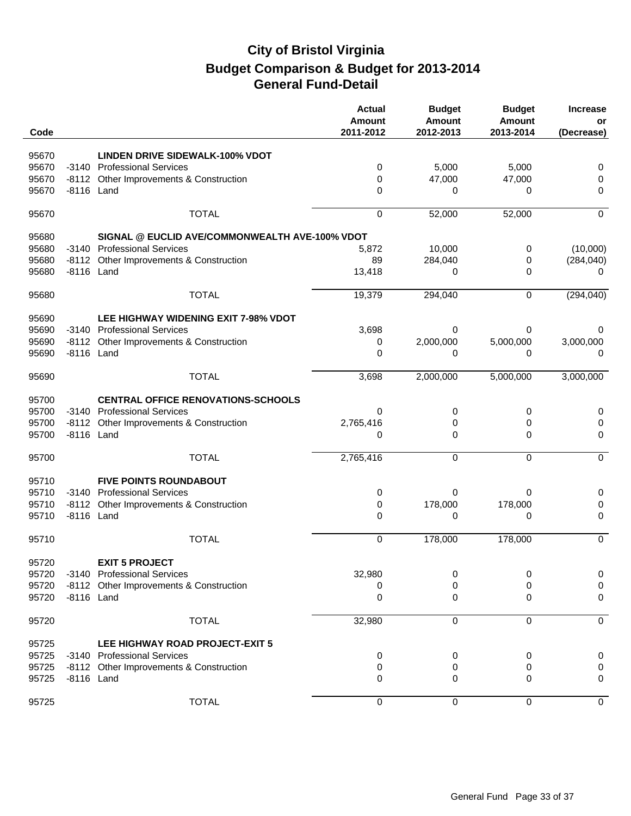| Code  |            |                                                | <b>Actual</b><br><b>Amount</b><br>2011-2012 | <b>Budget</b><br><b>Amount</b><br>2012-2013 | <b>Budget</b><br><b>Amount</b><br>2013-2014 | <b>Increase</b><br>or<br>(Decrease) |
|-------|------------|------------------------------------------------|---------------------------------------------|---------------------------------------------|---------------------------------------------|-------------------------------------|
| 95670 |            | <b>LINDEN DRIVE SIDEWALK-100% VDOT</b>         |                                             |                                             |                                             |                                     |
| 95670 |            | -3140 Professional Services                    | 0                                           | 5,000                                       | 5,000                                       | 0                                   |
| 95670 | -8112      | Other Improvements & Construction              | 0                                           | 47,000                                      | 47,000                                      | 0                                   |
| 95670 | -8116 Land |                                                | 0                                           | 0                                           | 0                                           | 0                                   |
| 95670 |            | <b>TOTAL</b>                                   | 0                                           | 52,000                                      | 52,000                                      | $\mathbf 0$                         |
| 95680 |            | SIGNAL @ EUCLID AVE/COMMONWEALTH AVE-100% VDOT |                                             |                                             |                                             |                                     |
| 95680 |            | -3140 Professional Services                    | 5,872                                       | 10,000                                      | 0                                           | (10,000)                            |
| 95680 |            | -8112 Other Improvements & Construction        | 89                                          | 284,040                                     | 0                                           | (284, 040)                          |
| 95680 | -8116 Land |                                                | 13,418                                      | 0                                           | $\Omega$                                    | 0                                   |
| 95680 |            | <b>TOTAL</b>                                   | 19,379                                      | 294,040                                     | 0                                           | (294, 040)                          |
| 95690 |            | LEE HIGHWAY WIDENING EXIT 7-98% VDOT           |                                             |                                             |                                             |                                     |
| 95690 |            | -3140 Professional Services                    | 3,698                                       | 0                                           | 0                                           | 0                                   |
| 95690 |            | -8112 Other Improvements & Construction        | 0                                           | 2,000,000                                   | 5,000,000                                   | 3,000,000                           |
| 95690 | -8116 Land |                                                | 0                                           | 0                                           | 0                                           | 0                                   |
| 95690 |            | <b>TOTAL</b>                                   | 3,698                                       | 2,000,000                                   | 5,000,000                                   | 3,000,000                           |
| 95700 |            | <b>CENTRAL OFFICE RENOVATIONS-SCHOOLS</b>      |                                             |                                             |                                             |                                     |
| 95700 | $-3140$    | <b>Professional Services</b>                   | 0                                           | 0                                           | 0                                           | 0                                   |
| 95700 | -8112      | Other Improvements & Construction              | 2,765,416                                   | 0                                           | 0                                           | 0                                   |
| 95700 | -8116 Land |                                                | 0                                           | $\mathbf 0$                                 | 0                                           | 0                                   |
| 95700 |            | <b>TOTAL</b>                                   | 2,765,416                                   | $\mathbf 0$                                 | $\mathbf 0$                                 | $\mathbf 0$                         |
| 95710 |            | <b>FIVE POINTS ROUNDABOUT</b>                  |                                             |                                             |                                             |                                     |
| 95710 | -3140      | <b>Professional Services</b>                   | 0                                           | 0                                           | 0                                           | 0                                   |
| 95710 | -8112      | Other Improvements & Construction              | 0                                           | 178,000                                     | 178,000                                     | 0                                   |
| 95710 | -8116 Land |                                                | 0                                           | 0                                           | 0                                           | 0                                   |
| 95710 |            | <b>TOTAL</b>                                   | 0                                           | 178,000                                     | 178,000                                     | $\mathbf 0$                         |
| 95720 |            | <b>EXIT 5 PROJECT</b>                          |                                             |                                             |                                             |                                     |
| 95720 |            | -3140 Professional Services                    | 32,980                                      | 0                                           | 0                                           | 0                                   |
| 95720 |            | -8112 Other Improvements & Construction        | 0                                           | 0                                           | 0                                           | 0                                   |
| 95720 | -8116 Land |                                                | 0                                           | 0                                           | 0                                           | 0                                   |
| 95720 |            | <b>TOTAL</b>                                   | 32,980                                      | $\mathbf 0$                                 | 0                                           | $\mathbf 0$                         |
| 95725 |            | LEE HIGHWAY ROAD PROJECT-EXIT 5                |                                             |                                             |                                             |                                     |
| 95725 |            | -3140 Professional Services                    | 0                                           | 0                                           | 0                                           | 0                                   |
| 95725 |            | -8112 Other Improvements & Construction        | 0                                           | 0                                           | 0                                           | 0                                   |
| 95725 | -8116 Land |                                                | 0                                           | 0                                           | 0                                           | 0                                   |
| 95725 |            | <b>TOTAL</b>                                   | 0                                           | 0                                           | 0                                           | 0                                   |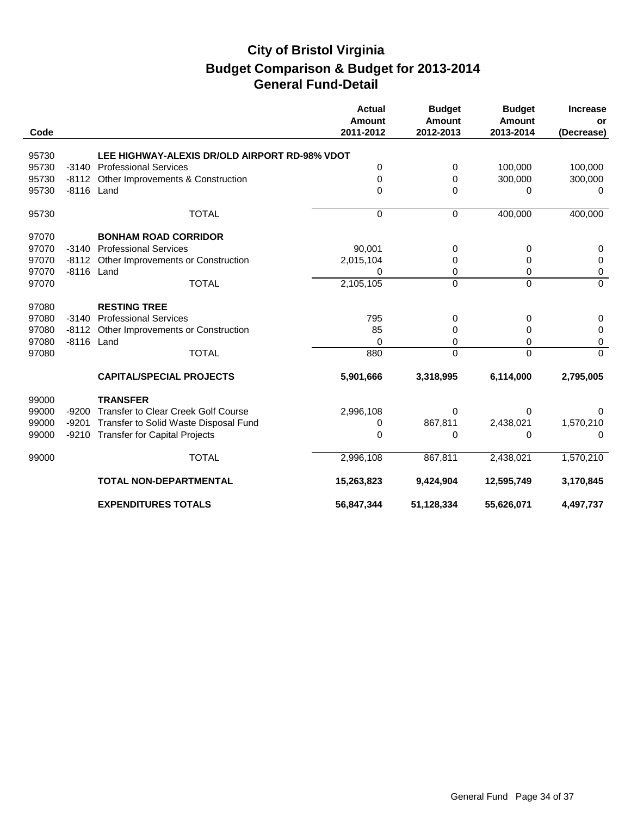| Code  |            |                                               | <b>Actual</b><br><b>Amount</b><br>2011-2012 | <b>Budget</b><br><b>Amount</b><br>2012-2013 | <b>Budget</b><br><b>Amount</b><br>2013-2014 | <b>Increase</b><br>or<br>(Decrease) |
|-------|------------|-----------------------------------------------|---------------------------------------------|---------------------------------------------|---------------------------------------------|-------------------------------------|
|       |            |                                               |                                             |                                             |                                             |                                     |
| 95730 |            | LEE HIGHWAY-ALEXIS DR/OLD AIRPORT RD-98% VDOT |                                             |                                             |                                             |                                     |
| 95730 | $-3140$    | <b>Professional Services</b>                  | 0                                           | 0                                           | 100,000                                     | 100,000                             |
| 95730 | $-8112$    | Other Improvements & Construction             | $\Omega$                                    | 0                                           | 300,000                                     | 300,000                             |
| 95730 | -8116 Land |                                               | $\Omega$                                    | $\Omega$                                    | 0                                           | $\Omega$                            |
| 95730 |            | <b>TOTAL</b>                                  | $\overline{0}$                              | $\Omega$                                    | 400,000                                     | 400,000                             |
| 97070 |            | <b>BONHAM ROAD CORRIDOR</b>                   |                                             |                                             |                                             |                                     |
| 97070 | $-3140$    | <b>Professional Services</b>                  | 90,001                                      | 0                                           | 0                                           | 0                                   |
| 97070 | $-8112$    | Other Improvements or Construction            | 2,015,104                                   | 0                                           | 0                                           | 0                                   |
| 97070 | -8116 Land |                                               | 0                                           | 0                                           | 0                                           | 0                                   |
| 97070 |            | <b>TOTAL</b>                                  | 2,105,105                                   | $\Omega$                                    | $\Omega$                                    | 0                                   |
| 97080 |            | <b>RESTING TREE</b>                           |                                             |                                             |                                             |                                     |
| 97080 | $-3140$    | <b>Professional Services</b>                  | 795                                         | 0                                           | 0                                           | 0                                   |
| 97080 | $-8112$    | Other Improvements or Construction            | 85                                          | 0                                           | 0                                           | 0                                   |
| 97080 | -8116 Land |                                               | $\Omega$                                    | 0                                           | 0                                           | 0                                   |
| 97080 |            | <b>TOTAL</b>                                  | 880                                         | $\Omega$                                    | $\Omega$                                    | $\Omega$                            |
|       |            | <b>CAPITAL/SPECIAL PROJECTS</b>               | 5,901,666                                   | 3,318,995                                   | 6,114,000                                   | 2,795,005                           |
| 99000 |            | <b>TRANSFER</b>                               |                                             |                                             |                                             |                                     |
| 99000 | $-9200$    | Transfer to Clear Creek Golf Course           | 2,996,108                                   | 0                                           | 0                                           | 0                                   |
| 99000 | $-9201$    | Transfer to Solid Waste Disposal Fund         | 0                                           | 867,811                                     | 2,438,021                                   | 1,570,210                           |
| 99000 |            | -9210 Transfer for Capital Projects           | 0                                           | $\Omega$                                    | 0                                           | 0                                   |
| 99000 |            | <b>TOTAL</b>                                  | 2,996,108                                   | 867,811                                     | 2,438,021                                   | 1,570,210                           |
|       |            | <b>TOTAL NON-DEPARTMENTAL</b>                 | 15,263,823                                  | 9,424,904                                   | 12,595,749                                  | 3,170,845                           |
|       |            | <b>EXPENDITURES TOTALS</b>                    | 56,847,344                                  | 51,128,334                                  | 55,626,071                                  | 4,497,737                           |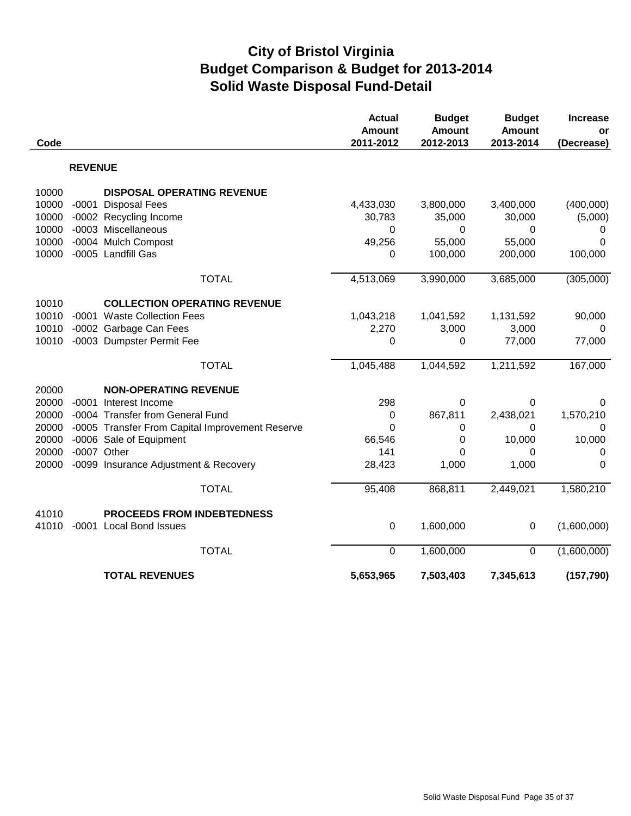# **City of Bristol Virginia Solid Waste Disposal Fund-Detail Budget Comparison & Budget for 2013-2014**

| Code  |                |                                                 | <b>Actual</b><br><b>Amount</b><br>2011-2012 | <b>Budget</b><br><b>Amount</b><br>2012-2013 | <b>Budget</b><br><b>Amount</b><br>2013-2014 | <b>Increase</b><br>or<br>(Decrease) |
|-------|----------------|-------------------------------------------------|---------------------------------------------|---------------------------------------------|---------------------------------------------|-------------------------------------|
|       | <b>REVENUE</b> |                                                 |                                             |                                             |                                             |                                     |
| 10000 |                | <b>DISPOSAL OPERATING REVENUE</b>               |                                             |                                             |                                             |                                     |
| 10000 |                | -0001 Disposal Fees                             | 4,433,030                                   | 3,800,000                                   | 3,400,000                                   | (400,000)                           |
| 10000 |                | -0002 Recycling Income                          | 30,783                                      | 35,000                                      | 30,000                                      | (5,000)                             |
| 10000 |                | -0003 Miscellaneous                             | 0                                           | 0                                           | 0                                           | 0                                   |
| 10000 |                | -0004 Mulch Compost                             | 49,256                                      | 55,000                                      | 55,000                                      | $\Omega$                            |
| 10000 |                | -0005 Landfill Gas                              | 0                                           | 100,000                                     | 200,000                                     | 100,000                             |
|       |                | <b>TOTAL</b>                                    | 4,513,069                                   | 3,990,000                                   | 3,685,000                                   | (305,000)                           |
| 10010 |                | <b>COLLECTION OPERATING REVENUE</b>             |                                             |                                             |                                             |                                     |
| 10010 |                | -0001 Waste Collection Fees                     | 1,043,218                                   | 1,041,592                                   | 1,131,592                                   | 90,000                              |
| 10010 |                | -0002 Garbage Can Fees                          | 2,270                                       | 3,000                                       | 3,000                                       | 0                                   |
| 10010 |                | -0003 Dumpster Permit Fee                       | 0                                           | 0                                           | 77,000                                      | 77,000                              |
|       |                | <b>TOTAL</b>                                    | 1,045,488                                   | 1,044,592                                   | 1,211,592                                   | 167,000                             |
| 20000 |                | <b>NON-OPERATING REVENUE</b>                    |                                             |                                             |                                             |                                     |
| 20000 |                | -0001 Interest Income                           | 298                                         | 0                                           | 0                                           | 0                                   |
| 20000 |                | -0004 Transfer from General Fund                | 0                                           | 867,811                                     | 2,438,021                                   | 1,570,210                           |
| 20000 |                | -0005 Transfer From Capital Improvement Reserve | 0                                           | 0                                           | 0                                           | 0                                   |
| 20000 |                | -0006 Sale of Equipment                         | 66,546                                      | 0                                           | 10,000                                      | 10,000                              |
| 20000 |                | -0007 Other                                     | 141                                         | 0                                           | 0                                           | 0                                   |
| 20000 |                | -0099 Insurance Adjustment & Recovery           | 28,423                                      | 1,000                                       | 1,000                                       | $\Omega$                            |
|       |                | <b>TOTAL</b>                                    | 95,408                                      | 868,811                                     | 2,449,021                                   | 1,580,210                           |
| 41010 |                | <b>PROCEEDS FROM INDEBTEDNESS</b>               |                                             |                                             |                                             |                                     |
| 41010 |                | -0001 Local Bond Issues                         | $\mathbf 0$                                 | 1,600,000                                   | 0                                           | (1,600,000)                         |
|       |                | <b>TOTAL</b>                                    | $\pmb{0}$                                   | 1,600,000                                   | $\mathbf 0$                                 | (1,600,000)                         |
|       |                | <b>TOTAL REVENUES</b>                           | 5,653,965                                   | 7,503,403                                   | 7,345,613                                   | (157, 790)                          |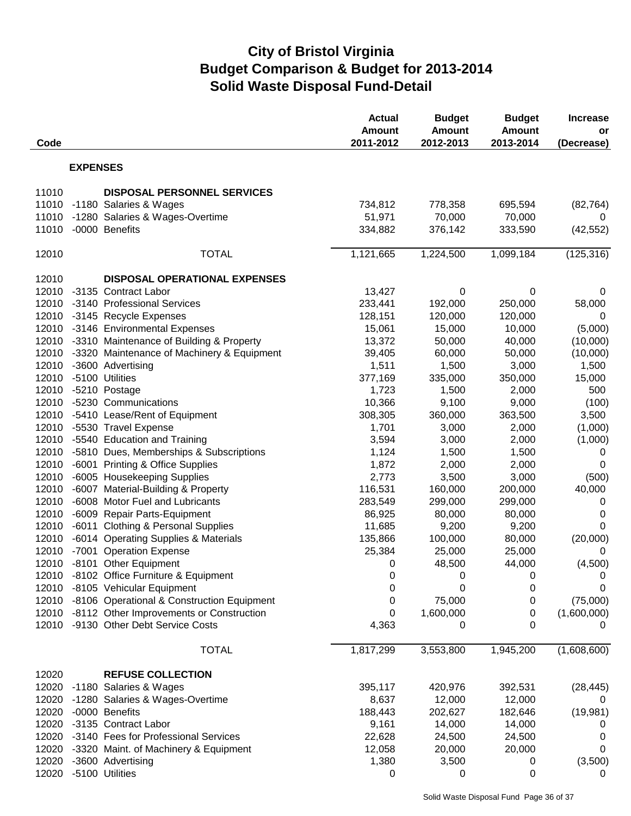# **City of Bristol Virginia Solid Waste Disposal Fund-Detail Budget Comparison & Budget for 2013-2014**

| Code  |                 |                                                  | <b>Actual</b><br><b>Amount</b><br>2011-2012 | <b>Budget</b><br><b>Amount</b><br>2012-2013 | <b>Budget</b><br><b>Amount</b><br>2013-2014 | <b>Increase</b><br>or<br>(Decrease) |
|-------|-----------------|--------------------------------------------------|---------------------------------------------|---------------------------------------------|---------------------------------------------|-------------------------------------|
|       | <b>EXPENSES</b> |                                                  |                                             |                                             |                                             |                                     |
| 11010 |                 | <b>DISPOSAL PERSONNEL SERVICES</b>               |                                             |                                             |                                             |                                     |
| 11010 |                 | -1180 Salaries & Wages                           | 734,812                                     | 778,358                                     | 695,594                                     | (82, 764)                           |
| 11010 |                 | -1280 Salaries & Wages-Overtime                  | 51,971                                      | 70,000                                      | 70,000                                      | 0                                   |
| 11010 |                 | -0000 Benefits                                   | 334,882                                     | 376,142                                     | 333,590                                     | (42, 552)                           |
| 12010 |                 | <b>TOTAL</b>                                     | 1,121,665                                   | 1,224,500                                   | 1,099,184                                   | (125, 316)                          |
| 12010 |                 | <b>DISPOSAL OPERATIONAL EXPENSES</b>             |                                             |                                             |                                             |                                     |
| 12010 |                 | -3135 Contract Labor                             | 13,427                                      | 0                                           | 0                                           | 0                                   |
| 12010 |                 | -3140 Professional Services                      | 233,441                                     | 192,000                                     | 250,000                                     | 58,000                              |
|       |                 | 12010 -3145 Recycle Expenses                     | 128,151                                     | 120,000                                     | 120,000                                     | 0                                   |
| 12010 |                 | -3146 Environmental Expenses                     | 15,061                                      | 15,000                                      | 10,000                                      | (5,000)                             |
| 12010 |                 | -3310 Maintenance of Building & Property         | 13,372                                      | 50,000                                      | 40,000                                      | (10,000)                            |
| 12010 |                 | -3320 Maintenance of Machinery & Equipment       | 39,405                                      | 60,000                                      | 50,000                                      | (10,000)                            |
| 12010 |                 | -3600 Advertising                                | 1,511                                       | 1,500                                       | 3,000                                       | 1,500                               |
| 12010 |                 | -5100 Utilities                                  | 377,169                                     | 335,000                                     | 350,000                                     | 15,000                              |
| 12010 |                 | -5210 Postage                                    | 1,723                                       | 1,500                                       | 2,000                                       | 500                                 |
| 12010 |                 | -5230 Communications                             | 10,366                                      | 9,100                                       | 9,000                                       | (100)                               |
| 12010 |                 | -5410 Lease/Rent of Equipment                    | 308,305                                     | 360,000                                     | 363,500                                     | 3,500                               |
| 12010 |                 | -5530 Travel Expense                             | 1,701                                       | 3,000                                       | 2,000                                       | (1,000)                             |
| 12010 |                 | -5540 Education and Training                     | 3,594                                       | 3,000                                       | 2,000                                       | (1,000)                             |
| 12010 |                 | -5810 Dues, Memberships & Subscriptions          | 1,124                                       | 1,500                                       | 1,500                                       | 0                                   |
| 12010 |                 | -6001 Printing & Office Supplies                 | 1,872                                       | 2,000                                       | 2,000                                       | 0                                   |
| 12010 |                 | -6005 Housekeeping Supplies                      | 2,773                                       | 3,500                                       | 3,000                                       | (500)                               |
| 12010 |                 | -6007 Material-Building & Property               | 116,531                                     | 160,000                                     | 200,000                                     | 40,000                              |
| 12010 |                 | -6008 Motor Fuel and Lubricants                  | 283,549                                     | 299,000                                     | 299,000                                     | 0                                   |
| 12010 |                 | -6009 Repair Parts-Equipment                     | 86,925                                      | 80,000                                      | 80,000                                      | $\mathbf 0$                         |
| 12010 |                 | -6011 Clothing & Personal Supplies               | 11,685                                      | 9,200                                       | 9,200                                       | 0                                   |
| 12010 |                 | -6014 Operating Supplies & Materials             | 135,866                                     | 100,000                                     | 80,000                                      | (20,000)                            |
| 12010 |                 | -7001 Operation Expense                          | 25,384                                      | 25,000                                      | 25,000                                      | 0                                   |
| 12010 |                 | -8101 Other Equipment                            | 0                                           | 48,500                                      | 44,000                                      | (4,500)                             |
|       |                 | 12010 -8102 Office Furniture & Equipment         | 0                                           | $\pmb{0}$                                   | $\pmb{0}$                                   | 0                                   |
|       |                 | 12010 -8105 Vehicular Equipment                  | 0                                           | 0                                           | 0                                           | 0                                   |
|       |                 | 12010 -8106 Operational & Construction Equipment | 0                                           | 75,000                                      | 0                                           | (75,000)                            |
|       |                 | 12010 -8112 Other Improvements or Construction   | 0                                           | 1,600,000                                   | 0                                           | (1,600,000)                         |
| 12010 |                 | -9130 Other Debt Service Costs                   | 4,363                                       | 0                                           | 0                                           | 0                                   |
|       |                 | <b>TOTAL</b>                                     | 1,817,299                                   | 3,553,800                                   | 1,945,200                                   | (1,608,600)                         |
| 12020 |                 | <b>REFUSE COLLECTION</b>                         |                                             |                                             |                                             |                                     |
|       |                 | 12020 -1180 Salaries & Wages                     | 395,117                                     | 420,976                                     | 392,531                                     | (28, 445)                           |
| 12020 |                 | -1280 Salaries & Wages-Overtime                  | 8,637                                       | 12,000                                      | 12,000                                      | 0                                   |
| 12020 |                 | -0000 Benefits                                   | 188,443                                     | 202,627                                     | 182,646                                     | (19, 981)                           |
| 12020 |                 | -3135 Contract Labor                             | 9,161                                       | 14,000                                      | 14,000                                      | 0                                   |
| 12020 |                 | -3140 Fees for Professional Services             | 22,628                                      | 24,500                                      | 24,500                                      | 0                                   |
| 12020 |                 | -3320 Maint. of Machinery & Equipment            | 12,058                                      | 20,000                                      | 20,000                                      | 0                                   |
| 12020 |                 | -3600 Advertising                                | 1,380                                       | 3,500                                       | 0                                           | (3,500)                             |
| 12020 |                 | -5100 Utilities                                  | 0                                           | 0                                           | 0                                           | 0                                   |